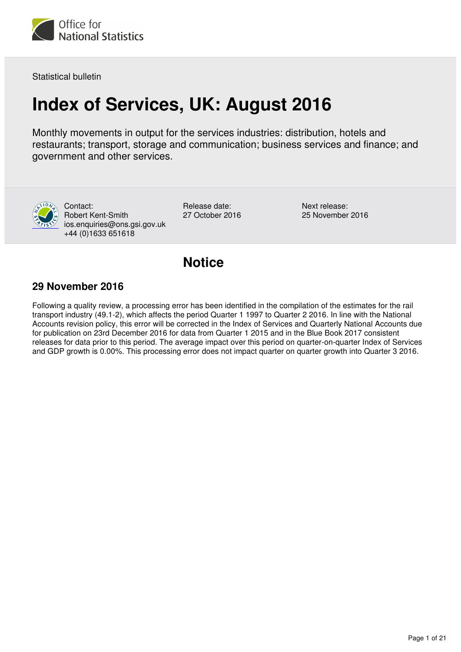

Statistical bulletin

# **Index of Services, UK: August 2016**

Monthly movements in output for the services industries: distribution, hotels and restaurants; transport, storage and communication; business services and finance; and government and other services.



Contact: Robert Kent-Smith ios.enquiries@ons.gsi.gov.uk +44 (0)1633 651618

Release date: 27 October 2016 Next release: 25 November 2016

## **Notice**

## **29 November 2016**

Following a quality review, a processing error has been identified in the compilation of the estimates for the rail transport industry (49.1-2), which affects the period Quarter 1 1997 to Quarter 2 2016. In line with the National Accounts revision policy, this error will be corrected in the Index of Services and Quarterly National Accounts due for publication on 23rd December 2016 for data from Quarter 1 2015 and in the Blue Book 2017 consistent releases for data prior to this period. The average impact over this period on quarter-on-quarter Index of Services and GDP growth is 0.00%. This processing error does not impact quarter on quarter growth into Quarter 3 2016.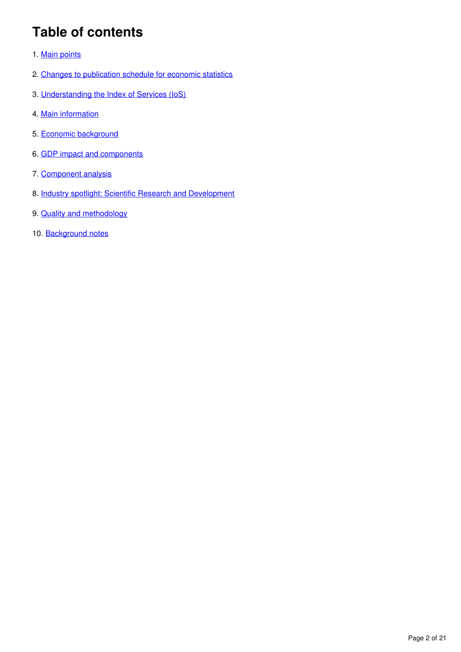# **Table of contents**

- 1. [Main points](#page-2-0)
- 2. [Changes to publication schedule for economic statistics](#page-2-1)
- 3. [Understanding the Index of Services \(IoS\)](#page-2-2)
- 4. [Main information](#page-4-0)
- 5. [Economic background](#page-6-0)
- 6. [GDP impact and components](#page-9-0)
- 7. [Component analysis](#page-12-0)
- 8. [Industry spotlight: Scientific Research and Development](#page-13-0)
- 9. [Quality and methodology](#page-14-0)
- 10. Background notes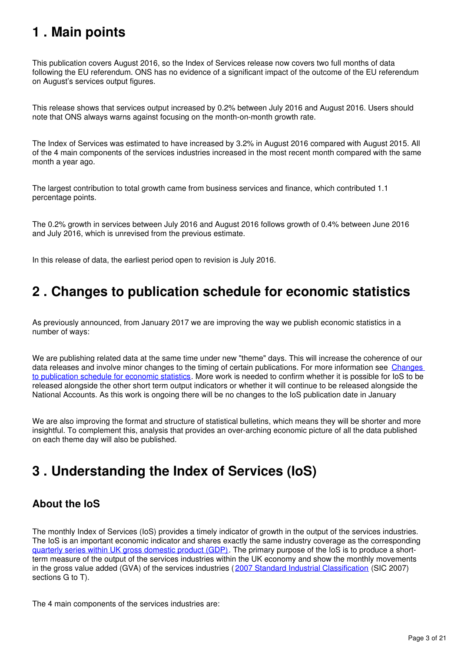# <span id="page-2-0"></span>**1 . Main points**

This publication covers August 2016, so the Index of Services release now covers two full months of data following the EU referendum. ONS has no evidence of a significant impact of the outcome of the EU referendum on August's services output figures.

This release shows that services output increased by 0.2% between July 2016 and August 2016. Users should note that ONS always warns against focusing on the month-on-month growth rate.

The Index of Services was estimated to have increased by 3.2% in August 2016 compared with August 2015. All of the 4 main components of the services industries increased in the most recent month compared with the same month a year ago.

The largest contribution to total growth came from business services and finance, which contributed 1.1 percentage points.

The 0.2% growth in services between July 2016 and August 2016 follows growth of 0.4% between June 2016 and July 2016, which is unrevised from the previous estimate.

In this release of data, the earliest period open to revision is July 2016.

# <span id="page-2-1"></span>**2 . Changes to publication schedule for economic statistics**

As previously announced, from January 2017 we are improving the way we publish economic statistics in a number of ways:

We are publishing related data at the same time under new "theme" days. This will increase the coherence of our data releases and involve minor changes to the timing of certain publications. For more information see [Changes](https://www.ons.gov.uk/news/news/changestopublicationscheduleforeconomicstatistics)  [to publication schedule for economic statistics.](https://www.ons.gov.uk/news/news/changestopublicationscheduleforeconomicstatistics) More work is needed to confirm whether it is possible for IoS to be released alongside the other short term output indicators or whether it will continue to be released alongside the National Accounts. As this work is ongoing there will be no changes to the IoS publication date in January

We are also improving the format and structure of statistical bulletins, which means they will be shorter and more insightful. To complement this, analysis that provides an over-arching economic picture of all the data published on each theme day will also be published.

# <span id="page-2-2"></span>**3 . Understanding the Index of Services (IoS)**

## **About the IoS**

The monthly Index of Services (IoS) provides a timely indicator of growth in the output of the services industries. The IoS is an important economic indicator and shares exactly the same industry coverage as the corresponding [quarterly series within UK gross domestic product \(GDP\)](https://www.ons.gov.uk/economy/grossdomesticproductgdp/bulletins/quarterlynationalaccounts/previousReleases). The primary purpose of the IoS is to produce a shortterm measure of the output of the services industries within the UK economy and show the monthly movements in the gross value added (GVA) of the services industries ( [2007 Standard Industrial Classification](http://www.ons.gov.uk/methodology/classificationsandstandards/ukstandardindustrialclassificationofeconomicactivities/uksic2007) (SIC 2007) sections G to T).

The 4 main components of the services industries are: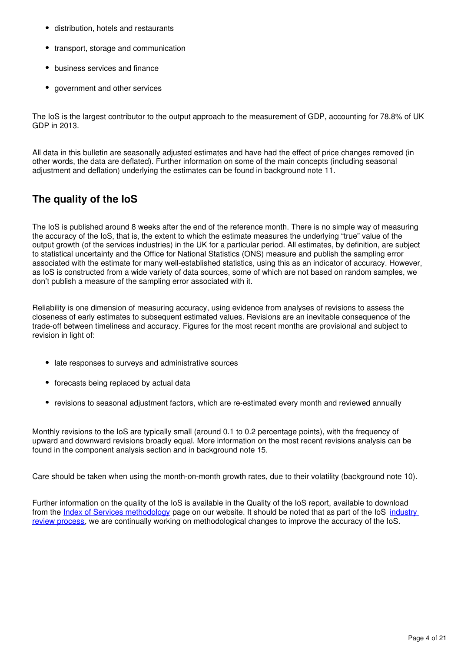- distribution, hotels and restaurants
- transport, storage and communication
- business services and finance
- government and other services

The IoS is the largest contributor to the output approach to the measurement of GDP, accounting for 78.8% of UK GDP in 2013.

All data in this bulletin are seasonally adjusted estimates and have had the effect of price changes removed (in other words, the data are deflated). Further information on some of the main concepts (including seasonal adjustment and deflation) underlying the estimates can be found in background note 11.

## **The quality of the IoS**

The IoS is published around 8 weeks after the end of the reference month. There is no simple way of measuring the accuracy of the IoS, that is, the extent to which the estimate measures the underlying "true" value of the output growth (of the services industries) in the UK for a particular period. All estimates, by definition, are subject to statistical uncertainty and the Office for National Statistics (ONS) measure and publish the sampling error associated with the estimate for many well-established statistics, using this as an indicator of accuracy. However, as IoS is constructed from a wide variety of data sources, some of which are not based on random samples, we don't publish a measure of the sampling error associated with it.

Reliability is one dimension of measuring accuracy, using evidence from analyses of revisions to assess the closeness of early estimates to subsequent estimated values. Revisions are an inevitable consequence of the trade-off between timeliness and accuracy. Figures for the most recent months are provisional and subject to revision in light of:

- late responses to surveys and administrative sources
- forecasts being replaced by actual data
- revisions to seasonal adjustment factors, which are re-estimated every month and reviewed annually

Monthly revisions to the IoS are typically small (around 0.1 to 0.2 percentage points), with the frequency of upward and downward revisions broadly equal. More information on the most recent revisions analysis can be found in the component analysis section and in background note 15.

Care should be taken when using the month-on-month growth rates, due to their volatility (background note 10).

Further information on the quality of the IoS is available in the Quality of the IoS report, available to download from the [Index of Services methodology](http://www.ons.gov.uk/economy/economicoutputandproductivity/output/methodologies/indexofservicesios) page on our website. It should be noted that as part of the IoS industry [review process](http://webarchive.nationalarchives.gov.uk/20160105160709/http:/www.ons.gov.uk/ons/guide-method/method-quality/specific/economy/output-approach-to-gdp/improvements/industry-reviews/index.html), we are continually working on methodological changes to improve the accuracy of the IoS.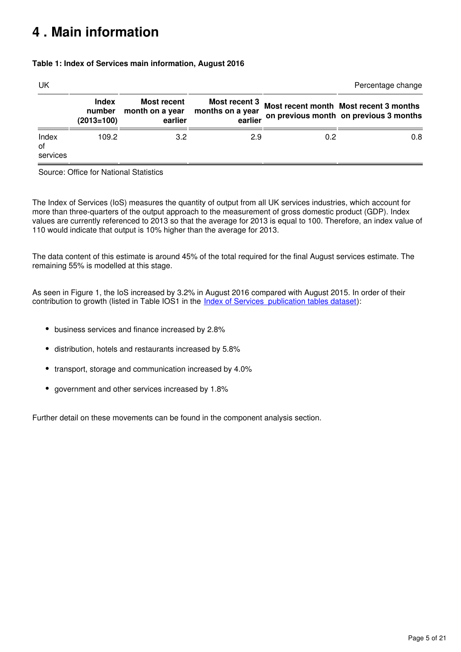# <span id="page-4-0"></span>**4 . Main information**

### **Table 1: Index of Services main information, August 2016**

| UK                      |                                        |                                                  |                                              |     | Percentage change                                                                |
|-------------------------|----------------------------------------|--------------------------------------------------|----------------------------------------------|-----|----------------------------------------------------------------------------------|
|                         | <b>Index</b><br>number<br>$(2013=100)$ | <b>Most recent</b><br>month on a year<br>earlier | Most recent 3<br>months on a year<br>earlier |     | Most recent month Most recent 3 months<br>on previous month on previous 3 months |
| Index<br>of<br>services | 109.2                                  | 3.2                                              | 2.9                                          | 0.2 | 0.8                                                                              |

Source: Office for National Statistics

The Index of Services (IoS) measures the quantity of output from all UK services industries, which account for more than three-quarters of the output approach to the measurement of gross domestic product (GDP). Index values are currently referenced to 2013 so that the average for 2013 is equal to 100. Therefore, an index value of 110 would indicate that output is 10% higher than the average for 2013.

The data content of this estimate is around 45% of the total required for the final August services estimate. The remaining 55% is modelled at this stage.

As seen in Figure 1, the IoS increased by 3.2% in August 2016 compared with August 2015. In order of their contribution to growth (listed in Table IOS1 in the [Index of Services publication tables dataset\)](http://www.ons.gov.uk/economy/economicoutputandproductivity/output/datasets/indexofservicespublicationtables):

- business services and finance increased by 2.8%
- distribution, hotels and restaurants increased by 5.8%
- transport, storage and communication increased by 4.0%
- government and other services increased by 1.8%

Further detail on these movements can be found in the component analysis section.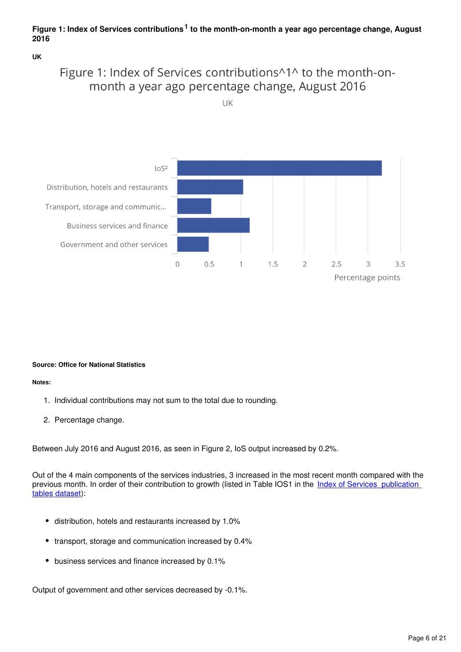## Figure 1: Index of Services contributions<sup>1</sup> to the month-on-month a year ago percentage change, August **2016**

**UK**

## Figure 1: Index of Services contributions^1^ to the month-onmonth a year ago percentage change, August 2016

UK



**Source: Office for National Statistics**

#### **Notes:**

- 1. Individual contributions may not sum to the total due to rounding.
- 2. Percentage change.

Between July 2016 and August 2016, as seen in Figure 2, IoS output increased by 0.2%.

Out of the 4 main components of the services industries, 3 increased in the most recent month compared with the previous month. In order of their contribution to growth (listed in Table IOS1 in the Index of Services publication [tables dataset\)](http://www.ons.gov.uk/economy/economicoutputandproductivity/output/datasets/indexofservicespublicationtables):

- distribution, hotels and restaurants increased by 1.0%
- transport, storage and communication increased by 0.4%
- business services and finance increased by 0.1%

Output of government and other services decreased by -0.1%.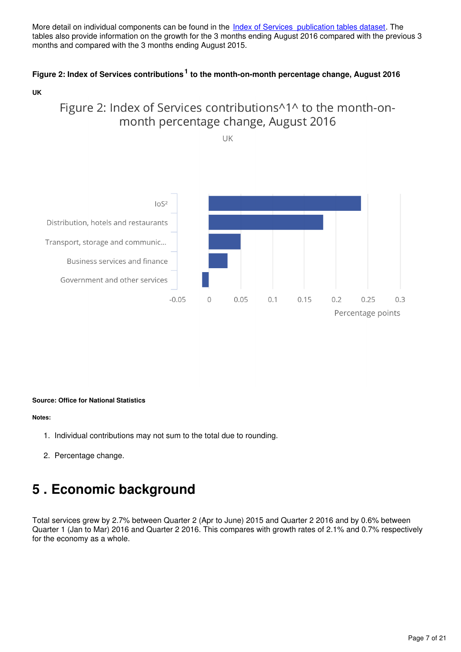More detail on individual components can be found in the *[Index of Services publication tables dataset](http://www.ons.gov.uk/economy/economicoutputandproductivity/output/datasets/indexofservicespublicationtables)*. The tables also provide information on the growth for the 3 months ending August 2016 compared with the previous 3 months and compared with the 3 months ending August 2015.

## Figure 2: Index of Services contributions<sup>1</sup> to the month-on-month percentage change, August 2016

**UK**

## Figure 2: Index of Services contributions^1^ to the month-onmonth percentage change, August 2016





#### **Source: Office for National Statistics**

#### **Notes:**

- 1. Individual contributions may not sum to the total due to rounding.
- 2. Percentage change.

## <span id="page-6-0"></span>**5 . Economic background**

Total services grew by 2.7% between Quarter 2 (Apr to June) 2015 and Quarter 2 2016 and by 0.6% between Quarter 1 (Jan to Mar) 2016 and Quarter 2 2016. This compares with growth rates of 2.1% and 0.7% respectively for the economy as a whole.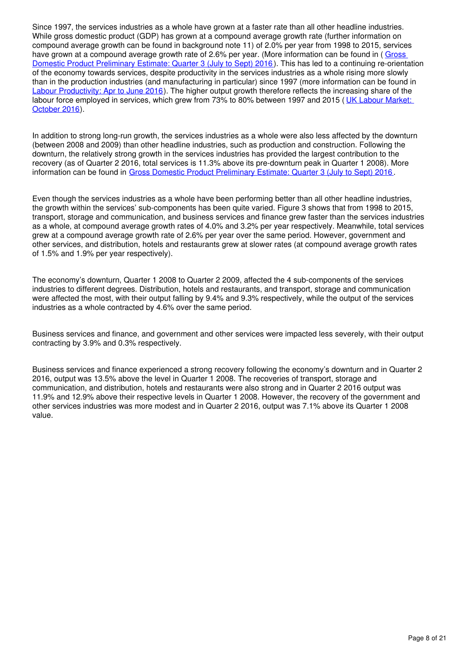Since 1997, the services industries as a whole have grown at a faster rate than all other headline industries. While gross domestic product (GDP) has grown at a compound average growth rate (further information on compound average growth can be found in background note 11) of 2.0% per year from 1998 to 2015, services have grown at a compound average growth rate of 2.6% per year. (More information can be found in (Gross) [Domestic Product Preliminary Estimate: Quarter 3 \(July to Sept\) 2016](http://www.ons.gov.uk/economy/grossdomesticproductgdp/bulletins/grossdomesticproductpreliminaryestimate/previousReleases) ). This has led to a continuing re-orientation of the economy towards services, despite productivity in the services industries as a whole rising more slowly than in the production industries (and manufacturing in particular) since 1997 (more information can be found in [Labour Productivity: Apr to June 2016](http://www.ons.gov.uk/employmentandlabourmarket/peopleinwork/labourproductivity/bulletins/labourproductivity/previousReleases)). The higher output growth therefore reflects the increasing share of the labour force employed in services, which grew from 73% to 80% between 1997 and 2015 ( [UK Labour Market:](https://www.ons.gov.uk/employmentandlabourmarket/peopleinwork/employmentandemployeetypes/bulletins/uklabourmarket/october2016)  [October 2016](https://www.ons.gov.uk/employmentandlabourmarket/peopleinwork/employmentandemployeetypes/bulletins/uklabourmarket/october2016)).

In addition to strong long-run growth, the services industries as a whole were also less affected by the downturn (between 2008 and 2009) than other headline industries, such as production and construction. Following the downturn, the relatively strong growth in the services industries has provided the largest contribution to the recovery (as of Quarter 2 2016, total services is 11.3% above its pre-downturn peak in Quarter 1 2008). More information can be found in [Gross Domestic Product Preliminary Estimate: Quarter 3 \(July to Sept\) 2016](http://www.ons.gov.uk/economy/grossdomesticproductgdp/bulletins/grossdomesticproductpreliminaryestimate/previousReleases) .

Even though the services industries as a whole have been performing better than all other headline industries, the growth within the services' sub-components has been quite varied. Figure 3 shows that from 1998 to 2015, transport, storage and communication, and business services and finance grew faster than the services industries as a whole, at compound average growth rates of 4.0% and 3.2% per year respectively. Meanwhile, total services grew at a compound average growth rate of 2.6% per year over the same period. However, government and other services, and distribution, hotels and restaurants grew at slower rates (at compound average growth rates of 1.5% and 1.9% per year respectively).

The economy's downturn, Quarter 1 2008 to Quarter 2 2009, affected the 4 sub-components of the services industries to different degrees. Distribution, hotels and restaurants, and transport, storage and communication were affected the most, with their output falling by 9.4% and 9.3% respectively, while the output of the services industries as a whole contracted by 4.6% over the same period.

Business services and finance, and government and other services were impacted less severely, with their output contracting by 3.9% and 0.3% respectively.

Business services and finance experienced a strong recovery following the economy's downturn and in Quarter 2 2016, output was 13.5% above the level in Quarter 1 2008. The recoveries of transport, storage and communication, and distribution, hotels and restaurants were also strong and in Quarter 2 2016 output was 11.9% and 12.9% above their respective levels in Quarter 1 2008. However, the recovery of the government and other services industries was more modest and in Quarter 2 2016, output was 7.1% above its Quarter 1 2008 value.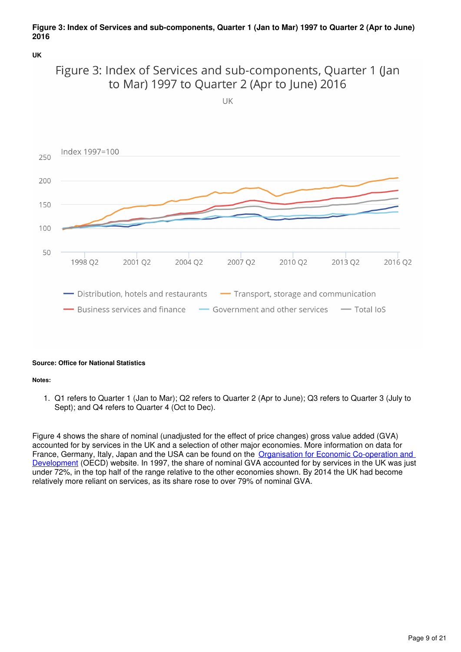### **Figure 3: Index of Services and sub-components, Quarter 1 (Jan to Mar) 1997 to Quarter 2 (Apr to June) 2016**

**UK**



 $UK$ 



#### **Source: Office for National Statistics**

**Notes:**

1. Q1 refers to Quarter 1 (Jan to Mar); Q2 refers to Quarter 2 (Apr to June); Q3 refers to Quarter 3 (July to Sept); and Q4 refers to Quarter 4 (Oct to Dec).

Figure 4 shows the share of nominal (unadjusted for the effect of price changes) gross value added (GVA) accounted for by services in the UK and a selection of other major economies. More information on data for France, Germany, Italy, Japan and the USA can be found on the [Organisation for Economic Co-operation and](http://www.oecd.org/)  [Development](http://www.oecd.org/) (OECD) website. In 1997, the share of nominal GVA accounted for by services in the UK was just under 72%, in the top half of the range relative to the other economies shown. By 2014 the UK had become relatively more reliant on services, as its share rose to over 79% of nominal GVA.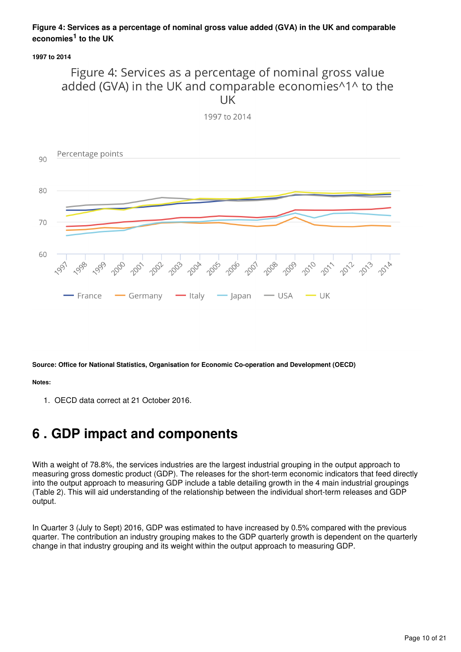## **Figure 4: Services as a percentage of nominal gross value added (GVA) in the UK and comparable economies<sup>1</sup> to the UK**

**1997 to 2014**

## Figure 4: Services as a percentage of nominal gross value added (GVA) in the UK and comparable economies^1^ to the **UK**



**Source: Office for National Statistics, Organisation for Economic Co-operation and Development (OECD)**

**Notes:**

1. OECD data correct at 21 October 2016.

# <span id="page-9-0"></span>**6 . GDP impact and components**

With a weight of 78.8%, the services industries are the largest industrial grouping in the output approach to measuring gross domestic product (GDP). The releases for the short-term economic indicators that feed directly into the output approach to measuring GDP include a table detailing growth in the 4 main industrial groupings (Table 2). This will aid understanding of the relationship between the individual short-term releases and GDP output.

In Quarter 3 (July to Sept) 2016, GDP was estimated to have increased by 0.5% compared with the previous quarter. The contribution an industry grouping makes to the GDP quarterly growth is dependent on the quarterly change in that industry grouping and its weight within the output approach to measuring GDP.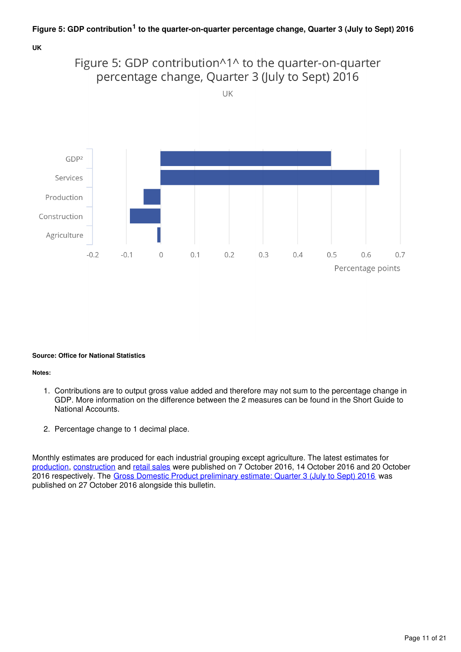

#### **Source: Office for National Statistics**

**Notes:**

- 1. Contributions are to output gross value added and therefore may not sum to the percentage change in GDP. More information on the difference between the 2 measures can be found in the Short Guide to National Accounts.
- 2. Percentage change to 1 decimal place.

Monthly estimates are produced for each industrial grouping except agriculture. The latest estimates for [production](http://www.ons.gov.uk/economy/economicoutputandproductivity/output/bulletins/indexofproduction/previousReleases), [construction](http://www.ons.gov.uk/businessindustryandtrade/constructionindustry/bulletins/constructionoutputingreatbritain/previousReleases) and retail sales were published on 7 October 2016, 14 October 2016 and 20 October 2016 respectively. The [Gross Domestic Product preliminary estimate: Quarter 3 \(July to Sept\) 2016](http://www.ons.gov.uk/economy/grossdomesticproductgdp/bulletins/quarterlynationalaccounts/previousReleases) was published on 27 October 2016 alongside this bulletin.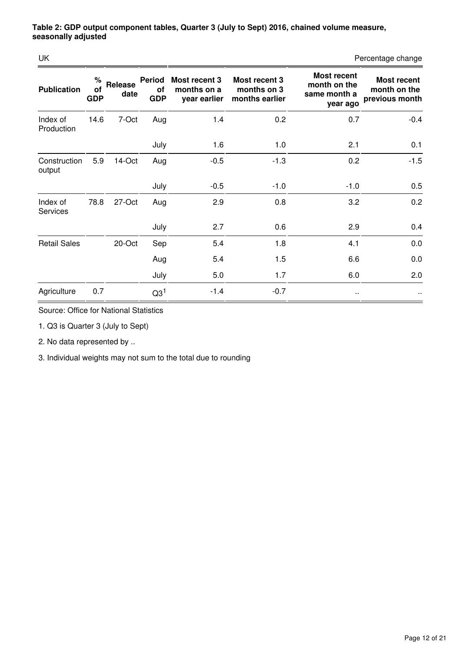| UK                          |                       |                 |                                   |                                              |                                                |                                                                | Percentage change                                    |
|-----------------------------|-----------------------|-----------------|-----------------------------------|----------------------------------------------|------------------------------------------------|----------------------------------------------------------------|------------------------------------------------------|
| <b>Publication</b>          | %<br>of<br><b>GDP</b> | Release<br>date | <b>Period</b><br>οf<br><b>GDP</b> | Most recent 3<br>months on a<br>year earlier | Most recent 3<br>months on 3<br>months earlier | <b>Most recent</b><br>month on the<br>same month a<br>year ago | <b>Most recent</b><br>month on the<br>previous month |
| Index of<br>Production      | 14.6                  | 7-Oct           | Aug                               | 1.4                                          | 0.2                                            | 0.7                                                            | $-0.4$                                               |
|                             |                       |                 | July                              | 1.6                                          | 1.0                                            | 2.1                                                            | 0.1                                                  |
| Construction<br>output      | 5.9                   | 14-Oct          | Aug                               | $-0.5$                                       | $-1.3$                                         | 0.2                                                            | $-1.5$                                               |
|                             |                       |                 | July                              | $-0.5$                                       | $-1.0$                                         | $-1.0$                                                         | 0.5                                                  |
| Index of<br><b>Services</b> | 78.8                  | 27-Oct          | Aug                               | 2.9                                          | 0.8                                            | 3.2                                                            | 0.2                                                  |
|                             |                       |                 | July                              | 2.7                                          | 0.6                                            | 2.9                                                            | 0.4                                                  |
| <b>Retail Sales</b>         |                       | 20-Oct          | Sep                               | 5.4                                          | 1.8                                            | 4.1                                                            | 0.0                                                  |
|                             |                       |                 | Aug                               | 5.4                                          | 1.5                                            | 6.6                                                            | 0.0                                                  |
|                             |                       |                 | July                              | 5.0                                          | 1.7                                            | 6.0                                                            | 2.0                                                  |
| Agriculture                 | 0.7                   |                 | Q3 <sup>1</sup>                   | $-1.4$                                       | $-0.7$                                         | $\cdot$ .                                                      | $\cdot$ .                                            |

Source: Office for National Statistics

1. Q3 is Quarter 3 (July to Sept)

2. No data represented by ..

3. Individual weights may not sum to the total due to rounding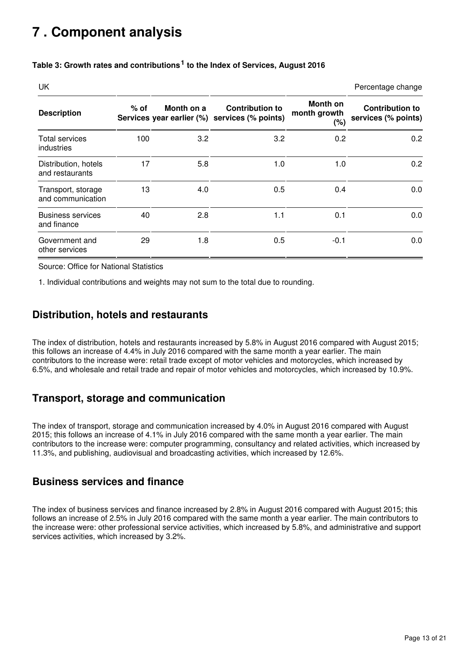# <span id="page-12-0"></span>**7 . Component analysis**

| <b>UK</b>                               |        |            |                                                                         |                                 | Percentage change                             |
|-----------------------------------------|--------|------------|-------------------------------------------------------------------------|---------------------------------|-----------------------------------------------|
| <b>Description</b>                      | $%$ of | Month on a | <b>Contribution to</b><br>Services year earlier (%) services (% points) | Month on<br>month growth<br>(%) | <b>Contribution to</b><br>services (% points) |
| Total services<br>industries            | 100    | 3.2        | 3.2                                                                     | 0.2                             | 0.2                                           |
| Distribution, hotels<br>and restaurants | 17     | 5.8        | 1.0                                                                     | 1.0                             | 0.2                                           |
| Transport, storage<br>and communication | 13     | 4.0        | 0.5                                                                     | 0.4                             | 0.0                                           |
| <b>Business services</b><br>and finance | 40     | 2.8        | 1.1                                                                     | 0.1                             | 0.0                                           |
| Government and<br>other services        | 29     | 1.8        | 0.5                                                                     | $-0.1$                          | 0.0                                           |

## Table 3: Growth rates and contributions<sup>1</sup> to the Index of Services, August 2016

Source: Office for National Statistics

1. Individual contributions and weights may not sum to the total due to rounding.

## **Distribution, hotels and restaurants**

The index of distribution, hotels and restaurants increased by 5.8% in August 2016 compared with August 2015; this follows an increase of 4.4% in July 2016 compared with the same month a year earlier. The main contributors to the increase were: retail trade except of motor vehicles and motorcycles, which increased by 6.5%, and wholesale and retail trade and repair of motor vehicles and motorcycles, which increased by 10.9%.

## **Transport, storage and communication**

The index of transport, storage and communication increased by 4.0% in August 2016 compared with August 2015; this follows an increase of 4.1% in July 2016 compared with the same month a year earlier. The main contributors to the increase were: computer programming, consultancy and related activities, which increased by 11.3%, and publishing, audiovisual and broadcasting activities, which increased by 12.6%.

## **Business services and finance**

The index of business services and finance increased by 2.8% in August 2016 compared with August 2015; this follows an increase of 2.5% in July 2016 compared with the same month a year earlier. The main contributors to the increase were: other professional service activities, which increased by 5.8%, and administrative and support services activities, which increased by 3.2%.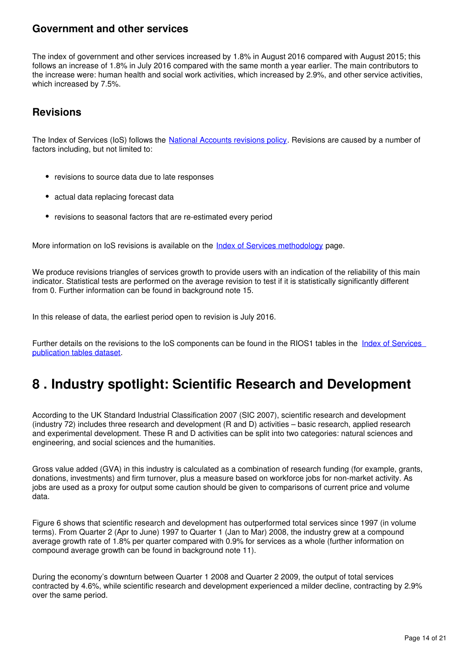## **Government and other services**

The index of government and other services increased by 1.8% in August 2016 compared with August 2015; this follows an increase of 1.8% in July 2016 compared with the same month a year earlier. The main contributors to the increase were: human health and social work activities, which increased by 2.9%, and other service activities, which increased by 7.5%.

## **Revisions**

The Index of Services (IoS) follows the [National Accounts revisions policy](http://www.ons.gov.uk/methodology/methodologytopicsandstatisticalconcepts/revisions/revisionspoliciesforeconomicstatistics). Revisions are caused by a number of factors including, but not limited to:

- revisions to source data due to late responses
- actual data replacing forecast data
- revisions to seasonal factors that are re-estimated every period

More information on IoS revisions is available on the *Index of Services methodology* page.

We produce revisions triangles of services growth to provide users with an indication of the reliability of this main indicator. Statistical tests are performed on the average revision to test if it is statistically significantly different from 0. Further information can be found in background note 15.

In this release of data, the earliest period open to revision is July 2016.

Further details on the revisions to the IoS components can be found in the RIOS1 tables in the [Index of Services](http://www.ons.gov.uk/economy/economicoutputandproductivity/output/datasets/indexofservicespublicationtables)  [publication tables dataset.](http://www.ons.gov.uk/economy/economicoutputandproductivity/output/datasets/indexofservicespublicationtables)

# <span id="page-13-0"></span>**8 . Industry spotlight: Scientific Research and Development**

According to the UK Standard Industrial Classification 2007 (SIC 2007), scientific research and development (industry 72) includes three research and development (R and D) activities – basic research, applied research and experimental development. These R and D activities can be split into two categories: natural sciences and engineering, and social sciences and the humanities.

Gross value added (GVA) in this industry is calculated as a combination of research funding (for example, grants, donations, investments) and firm turnover, plus a measure based on workforce jobs for non-market activity. As jobs are used as a proxy for output some caution should be given to comparisons of current price and volume data.

Figure 6 shows that scientific research and development has outperformed total services since 1997 (in volume terms). From Quarter 2 (Apr to June) 1997 to Quarter 1 (Jan to Mar) 2008, the industry grew at a compound average growth rate of 1.8% per quarter compared with 0.9% for services as a whole (further information on compound average growth can be found in background note 11).

During the economy's downturn between Quarter 1 2008 and Quarter 2 2009, the output of total services contracted by 4.6%, while scientific research and development experienced a milder decline, contracting by 2.9% over the same period.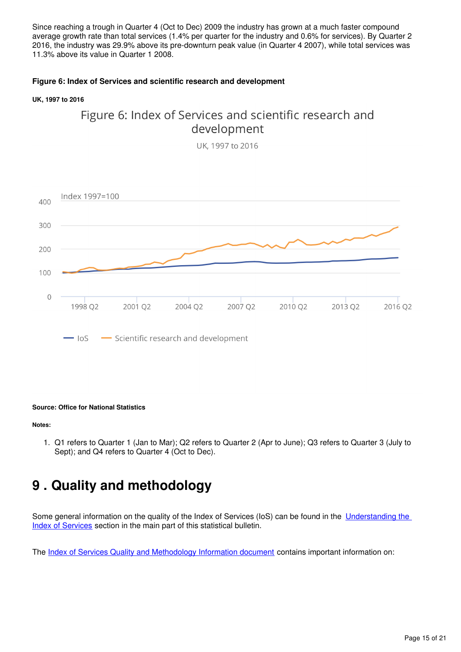Since reaching a trough in Quarter 4 (Oct to Dec) 2009 the industry has grown at a much faster compound average growth rate than total services (1.4% per quarter for the industry and 0.6% for services). By Quarter 2 2016, the industry was 29.9% above its pre-downturn peak value (in Quarter 4 2007), while total services was 11.3% above its value in Quarter 1 2008.

### **Figure 6: Index of Services and scientific research and development**

#### **UK, 1997 to 2016**

## Figure 6: Index of Services and scientific research and development

UK. 1997 to 2016



#### **Source: Office for National Statistics**

#### **Notes:**

1. Q1 refers to Quarter 1 (Jan to Mar); Q2 refers to Quarter 2 (Apr to June); Q3 refers to Quarter 3 (July to Sept); and Q4 refers to Quarter 4 (Oct to Dec).

# <span id="page-14-0"></span>**9 . Quality and methodology**

Some general information on the quality of the Index of Services (IoS) can be found in the Understanding the [Index of Services](https://www.ons.gov.uk/economy/economicoutputandproductivity/output/bulletins/indexofservices/june2016#understanding-the-index-of-services-ios) section in the main part of this statistical bulletin.

The [Index of Services Quality and Methodology Information document](https://www.ons.gov.uk/economy/nationalaccounts/uksectoraccounts/qmis/indexofservicesqmi) contains important information on: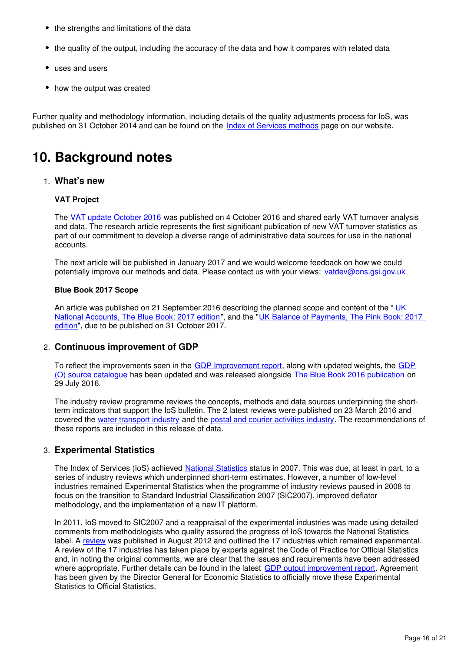- the strengths and limitations of the data
- the quality of the output, including the accuracy of the data and how it compares with related data
- uses and users
- how the output was created

Further quality and methodology information, including details of the quality adjustments process for IoS, was published on 31 October 2014 and can be found on the Index of Services methods page on our website.

# **10. Background notes**

## 1. **What's new**

### **VAT Project**

The [VAT update October 2016](https://www.ons.gov.uk/economy/grossdomesticproductgdp/articles/vatturnoverinitialresearchanalysisuk/jan2014tomar2016) was published on 4 October 2016 and shared early VAT turnover analysis and data. The research article represents the first significant publication of new VAT turnover statistics as part of our commitment to develop a diverse range of administrative data sources for use in the national accounts.

The next article will be published in January 2017 and we would welcome feedback on how we could potentially improve our methods and data. Please contact us with your views: vatdev@ons.gsi.gov.uk

### **Blue Book 2017 Scope**

An article was published on 21 September 2016 describing the planned scope and content of the "UK [National Accounts, The Blue Book: 2017 edition](https://www.ons.gov.uk/economy/nationalaccounts/uksectoraccounts/articles/nationalaccountsarticles/latestdevelopmentstonationalaccountsandbalanceofpaymentschangestobeimplementedforbluebook2017andpinkbook2017)", and the "[UK Balance of Payments, The Pink Book: 2017](https://www.ons.gov.uk/economy/nationalaccounts/uksectoraccounts/articles/nationalaccountsarticles/latestdevelopmentstonationalaccountsandbalanceofpaymentschangestobeimplementedforbluebook2017andpinkbook2017)  [edition](https://www.ons.gov.uk/economy/nationalaccounts/uksectoraccounts/articles/nationalaccountsarticles/latestdevelopmentstonationalaccountsandbalanceofpaymentschangestobeimplementedforbluebook2017andpinkbook2017)", due to be published on 31 October 2017.

## 2. **Continuous improvement of GDP**

To reflect the improvements seen in the [GDP Improvement report](https://www.ons.gov.uk/releases/gdpoimprovementreport2016), along with updated weights, the [GDP](https://www.ons.gov.uk/file?uri=/economy/economicoutputandproductivity/output/methodologies/indexofproductioniop/mgdpoverviewofdatasourcesatbb16.xls) [\(O\) source catalogue](https://www.ons.gov.uk/file?uri=/economy/economicoutputandproductivity/output/methodologies/indexofproductioniop/mgdpoverviewofdatasourcesatbb16.xls) has been updated and was released alongside [The Blue Book 2016 publication](https://www.ons.gov.uk/releases/uknationalaccountsthebluebook2016) on 29 July 2016.

The industry review programme reviews the concepts, methods and data sources underpinning the shortterm indicators that support the IoS bulletin. The 2 latest reviews were published on 23 March 2016 and coveredthe [water transport industry](https://www.ons.gov.uk/economy/economicoutputandproductivity/output/methodologies/watertransportindustryreview2016) and the postal and courier activities industry. The recommendations of these reports are included in this release of data.

## 3. **Experimental Statistics**

The Index of Services (IoS) achieved [National Statistics](https://www.statisticsauthority.gov.uk/national-statistician/types-of-official-statistics/) status in 2007. This was due, at least in part, to a series of industry reviews which underpinned short-term estimates. However, a number of low-level industries remained Experimental Statistics when the programme of industry reviews paused in 2008 to focus on the transition to Standard Industrial Classification 2007 (SIC2007), improved deflator methodology, and the implementation of a new IT platform.

In 2011, IoS moved to SIC2007 and a reappraisal of the experimental industries was made using detailed comments from methodologists who quality assured the progress of IoS towards the National Statistics label. A [review](http://webarchive.nationalarchives.gov.uk/20160105160709/http:/www.ons.gov.uk/ons/guide-method/method-quality/specific/economy/index-of-services/future-improvements/index.html) was published in August 2012 and outlined the 17 industries which remained experimental. A review of the 17 industries has taken place by experts against the Code of Practice for Official Statistics and, in noting the original comments, we are clear that the issues and requirements have been addressed where appropriate. Further details can be found in the latest [GDP output improvement report](http://webarchive.nationalarchives.gov.uk/20160105160709/http:/www.ons.gov.uk/ons/rel/naa1-rd/national-accounts-articles/improvements-to-the-output-approach-to-measure-uk-gdp--2015/index.html). Agreement has been given by the Director General for Economic Statistics to officially move these Experimental Statistics to Official Statistics.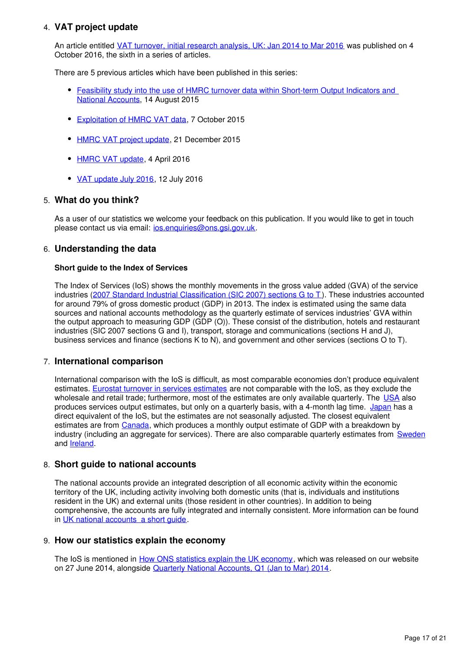## 4. **VAT project update**

An article entitled [VAT turnover, initial research analysis, UK: Jan 2014 to Mar 2016](https://www.ons.gov.uk/releases/hmrcvatturnoverinitialresearchanalysisukjan2014tomar2016) was published on 4 October 2016, the sixth in a series of articles.

There are 5 previous articles which have been published in this series:

- Feasibility study into the use of HMRC turnover data within Short-term Output Indicators and [National Accounts,](http://webarchive.nationalarchives.gov.uk/20160105160709/http:/www.ons.gov.uk/ons/rel/naa1-rd/national-accounts-articles/feasibility-study-into-the-use-of-hmrc-turnover-data-within-short-term-output-indicators-and-national-accounts/index.html) 14 August 2015
- [Exploitation of HMRC VAT data,](http://webarchive.nationalarchives.gov.uk/20160105160709/http:/www.ons.gov.uk/ons/rel/naa1-rd/national-accounts-articles/explotation-of-hmrc-vat-data/index.html) 7 October 2015
- [HMRC VAT project update](http://webarchive.nationalarchives.gov.uk/20160105160709/http:/www.ons.gov.uk/ons/rel/naa1-rd/national-accounts-articles/hmrc-vat-project-update/index.html), 21 December 2015
- [HMRC VAT update](https://www.ons.gov.uk/economy/grossdomesticproductgdp/methodologies/hmrcvatupdateapril2016), 4 April 2016
- [VAT update July 2016](https://www.ons.gov.uk/economy/grossdomesticproductgdp/methodologies/vatupdatejuly2016), 12 July 2016

## 5. **What do you think?**

As a user of our statistics we welcome your feedback on this publication. If you would like to get in touch please contact us via email:  $ios.$ enquiries@ons.gsi.gov.uk.

## 6. **Understanding the data**

#### **Short guide to the Index of Services**

The Index of Services (IoS) shows the monthly movements in the gross value added (GVA) of the service industries ([2007 Standard Industrial Classification \(SIC 2007\) sections G to T](http://www.ons.gov.uk/methodology/classificationsandstandards/ukstandardindustrialclassificationofeconomicactivities/uksic2007)). These industries accounted for around 79% of gross domestic product (GDP) in 2013. The index is estimated using the same data sources and national accounts methodology as the quarterly estimate of services industries' GVA within the output approach to measuring GDP (GDP (O)). These consist of the distribution, hotels and restaurant industries (SIC 2007 sections G and I), transport, storage and communications (sections H and J), business services and finance (sections K to N), and government and other services (sections O to T).

## 7. **International comparison**

International comparison with the IoS is difficult, as most comparable economies don't produce equivalent estimates. [Eurostat turnover in services estimates](http://ec.europa.eu/eurostat/web/products-datasets/-/teiis700) are not comparable with the IoS, as they exclude the wholesale and retail trade; furthermore, most of the estimates are only available quarterly. The [USA](http://bea.gov/newsreleases/glance.htm) also produces services output estimates, but only on a quarterly basis, with a 4-month lag time. [Japan](http://www.stat.go.jp/english/data/mssi/kekka.htm) has a direct equivalent of the IoS, but the estimates are not seasonally adjusted. The closest equivalent estimates are from Canada[,](http://www5.statcan.gc.ca/cansim/a05?lang=eng&id=3790031&pattern=3790031&searchTypeByValue=1&p2=35) which produces a monthly output estimate of GDP with a breakdown by industry (including an aggregate for services). There are also comparable quarterly estimates from [Sweden](http://www.scb.se/en_/Finding-statistics/Statistics-by-subject-area/National-Accounts/National-Accounts/National-Accounts-quarterly-and-annual-estimates/) and**Ireland**.

## 8. **Short guide to national accounts**

The national accounts provide an integrated description of all economic activity within the economic territory of the UK, including activity involving both domestic units (that is, individuals and institutions resident in the UK) and external units (those resident in other countries). In addition to being comprehensive, the accounts are fully integrated and internally consistent. More information can be found inUK national accounts a short quide.

## 9. **How our statistics explain the economy**

The IoS is mentioned in [How ONS statistics explain the UK economy,](http://webarchive.nationalarchives.gov.uk/20160105160709/http:/www.ons.gov.uk/ons/interactive/ons-statistics-products/index.html) which was released on our website on 27 June 2014, alongside [Quarterly National Accounts, Q1 \(Jan to Mar\) 2014.](http://webarchive.nationalarchives.gov.uk/20160105160709/http:/www.ons.gov.uk/ons/rel/naa2/quarterly-national-accounts/q1-2014/index.html)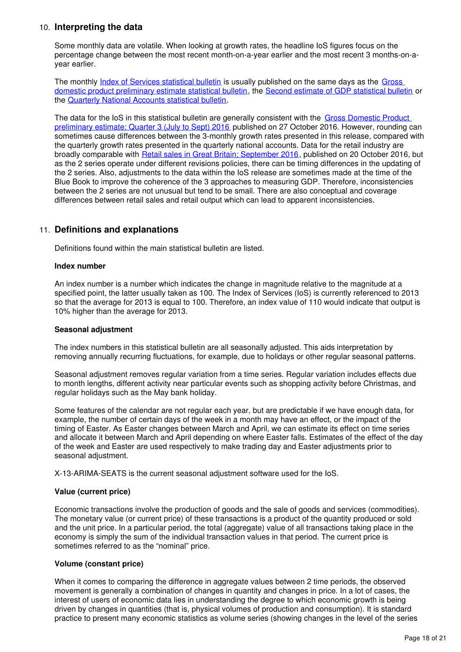## 10. **Interpreting the data**

Some monthly data are volatile. When looking at growth rates, the headline IoS figures focus on the percentage change between the most recent month-on-a-year earlier and the most recent 3 months-on-ayear earlier.

The monthly *[Index of Services statistical bulletin](http://www.ons.gov.uk/economy/economicoutputandproductivity/output/bulletins/indexofservices/previousReleases)* is usually published on the same days as the Gross [domestic product preliminary estimate statistical bulletin](http://www.ons.gov.uk/economy/grossdomesticproductgdp/bulletins/grossdomesticproductpreliminaryestimate/previousReleases), the [Second estimate of GDP statistical bulletin](http://www.ons.gov.uk/economy/grossdomesticproductgdp/bulletins/secondestimateofgdp/previousReleases) or the [Quarterly National Accounts statistical bulletin.](http://www.ons.gov.uk/economy/grossdomesticproductgdp/bulletins/quarterlynationalaccounts/previousReleases)

The data for the IoS in this statistical bulletin are generally consistent with the Gross Domestic Product [preliminary estimate: Quarter 3 \(July to Sept\) 2016](https://www.ons.gov.uk/economy/grossdomesticproductgdp/bulletins/grossdomesticproductpreliminaryestimate/previousReleases) published on 27 October 2016. However, rounding can sometimes cause differences between the 3-monthly growth rates presented in this release, compared with the quarterly growth rates presented in the quarterly national accounts. Data for the retail industry are broadly comparable with [Retail sales in Great Britain: September 2016](https://www.ons.gov.uk/businessindustryandtrade/retailindustry/bulletins/retailsales/sept2016), published on 20 October 2016, but as the 2 series operate under different revisions policies, there can be timing differences in the updating of the 2 series. Also, adjustments to the data within the IoS release are sometimes made at the time of the Blue Book to improve the coherence of the 3 approaches to measuring GDP. Therefore, inconsistencies between the 2 series are not unusual but tend to be small. There are also conceptual and coverage differences between retail sales and retail output which can lead to apparent inconsistencies.

## 11. **Definitions and explanations**

Definitions found within the main statistical bulletin are listed.

#### **Index number**

An index number is a number which indicates the change in magnitude relative to the magnitude at a specified point, the latter usually taken as 100. The Index of Services (IoS) is currently referenced to 2013 so that the average for 2013 is equal to 100. Therefore, an index value of 110 would indicate that output is 10% higher than the average for 2013.

#### **Seasonal adjustment**

The index numbers in this statistical bulletin are all seasonally adjusted. This aids interpretation by removing annually recurring fluctuations, for example, due to holidays or other regular seasonal patterns.

Seasonal adjustment removes regular variation from a time series. Regular variation includes effects due to month lengths, different activity near particular events such as shopping activity before Christmas, and regular holidays such as the May bank holiday.

Some features of the calendar are not regular each year, but are predictable if we have enough data, for example, the number of certain days of the week in a month may have an effect, or the impact of the timing of Easter. As Easter changes between March and April, we can estimate its effect on time series and allocate it between March and April depending on where Easter falls. Estimates of the effect of the day of the week and Easter are used respectively to make trading day and Easter adjustments prior to seasonal adjustment.

X-13-ARIMA-SEATS is the current seasonal adjustment software used for the IoS.

### **Value (current price)**

Economic transactions involve the production of goods and the sale of goods and services (commodities). The monetary value (or current price) of these transactions is a product of the quantity produced or sold and the unit price. In a particular period, the total (aggregate) value of all transactions taking place in the economy is simply the sum of the individual transaction values in that period. The current price is sometimes referred to as the "nominal" price.

### **Volume (constant price)**

When it comes to comparing the difference in aggregate values between 2 time periods, the observed movement is generally a combination of changes in quantity and changes in price. In a lot of cases, the interest of users of economic data lies in understanding the degree to which economic growth is being driven by changes in quantities (that is, physical volumes of production and consumption). It is standard practice to present many economic statistics as volume series (showing changes in the level of the series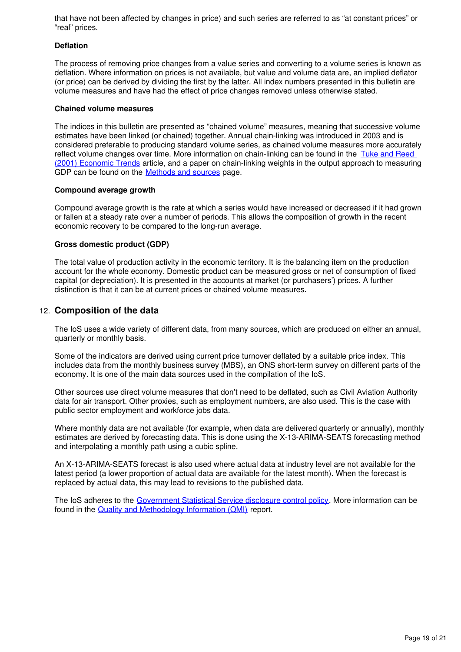that have not been affected by changes in price) and such series are referred to as "at constant prices" or "real" prices.

### **Deflation**

The process of removing price changes from a value series and converting to a volume series is known as deflation. Where information on prices is not available, but value and volume data are, an implied deflator (or price) can be derived by dividing the first by the latter. All index numbers presented in this bulletin are volume measures and have had the effect of price changes removed unless otherwise stated.

#### **Chained volume measures**

The indices in this bulletin are presented as "chained volume" measures, meaning that successive volume estimates have been linked (or chained) together. Annual chain-linking was introduced in 2003 and is considered preferable to producing standard volume series, as chained volume measures more accurately reflect volume changes over time. More information on chain-linking can be found in the [Tuke and Reed](http://webarchive.nationalarchives.gov.uk/20160105160709/http:/www.ons.gov.uk/ons/rel/elmr/economic-trends--discontinued-/no--575--october-2001/index.html)  [\(2001\) Economic Trends](http://webarchive.nationalarchives.gov.uk/20160105160709/http:/www.ons.gov.uk/ons/rel/elmr/economic-trends--discontinued-/no--575--october-2001/index.html) article, and a paper on chain-linking weights in the output approach to measuring GDP can be found on the **Methods and sources** page.

#### **Compound average growth**

Compound average growth is the rate at which a series would have increased or decreased if it had grown or fallen at a steady rate over a number of periods. This allows the composition of growth in the recent economic recovery to be compared to the long-run average.

### **Gross domestic product (GDP)**

The total value of production activity in the economic territory. It is the balancing item on the production account for the whole economy. Domestic product can be measured gross or net of consumption of fixed capital (or depreciation). It is presented in the accounts at market (or purchasers') prices. A further distinction is that it can be at current prices or chained volume measures.

## 12. **Composition of the data**

The IoS uses a wide variety of different data, from many sources, which are produced on either an annual, quarterly or monthly basis.

Some of the indicators are derived using current price turnover deflated by a suitable price index. This includes data from the monthly business survey (MBS), an ONS short-term survey on different parts of the economy. It is one of the main data sources used in the compilation of the IoS.

Other sources use direct volume measures that don't need to be deflated, such as Civil Aviation Authority data for air transport. Other proxies, such as employment numbers, are also used. This is the case with public sector employment and workforce jobs data.

Where monthly data are not available (for example, when data are delivered quarterly or annually), monthly estimates are derived by forecasting data. This is done using the X-13-ARIMA-SEATS forecasting method and interpolating a monthly path using a cubic spline.

An X-13-ARIMA-SEATS forecast is also used where actual data at industry level are not available for the latest period (a lower proportion of actual data are available for the latest month). When the forecast is replaced by actual data, this may lead to revisions to the published data.

The IoS adheres to the [Government Statistical Service disclosure control policy.](http://www.ons.gov.uk/methodology/methodologytopicsandstatisticalconcepts/disclosurecontrol) More information can be found in the [Quality and Methodology Information \(QMI\)](http://www.ons.gov.uk/economy/nationalaccounts/uksectoraccounts/qmis/indexofservicesqmi) report.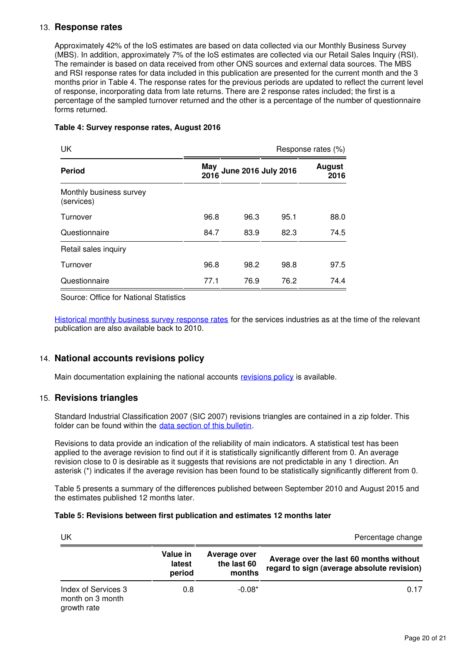## 13. **Response rates**

Approximately 42% of the IoS estimates are based on data collected via our Monthly Business Survey (MBS). In addition, approximately 7% of the IoS estimates are collected via our Retail Sales Inquiry (RSI). The remainder is based on data received from other ONS sources and external data sources. The MBS and RSI response rates for data included in this publication are presented for the current month and the 3 months prior in Table 4. The response rates for the previous periods are updated to reflect the current level of response, incorporating data from late returns. There are 2 response rates included; the first is a percentage of the sampled turnover returned and the other is a percentage of the number of questionnaire forms returned.

### **Table 4: Survey response rates, August 2016**

| UK                                    |             |                            |      | Response rates (%)    |
|---------------------------------------|-------------|----------------------------|------|-----------------------|
| <b>Period</b>                         | May<br>2016 | <b>June 2016 July 2016</b> |      | <b>August</b><br>2016 |
| Monthly business survey<br>(services) |             |                            |      |                       |
| Turnover                              | 96.8        | 96.3                       | 95.1 | 88.0                  |
| Questionnaire                         | 84.7        | 83.9                       | 82.3 | 74.5                  |
| Retail sales inquiry                  |             |                            |      |                       |
| Turnover                              | 96.8        | 98.2                       | 98.8 | 97.5                  |
| Questionnaire                         | 77.1        | 76.9                       | 76.2 | 74.4                  |

Source: Office for National Statistics

[Historical monthly business survey response rates](http://www.ons.gov.uk/economy/economicoutputandproductivity/output/datasets/historicmonthlybusinesssurveyresponserates) for the services industries as at the time of the relevant publication are also available back to 2010.

## 14. **National accounts revisions policy**

Main documentation explaining the national accounts revisions policy is available.

## 15. **Revisions triangles**

Standard Industrial Classification 2007 (SIC 2007) revisions triangles are contained in a zip folder. This folder can be found within the data section of this bulletin.

Revisions to data provide an indication of the reliability of main indicators. A statistical test has been applied to the average revision to find out if it is statistically significantly different from 0. An average revision close to 0 is desirable as it suggests that revisions are not predictable in any 1 direction. An asterisk (\*) indicates if the average revision has been found to be statistically significantly different from 0.

Table 5 presents a summary of the differences published between September 2010 and August 2015 and the estimates published 12 months later.

### **Table 5: Revisions between first publication and estimates 12 months later**

| UK                                                     |                              |                                       | Percentage change                                                                     |
|--------------------------------------------------------|------------------------------|---------------------------------------|---------------------------------------------------------------------------------------|
|                                                        | Value in<br>latest<br>period | Average over<br>the last 60<br>months | Average over the last 60 months without<br>regard to sign (average absolute revision) |
| Index of Services 3<br>month on 3 month<br>growth rate | 0.8                          | $-0.08*$                              | 0.17                                                                                  |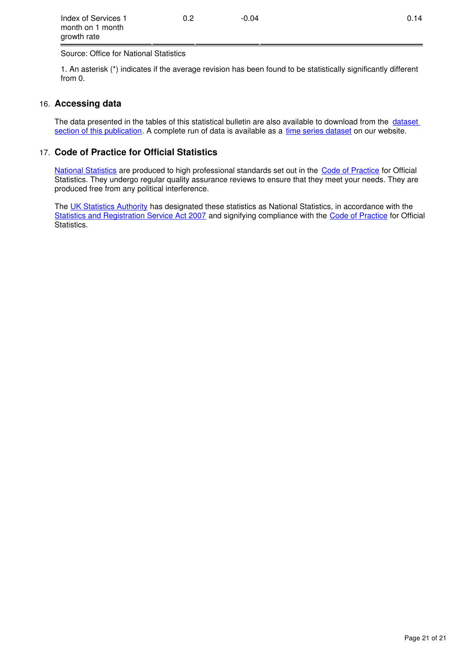| Index of Services 1 | 0.2 | $-0.04$ | 0.14 |
|---------------------|-----|---------|------|
| month on 1 month    |     |         |      |
| growth rate         |     |         |      |

Source: Office for National Statistics

1. An asterisk (\*) indicates if the average revision has been found to be statistically significantly different from 0.

## 16. **Accessing data**

The data presented in the tables of this statistical bulletin are also available to download from the dataset [section of this publication.](https://www.ons.gov.uk/economy/economicoutputandproductivity/output/bulletins/indexofservices/june2016/relateddata) A complete run of data is available as a time series dataset on our website.

## 17. **Code of Practice for Official Statistics**

[National Statistics](https://www.statisticsauthority.gov.uk/national-statistician/types-of-official-statistics/) are produced to high professional standards set out in the [Code of Practice](https://www.statisticsauthority.gov.uk/monitoring-and-assessment/code-of-practice/) for Official Statistics. They undergo regular quality assurance reviews to ensure that they meet your needs. They are produced free from any political interference.

The [UK Statistics Authority](https://www.statisticsauthority.gov.uk/national-statistician/types-of-official-statistics/) has designated these statistics as National Statistics, in accordance with the [Statistics and Registration Service Act 2007](https://www.statisticsauthority.gov.uk/about-the-authority/uk-statistical-system/legislation/key-legislative-documents/) and signifying compliance with the [Code of Practice](https://www.statisticsauthority.gov.uk/monitoring-and-assessment/code-of-practice/) for Official Statistics.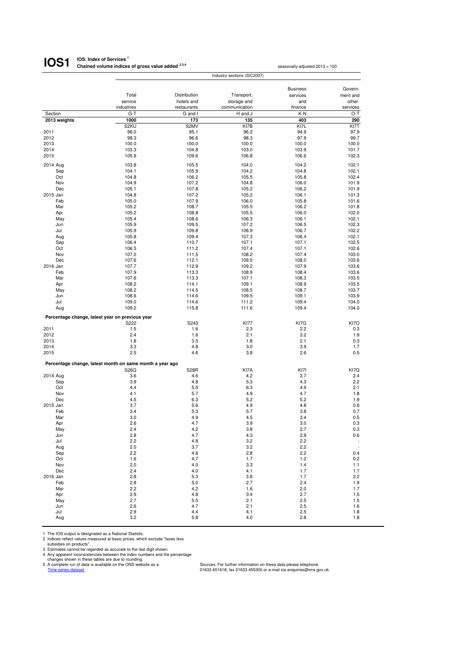#### **IOS: Index of Services <sup>1</sup> Chained volume indices of gross value added 2,3,4 IOS1**

|                                                 |                                                          |                | Industry sections (SIC2007) |                 |                |
|-------------------------------------------------|----------------------------------------------------------|----------------|-----------------------------|-----------------|----------------|
|                                                 |                                                          |                |                             |                 |                |
|                                                 |                                                          |                |                             | <b>Business</b> | Govern-        |
|                                                 | Total                                                    | Distribution   | Transport,                  | services        | ment and       |
|                                                 | service                                                  | hotels and     | storage and                 | and             | other          |
|                                                 | industries                                               | restaurants    | communication               | finance         | services       |
| Section<br>2013 weights                         | $G-T$<br>1000                                            | G and I<br>173 | H and J<br>135              | K-N<br>403      | O-T<br>290     |
|                                                 | S <sub>2</sub> KU                                        | S2MV           | KI7B                        | KI7L            | KI7T           |
| 2011                                            | 96.0                                                     | 95.1           | 96.2                        | 94.9            | 97.9           |
| 2012                                            | 98.3                                                     | 96.6           | 98.3                        | 97.9            | 99.7           |
| 2013                                            | 100.0                                                    | 100.0          | 100.0                       | 100.0           | 100.0          |
| 2014                                            | 103.3                                                    | 104.8          | 103.0                       | 103.9           | 101.7          |
| 2015                                            | 105.9                                                    | 109.6          | 106.8                       | 106.6           | 102.3          |
| 2014 Aug                                        | 103.8                                                    | 105.5          | 104.0                       | 104.2           | 102.1          |
| Sep                                             | 104.1                                                    | 105.9          | 104.2                       | 104.8           | 102.1          |
| Oct                                             | 104.8                                                    | 106.2          | 105.5                       | 105.8           | 102.4          |
| Nov                                             | 104.9                                                    | 107.2          | 104.8                       | 106.0           | 101.9          |
| Dec<br>2015 Jan                                 | 105.1<br>104.8                                           | 107.8<br>107.2 | 105.2<br>105.2              | 106.2<br>106.1  | 101.9<br>101.3 |
| Feb                                             | 105.0                                                    | 107.9          | 106.0                       | 105.8           | 101.6          |
| Mar                                             | 105.2                                                    | 108.7          | 105.5                       | 106.2           | 101.8          |
| Apr                                             | 105.2                                                    | 108.8          | 105.5                       | 106.0           | 102.0          |
| May                                             | 105.4                                                    | 108.6          | 106.3                       | 106.1           | 102.1          |
| Jun                                             | 105.9                                                    | 109.5          | 107.2                       | 106.5           | 102.3          |
| Jul                                             | 105.9                                                    | 109.8          | 106.9                       | 106.7           | 102.2          |
| Aug<br>Sep                                      | 105.8<br>106.4                                           | 109.4<br>110.7 | 107.3<br>107.1              | 106.4<br>107.1  | 102.1<br>102.5 |
| Oct                                             | 106.5                                                    | 111.2          | 107.4                       | 107.1           | 102.6          |
| Nov                                             | 107.0                                                    | 111.5          | 108.2                       | 107.4           | 103.0          |
| Dec                                             | 107.6                                                    | 112.1          | 109.5                       | 108.0           | 103.6          |
| 2016 Jan                                        | 107.7                                                    | 112.9          | 109.2                       | 107.9           | 103.6          |
| Feb                                             | 107.9                                                    | 113.3          | 108.9                       | 108.4           | 103.6          |
| Mar                                             | 107.6                                                    | 113.3          | 107.1                       | 108.3           | 103.5          |
| Apr<br>May                                      | 108.2<br>108.2                                           | 114.1<br>114.5 | 109.1<br>108.5              | 108.9<br>108.7  | 103.5<br>103.7 |
| Jun                                             | 108.6                                                    | 114.6          | 109.5                       | 109.1           | 103.9          |
| Jul                                             | 109.0                                                    | 114.6          | 111.2                       | 109.4           | 104.0          |
| Aug                                             | 109.2                                                    | 115.8          | 111.6                       | 109.4           | 104.0          |
| Percentage change, latest year on previous year |                                                          |                |                             |                 |                |
|                                                 | S222                                                     | S243           | <b>KI77</b>                 | KI7G            | KI7O           |
| 2011                                            | 1.5                                                      | 1.6            | 2.3                         | 2.2             | 0.3            |
| 2012                                            | 2.4                                                      | 1.6            | 2.1                         | 3.2             | 1.9            |
| 2013                                            | 1.8                                                      | 3.5            | 1.8                         | 2.1             | 0.3            |
| 2014<br>2015                                    | 3.3<br>2.5                                               | 4.8<br>4.6     | 3.0<br>3.8                  | 3.9<br>2.6      | 1.7            |
|                                                 |                                                          |                |                             |                 | 0.5            |
|                                                 | Percentage change, latest month on same month a year ago |                |                             |                 |                |
|                                                 | S26Q                                                     | <b>S28R</b>    | KI7A                        | KI7I            | KI7Q           |
| 2014 Aug                                        | 3.6                                                      | 4.6            | 4.2                         | 3.7             | 2.4            |
| Sep<br>Oct                                      | 3.9<br>4.4                                               | 4.8<br>5.5     | 5.3<br>6.3                  | 4.3<br>4.9      | 2.2<br>2.1     |
| Nov                                             | 4.1                                                      | 5.7            | 4.9                         | 4.7             | 1.8            |
| Dec                                             | 4.5                                                      | 6.3            | 5.2                         | 5.2             | 1.9            |
| 2015 Jan                                        | 3.7                                                      | 5.6            | 4.9                         | 4.8             | 0.6            |
| Feb                                             | 3.4                                                      | 5.3            | 5.7                         | 3.8             | 0.7            |
| Mar                                             | 3.0                                                      | 4.9            | 4.5                         | 3.4             | 0.5            |
| Apr                                             | 2.6                                                      | 4.7            | 3.9                         | 3.0             | 0.3            |
| May<br>Jun                                      | 2.4<br>2.8                                               | 4.2<br>4.7     | 3.8<br>4.3                  | 2.7<br>2.9      | 0.3<br>0.6     |
| Jul                                             | 2.2                                                      | 4.8            | 3.2                         | 2.2             |                |
| Aug                                             | 2.0                                                      | 3.7            | 3.2                         | 2.2             | $\frac{1}{2}$  |
| Sep                                             | 2.2                                                      | 4.6            | 2.8                         | 2.2             | 0.4            |
| Oct                                             | 1.6                                                      | 4.7            | 1.7                         | 1.2             | 0.2            |
| Nov                                             | 2.0                                                      | 4.0            | 3.3                         | 1.4             | 1.1            |
| Dec                                             | 2.4                                                      | 4.0            | 4.1                         | 1.7             | 1.7            |
| 2016 Jan<br>Feb                                 | 2.8<br>2.8                                               | 5.3<br>5.0     | 3.8<br>2.7                  | 1.7<br>2.4      | 2.2<br>1.9     |
| Mar                                             | 2.2                                                      | 4.2            | 1.6                         | 2.0             | 1.7            |
| Apr                                             | 2.9                                                      | 4.8            | 3.4                         | 2.7             | 1.5            |
| May                                             | 2.7                                                      | 5.5            | 2.1                         | 2.5             | 1.5            |
| Jun                                             | 2.6                                                      | 4.7            | 2.1                         | 2.5             | 1.6            |
| Jul                                             | 2.9                                                      | 4.4            | 4.1                         | 2.5             | 1.8            |
| Aug                                             | 3.2                                                      | 5.8            | 4.0                         | 2.8             | 1.8            |

1 The IOS output is designated as a National Statistic.<br>
2 Indices reflect values measured at basic prices, which exclude "taxes less<br>
3 Istimates cannot be regarded as accurate to the last digit shown.<br>
4 Any apparent inc

seasonally adjusted 2013 = 100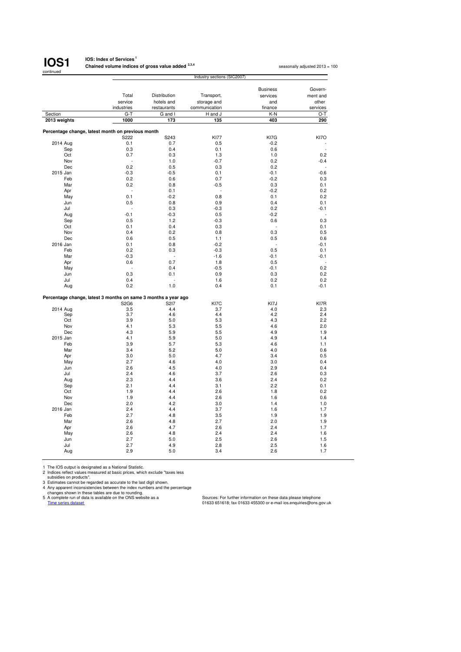

#### **IOS: Index of Services<sup>1</sup> Chained volume indices of gross value added 2,3,4**

seasonally adjusted 2013 = 100

|              |                                                                | Industry sections (SIC2007) |               |                 |          |  |  |
|--------------|----------------------------------------------------------------|-----------------------------|---------------|-----------------|----------|--|--|
|              |                                                                |                             |               | <b>Business</b> | Govern-  |  |  |
|              |                                                                |                             |               |                 |          |  |  |
|              | Total                                                          | Distribution                | Transport,    | services        | ment and |  |  |
|              | service                                                        | hotels and                  | storage and   | and             | other    |  |  |
|              | industries                                                     | restaurants                 | communication | finance         | services |  |  |
| Section      | $G-T$                                                          | G and I                     | H and J       | K-N             | $O-T$    |  |  |
| 2013 weights | 1000                                                           | 173                         | 135           | 403             | 290      |  |  |
|              | Percentage change, latest month on previous month              |                             |               |                 |          |  |  |
|              | S222                                                           | S243                        | <b>KI77</b>   | KI7G            | KI7O     |  |  |
| 2014 Aug     | 0.1                                                            | 0.7                         | 0.5           | $-0.2$          |          |  |  |
| Sep          | 0.3                                                            | 0.4                         | 0.1           | 0.6             |          |  |  |
| Oct          | 0.7                                                            | 0.3                         | 1.3           | 1.0             | 0.2      |  |  |
| Nov          |                                                                | 1.0                         | $-0.7$        |                 |          |  |  |
| Dec          | 0.2                                                            | 0.5                         | 0.3           | 0.2<br>0.2      | $-0.4$   |  |  |
|              |                                                                |                             |               |                 |          |  |  |
| 2015 Jan     | $-0.3$                                                         | $-0.5$                      | 0.1           | $-0.1$          | $-0.6$   |  |  |
| Feb          | 0.2                                                            | 0.6                         | 0.7           | $-0.2$          | 0.3      |  |  |
| Mar          | 0.2                                                            | 0.8                         | $-0.5$        | 0.3             | 0.1      |  |  |
| Apr          | L.                                                             | 0.1                         | ÷.            | $-0.2$          | 0.2      |  |  |
| May          | 0.1                                                            | $-0.2$                      | 0.8           | 0.1             | 0.2      |  |  |
| Jun          | 0.5                                                            | 0.8                         | 0.9           | 0.4             | 0.1      |  |  |
| Jul          |                                                                | 0.3                         | $-0.3$        | 0.2             | $-0.1$   |  |  |
| Aug          | $-0.1$                                                         | $-0.3$                      | 0.5           | $-0.2$          |          |  |  |
| Sep          | 0.5                                                            | 1.2                         | $-0.3$        | 0.6             | 0.3      |  |  |
| Oct          | 0.1                                                            | 0.4                         | 0.3           |                 | 0.1      |  |  |
| Nov          | 0.4                                                            | 0.2                         | 0.8           | 0.3             | 0.5      |  |  |
| Dec          | 0.6                                                            | 0.5                         | 1.1           | 0.5             | 0.6      |  |  |
| 2016 Jan     | 0.1                                                            | 0.8                         | $-0.2$        |                 | $-0.1$   |  |  |
| Feb          | 0.2                                                            | 0.3                         | $-0.3$        | 0.5             | 0.1      |  |  |
| Mar          | $-0.3$                                                         | ä,                          | $-1.6$        | $-0.1$          | $-0.1$   |  |  |
| Apr          | 0.6                                                            | 0.7                         | 1.8           | 0.5             |          |  |  |
| May          |                                                                | 0.4                         | $-0.5$        | $-0.1$          | 0.2      |  |  |
| Jun          | 0.3                                                            | 0.1                         | 0.9           | 0.3             | 0.2      |  |  |
| Jul          | 0.4                                                            |                             | 1.6           | 0.2             | 0.2      |  |  |
| Aug          | 0.2                                                            | 1.0                         | 0.4           | 0.1             | $-0.1$   |  |  |
|              |                                                                |                             |               |                 |          |  |  |
|              | Percentage change, latest 3 months on same 3 months a year ago |                             |               |                 |          |  |  |
|              | S2G6                                                           | S217                        | KI7C          | KI7J            | KI7R     |  |  |
| 2014 Aug     | 3.5                                                            | 4.4                         | 3.7           | 4.0             | 2.3      |  |  |
| Sep          | 3.7                                                            | 4.6                         | 4.4           | 4.2             | 2.4      |  |  |
| Oct          | 3.9                                                            | 5.0                         | 5.3           | 4.3             | 2.2      |  |  |
| Nov          | 4.1                                                            | 5.3                         | 5.5           | 4.6             | 2.0      |  |  |
| Dec          | 4.3                                                            | 5.9                         | 5.5           | 4.9             | 1.9      |  |  |
| 2015 Jan     | 4.1                                                            | 5.9                         | 5.0           | 4.9             | 1.4      |  |  |
| Feb          | 3.9                                                            | 5.7                         | 5.3           | 4.6             | 1.1      |  |  |
| Mar          | 3.4                                                            | 5.2                         | 5.0           | 4.0             | 0.6      |  |  |
| Apr          | 3.0                                                            | 5.0                         | 4.7           | 3.4             | 0.5      |  |  |
| May          | 2.7                                                            | 4.6                         | 4.0           | 3.0             | 0.4      |  |  |
| Jun          | 2.6                                                            | 4.5                         | 4.0           | 2.9             | 0.4      |  |  |
| Jul          | 2.4                                                            | 4.6                         | 3.7           | 2.6             | 0.3      |  |  |
| Aug          | 2.3                                                            | 4.4                         | 3.6           | 2.4             | 0.2      |  |  |
| Sep          | 2.1                                                            | 4.4                         | 3.1           | 2.2             | 0.1      |  |  |
| Oct          | 1.9                                                            | 4.4                         | 2.6           | 1.8             | 0.2      |  |  |
| Nov          | 1.9                                                            | 4.4                         | 2.6           | 1.6             | 0.6      |  |  |
| Dec          | 2.0                                                            | 4.2                         | 3.0           | 1.4             | 1.0      |  |  |
| 2016 Jan     | 2.4                                                            | 4.4                         | 3.7           | 1.6             | 1.7      |  |  |
| Feb          | 2.7                                                            | 4.8                         | 3.5           | 1.9             | 1.9      |  |  |
| Mar          | 2.6                                                            | 4.8                         | 2.7           | 2.0             | 1.9      |  |  |
| Apr          | 2.6                                                            | 4.7                         | 2.6           | 2.4             | 1.7      |  |  |
| May          | 2.6                                                            | 4.8                         | 2.4           | 2.4             | 1.6      |  |  |
| Jun          | 2.7                                                            | 5.0                         | 2.5           | 2.6             | 1.5      |  |  |
| Jul          | 2.7                                                            | 4.9                         | 2.8           | 2.5             | 1.6      |  |  |
| Aug          | 2.9                                                            | 5.0                         | 3.4           | 2.6             | 1.7      |  |  |
|              |                                                                |                             |               |                 |          |  |  |

1 The IOS output is designated as a National Statistic.<br>
2 Indices reflect values measured at basic prices, which exclude "taxes less<br>
3 Distinates cannot be regarded as accurate to the last digit shown.<br>
4 Any apparent in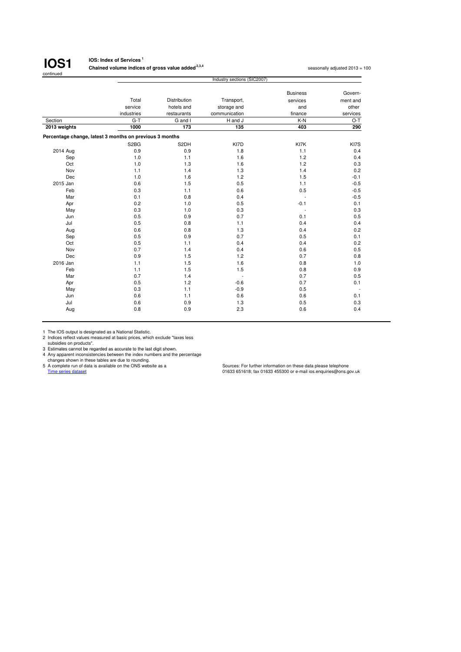

### **IOS: Index of Services <sup>1</sup>**

**Chained volume indices of gross value added <sup>2,3,4</sup> seasonally adjusted 2013 = 100 seasonally adjusted 2013 = 100** 

| <b>Business</b><br>Total<br>Distribution<br>Transport,<br>services<br>service<br>hotels and<br>storage and<br>and<br>industries<br>communication<br>finance<br>restaurants<br>$G-T$<br>K-N<br>Section<br>G and I<br>H and J<br>2013 weights<br>1000<br>173<br>135<br>403<br>Percentage change, latest 3 months on previous 3 months<br>S <sub>2</sub> B <sub>G</sub><br>S2DH<br>KI7D<br>KI7K<br>2014 Aug<br>0.9<br>0.9<br>1.8<br>1.1<br>1.2<br>1.0<br>1.1<br>1.6<br>Sep<br>1.3<br>1.6<br>1.2<br>Oct<br>1.0<br>1.3<br>1.4<br>Nov<br>1.1<br>1.4<br>1.2<br>Dec<br>1.0<br>1.6<br>1.5<br>0.5<br>2015 Jan<br>0.6<br>1.5<br>1.1<br>Feb<br>0.6<br>0.5<br>0.3<br>1.1<br>0.8<br>Mar<br>0.1<br>0.4<br>0.2<br>1.0<br>0.5<br>$-0.1$<br>Apr<br>0.3<br>1.0<br>0.3<br>May<br>÷<br>0.5<br>0.9<br>0.7<br>Jun<br>0.1<br>0.5<br>0.8<br>1.1<br>Jul<br>0.4<br>0.6<br>0.8<br>1.3<br>0.4<br>Aug<br>0.7<br>0.5<br>0.9<br>0.5<br>Sep<br>0.5<br>0.4<br>0.4<br>Oct<br>1.1<br>1.4<br>0.6<br>Nov<br>0.7<br>0.4<br>1.5<br>1.2<br>Dec<br>0.9<br>0.7<br>2016 Jan<br>1.1<br>1.5<br>1.6<br>0.8<br>1.5<br>1.5<br>Feb<br>1.1<br>0.8 |                          |
|------------------------------------------------------------------------------------------------------------------------------------------------------------------------------------------------------------------------------------------------------------------------------------------------------------------------------------------------------------------------------------------------------------------------------------------------------------------------------------------------------------------------------------------------------------------------------------------------------------------------------------------------------------------------------------------------------------------------------------------------------------------------------------------------------------------------------------------------------------------------------------------------------------------------------------------------------------------------------------------------------------------------------------------------------------------------------------------------|--------------------------|
|                                                                                                                                                                                                                                                                                                                                                                                                                                                                                                                                                                                                                                                                                                                                                                                                                                                                                                                                                                                                                                                                                                | Govern-                  |
|                                                                                                                                                                                                                                                                                                                                                                                                                                                                                                                                                                                                                                                                                                                                                                                                                                                                                                                                                                                                                                                                                                | ment and                 |
|                                                                                                                                                                                                                                                                                                                                                                                                                                                                                                                                                                                                                                                                                                                                                                                                                                                                                                                                                                                                                                                                                                | other                    |
|                                                                                                                                                                                                                                                                                                                                                                                                                                                                                                                                                                                                                                                                                                                                                                                                                                                                                                                                                                                                                                                                                                | services                 |
|                                                                                                                                                                                                                                                                                                                                                                                                                                                                                                                                                                                                                                                                                                                                                                                                                                                                                                                                                                                                                                                                                                | $O-T$                    |
|                                                                                                                                                                                                                                                                                                                                                                                                                                                                                                                                                                                                                                                                                                                                                                                                                                                                                                                                                                                                                                                                                                | 290                      |
|                                                                                                                                                                                                                                                                                                                                                                                                                                                                                                                                                                                                                                                                                                                                                                                                                                                                                                                                                                                                                                                                                                |                          |
|                                                                                                                                                                                                                                                                                                                                                                                                                                                                                                                                                                                                                                                                                                                                                                                                                                                                                                                                                                                                                                                                                                | KI7S                     |
|                                                                                                                                                                                                                                                                                                                                                                                                                                                                                                                                                                                                                                                                                                                                                                                                                                                                                                                                                                                                                                                                                                | 0.4                      |
|                                                                                                                                                                                                                                                                                                                                                                                                                                                                                                                                                                                                                                                                                                                                                                                                                                                                                                                                                                                                                                                                                                | 0.4                      |
|                                                                                                                                                                                                                                                                                                                                                                                                                                                                                                                                                                                                                                                                                                                                                                                                                                                                                                                                                                                                                                                                                                | 0.3                      |
|                                                                                                                                                                                                                                                                                                                                                                                                                                                                                                                                                                                                                                                                                                                                                                                                                                                                                                                                                                                                                                                                                                | 0.2                      |
|                                                                                                                                                                                                                                                                                                                                                                                                                                                                                                                                                                                                                                                                                                                                                                                                                                                                                                                                                                                                                                                                                                | $-0.1$                   |
|                                                                                                                                                                                                                                                                                                                                                                                                                                                                                                                                                                                                                                                                                                                                                                                                                                                                                                                                                                                                                                                                                                | $-0.5$                   |
|                                                                                                                                                                                                                                                                                                                                                                                                                                                                                                                                                                                                                                                                                                                                                                                                                                                                                                                                                                                                                                                                                                | $-0.5$                   |
|                                                                                                                                                                                                                                                                                                                                                                                                                                                                                                                                                                                                                                                                                                                                                                                                                                                                                                                                                                                                                                                                                                | $-0.5$                   |
|                                                                                                                                                                                                                                                                                                                                                                                                                                                                                                                                                                                                                                                                                                                                                                                                                                                                                                                                                                                                                                                                                                | 0.1                      |
|                                                                                                                                                                                                                                                                                                                                                                                                                                                                                                                                                                                                                                                                                                                                                                                                                                                                                                                                                                                                                                                                                                | 0.3                      |
|                                                                                                                                                                                                                                                                                                                                                                                                                                                                                                                                                                                                                                                                                                                                                                                                                                                                                                                                                                                                                                                                                                | 0.5                      |
|                                                                                                                                                                                                                                                                                                                                                                                                                                                                                                                                                                                                                                                                                                                                                                                                                                                                                                                                                                                                                                                                                                | 0.4                      |
|                                                                                                                                                                                                                                                                                                                                                                                                                                                                                                                                                                                                                                                                                                                                                                                                                                                                                                                                                                                                                                                                                                | 0.2                      |
|                                                                                                                                                                                                                                                                                                                                                                                                                                                                                                                                                                                                                                                                                                                                                                                                                                                                                                                                                                                                                                                                                                | 0.1                      |
|                                                                                                                                                                                                                                                                                                                                                                                                                                                                                                                                                                                                                                                                                                                                                                                                                                                                                                                                                                                                                                                                                                | 0.2                      |
|                                                                                                                                                                                                                                                                                                                                                                                                                                                                                                                                                                                                                                                                                                                                                                                                                                                                                                                                                                                                                                                                                                | 0.5                      |
|                                                                                                                                                                                                                                                                                                                                                                                                                                                                                                                                                                                                                                                                                                                                                                                                                                                                                                                                                                                                                                                                                                | 0.8                      |
|                                                                                                                                                                                                                                                                                                                                                                                                                                                                                                                                                                                                                                                                                                                                                                                                                                                                                                                                                                                                                                                                                                | 1.0                      |
|                                                                                                                                                                                                                                                                                                                                                                                                                                                                                                                                                                                                                                                                                                                                                                                                                                                                                                                                                                                                                                                                                                | 0.9                      |
| 0.7<br>1.4<br>0.7<br>Mar<br>÷                                                                                                                                                                                                                                                                                                                                                                                                                                                                                                                                                                                                                                                                                                                                                                                                                                                                                                                                                                                                                                                                  | 0.5                      |
| 0.5<br>1.2<br>$-0.6$<br>0.7<br>Apr                                                                                                                                                                                                                                                                                                                                                                                                                                                                                                                                                                                                                                                                                                                                                                                                                                                                                                                                                                                                                                                             | 0.1                      |
| 1.1<br>0.3<br>$-0.9$<br>0.5<br>May                                                                                                                                                                                                                                                                                                                                                                                                                                                                                                                                                                                                                                                                                                                                                                                                                                                                                                                                                                                                                                                             | $\overline{\phantom{a}}$ |
| 0.6<br>1.1<br>0.6<br>0.6<br>Jun                                                                                                                                                                                                                                                                                                                                                                                                                                                                                                                                                                                                                                                                                                                                                                                                                                                                                                                                                                                                                                                                | 0.1                      |
| 0.6<br>0.9<br>1.3<br>0.5<br>Jul                                                                                                                                                                                                                                                                                                                                                                                                                                                                                                                                                                                                                                                                                                                                                                                                                                                                                                                                                                                                                                                                | 0.3                      |
| 0.8<br>0.9<br>2.3<br>0.6<br>Aug                                                                                                                                                                                                                                                                                                                                                                                                                                                                                                                                                                                                                                                                                                                                                                                                                                                                                                                                                                                                                                                                | 0.4                      |

1 The IOS output is designated as a National Statistic. 2 Indices reflect values measured at basic prices, which exclude "taxes less subsidies on products".

3 Estimates cannot be regarded as accurate to the last digit shown.<br>
4 Any apparent inconsistencies between the index numbers and the percentage<br>
changes shown in these tables are due to rounding.<br>
5 A complete run of data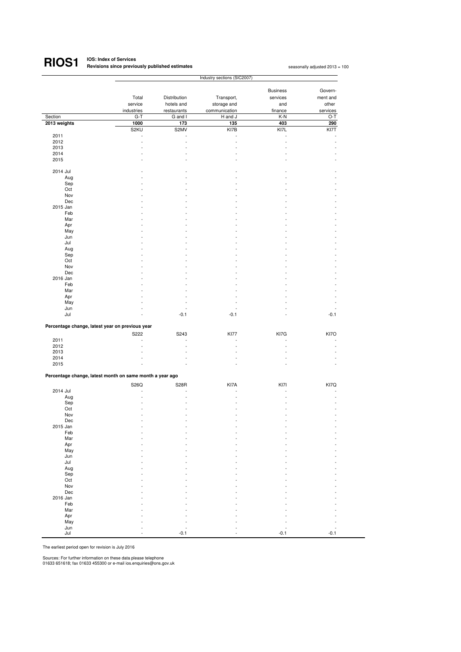## **RIOS1**

**IOS: Index of Services Revisions since previously published estimates <sup>1</sup>**

seasonally adjusted 2013 = 100

|                                                          |            |                      | Industry sections (SIC2007) |                      |          |
|----------------------------------------------------------|------------|----------------------|-----------------------------|----------------------|----------|
|                                                          |            |                      |                             |                      |          |
|                                                          |            |                      |                             | <b>Business</b>      | Govern-  |
|                                                          | Total      | Distribution         | Transport,                  | services             | ment and |
|                                                          | service    | hotels and           | storage and                 | and                  | other    |
|                                                          | industries | restaurants          | communication               | finance              | services |
| Section                                                  | $G-T$      | G and I              | H and J                     | K-N                  | O-T      |
| 2013 weights                                             | 1000       | 173                  | 135                         | 403                  | 290      |
|                                                          | S2KU       | S2MV                 | KI7B                        | KI7L                 | KI7T     |
| 2011                                                     |            |                      | ٠                           | $\ddot{\phantom{1}}$ |          |
| 2012                                                     |            | ÷,                   | L,                          | ÷,                   |          |
| 2013                                                     |            | L                    |                             |                      |          |
| 2014                                                     |            |                      |                             |                      |          |
| 2015                                                     |            |                      |                             |                      |          |
|                                                          |            |                      |                             |                      |          |
| 2014 Jul                                                 |            |                      |                             |                      |          |
| Aug                                                      |            |                      |                             |                      |          |
| Sep                                                      |            |                      |                             |                      |          |
| Oct                                                      |            |                      |                             |                      |          |
| Nov                                                      |            |                      |                             |                      |          |
| Dec                                                      |            |                      |                             |                      |          |
| 2015 Jan                                                 |            |                      |                             |                      |          |
| Feb                                                      |            |                      |                             |                      |          |
| Mar                                                      |            |                      |                             |                      |          |
| Apr                                                      |            |                      |                             |                      |          |
| May                                                      |            |                      |                             |                      |          |
| Jun                                                      |            |                      |                             |                      |          |
| Jul                                                      |            |                      |                             |                      |          |
| Aug                                                      |            |                      |                             |                      |          |
| Sep                                                      |            |                      |                             |                      |          |
| Oct                                                      |            |                      |                             |                      |          |
| Nov                                                      |            |                      |                             |                      |          |
| Dec                                                      |            |                      |                             |                      |          |
| 2016 Jan                                                 |            |                      |                             |                      |          |
| Feb                                                      |            |                      |                             |                      |          |
| Mar                                                      |            |                      |                             |                      |          |
| Apr                                                      |            |                      |                             |                      |          |
| May                                                      |            |                      |                             |                      |          |
| Jun<br>Jul                                               |            | $-0.1$               | $-0.1$                      |                      | $-0.1$   |
|                                                          |            |                      |                             |                      |          |
| Percentage change, latest year on previous year          |            |                      |                             |                      |          |
|                                                          | S222       | S243                 | <b>KI77</b>                 | KI7G                 | KI7O     |
| 2011                                                     |            | $\ddot{\phantom{1}}$ |                             | $\ddot{\phantom{1}}$ |          |
| 2012                                                     |            | $\ddot{\phantom{1}}$ |                             | $\sim$               |          |
| 2013                                                     |            |                      |                             |                      |          |
| 2014                                                     |            |                      |                             |                      |          |
| 2015                                                     |            |                      |                             |                      |          |
|                                                          |            |                      |                             |                      |          |
| Percentage change, latest month on same month a year ago |            |                      |                             |                      |          |
|                                                          | S26Q       | S <sub>28</sub> R    | KI7A                        | KI7I                 | KI7Q     |
| 2014 Jul                                                 |            | L                    |                             |                      |          |
| Aug                                                      |            | ä,                   |                             |                      |          |
| Sep                                                      |            |                      |                             |                      |          |
| Oct                                                      |            |                      |                             |                      |          |
| Nov                                                      |            |                      |                             |                      |          |
| Dec                                                      |            |                      |                             |                      |          |
| 2015 Jan                                                 |            |                      |                             |                      |          |
| Feb                                                      |            |                      |                             |                      |          |
| Mar                                                      |            |                      |                             |                      |          |
| Apr                                                      |            |                      |                             |                      |          |
| May                                                      |            |                      |                             |                      |          |
| Jun                                                      |            |                      |                             |                      |          |
| Jul                                                      |            |                      |                             |                      |          |
| Aug                                                      |            |                      |                             |                      |          |
| Sep                                                      |            |                      |                             |                      |          |
| Oct                                                      |            |                      |                             |                      |          |
| Nov                                                      |            |                      |                             |                      |          |
| Dec                                                      |            |                      |                             |                      |          |
| 2016 Jan                                                 |            |                      |                             |                      |          |
| Feb                                                      |            |                      |                             |                      |          |
| Mar                                                      |            |                      |                             |                      |          |
| Apr                                                      |            |                      |                             |                      |          |
| May                                                      |            |                      |                             |                      |          |
| Jun                                                      |            |                      |                             |                      |          |
| Jul                                                      |            | $-0.1$               |                             | $-0.1$               | $-0.1$   |

The earliest period open for revision is July 2016

Sources: For further information on these data please telephone 01633 651618; fax 01633 455300 or e-mail ios.enquiries@ons.gov.uk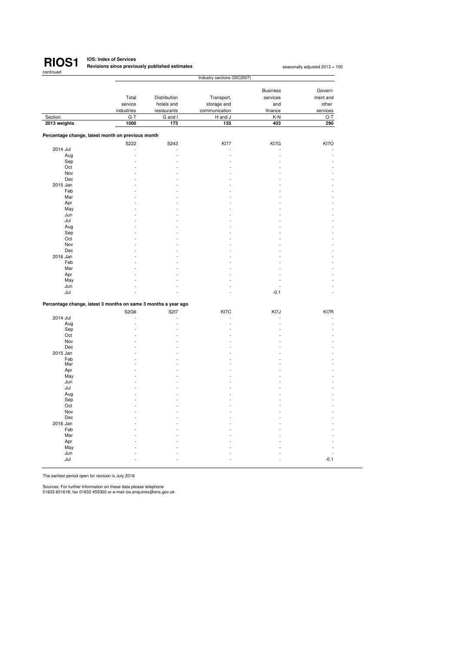

#### **IOS: Index of Services Revisions since previously published estimates <sup>1</sup>**

seasonally adjusted 2013 = 100

|                                                                |            | Industry sections (SIC2007) |               |                 |          |  |
|----------------------------------------------------------------|------------|-----------------------------|---------------|-----------------|----------|--|
|                                                                |            |                             |               |                 |          |  |
|                                                                |            |                             |               | <b>Business</b> | Govern-  |  |
|                                                                | Total      | Distribution                | Transport,    | services        | ment and |  |
|                                                                | service    | hotels and                  | storage and   | and             | other    |  |
|                                                                | industries | restaurants                 | communication | finance         | services |  |
| Section                                                        | $G-T$      | G and I                     | H and J       | K-N             | O-T      |  |
| 2013 weights                                                   | 1000       | 173                         | 135           | 403             | 290      |  |
|                                                                |            |                             |               |                 |          |  |
| Percentage change, latest month on previous month              |            |                             |               |                 |          |  |
|                                                                | S222       | S243                        | <b>KI77</b>   | KI7G            | KI7O     |  |
| 2014 Jul                                                       | L,         |                             |               |                 |          |  |
| Aug                                                            |            | L.                          |               |                 |          |  |
| Sep                                                            |            |                             |               |                 |          |  |
| Oct                                                            |            |                             |               |                 |          |  |
| Nov                                                            |            |                             |               |                 |          |  |
| Dec                                                            |            |                             |               |                 |          |  |
| 2015 Jan                                                       |            |                             |               |                 |          |  |
| Feb                                                            |            |                             |               |                 |          |  |
| Mar                                                            |            |                             |               |                 |          |  |
| Apr                                                            |            |                             |               |                 |          |  |
| May                                                            |            |                             |               |                 |          |  |
| Jun                                                            |            |                             |               |                 |          |  |
| Jul                                                            |            |                             |               |                 |          |  |
| Aug                                                            |            |                             |               |                 |          |  |
| Sep                                                            |            |                             |               |                 |          |  |
| Oct                                                            |            |                             |               |                 |          |  |
| Nov                                                            |            |                             |               |                 |          |  |
| Dec                                                            |            |                             |               |                 |          |  |
| 2016 Jan                                                       |            |                             |               |                 |          |  |
| Feb                                                            |            |                             |               |                 |          |  |
| Mar                                                            |            |                             |               |                 |          |  |
| Apr                                                            |            |                             |               |                 |          |  |
| May                                                            |            |                             |               |                 |          |  |
| Jun                                                            |            |                             |               |                 |          |  |
| Jul                                                            |            |                             |               | $-0.1$          |          |  |
|                                                                |            |                             |               |                 |          |  |
| Percentage change, latest 3 months on same 3 months a year ago |            |                             |               |                 |          |  |
|                                                                |            |                             |               |                 |          |  |
|                                                                | S2G6       | S217                        | KI7C          | KI7J            | KI7R     |  |
| 2014 Jul                                                       |            | ÷,                          |               |                 |          |  |
| Aug                                                            |            |                             |               |                 |          |  |
| Sep                                                            |            |                             |               |                 |          |  |
| Oct                                                            |            |                             |               |                 |          |  |
| Nov<br>Dec                                                     |            |                             |               |                 |          |  |
| 2015 Jan                                                       |            |                             |               |                 |          |  |
| Feb                                                            |            |                             |               |                 |          |  |
| Mar                                                            |            |                             |               |                 |          |  |
| Apr                                                            |            |                             |               |                 |          |  |
| May                                                            |            |                             |               |                 |          |  |
| Jun                                                            |            |                             |               |                 |          |  |
| Jul                                                            |            |                             |               |                 |          |  |
| Aug                                                            |            |                             |               |                 |          |  |
| Sep                                                            |            |                             |               |                 |          |  |
| Oct                                                            |            |                             |               |                 |          |  |
| Nov                                                            |            |                             |               |                 |          |  |
| Dec                                                            |            |                             |               |                 |          |  |
| 2016 Jan                                                       |            |                             |               |                 |          |  |
| Feb                                                            |            |                             |               |                 |          |  |
| Mar                                                            |            |                             |               |                 |          |  |
| Apr                                                            |            |                             |               |                 |          |  |
| May                                                            |            |                             |               |                 |          |  |
| Jun                                                            |            |                             |               |                 |          |  |
| Jul                                                            |            |                             |               |                 | $-0.1$   |  |
|                                                                |            |                             |               |                 |          |  |

The earliest period open for revision is July 2016

Sources: For further information on these data please telephone 01633 651618; fax 01633 455300 or e-mail ios.enquiries@ons.gov.uk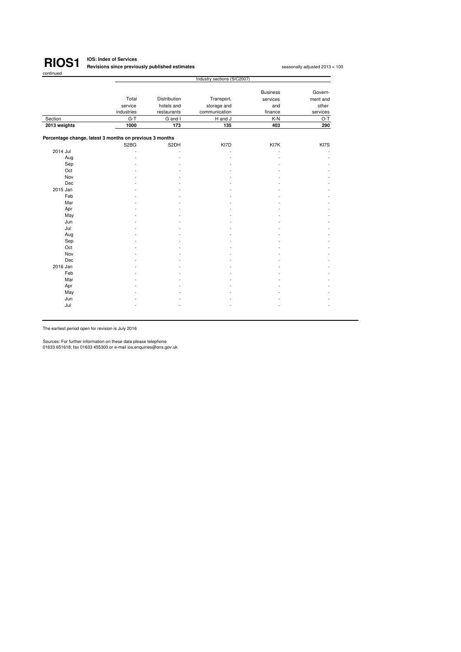

#### **IOS: Index of Services Revisions since previously published estimates<sup>1</sup>**

seasonally adjusted 2013 = 100

|                                                         | Industry sections (SIC2007)   |              |               |                 |          |
|---------------------------------------------------------|-------------------------------|--------------|---------------|-----------------|----------|
|                                                         |                               |              |               | <b>Business</b> | Govern-  |
|                                                         | Total                         | Distribution | Transport,    | services        | ment and |
|                                                         | service                       | hotels and   | storage and   | and             | other    |
|                                                         | industries                    | restaurants  | communication | finance         | services |
| Section                                                 | $G-T$                         | G and I      | H and J       | K-N             | O-T      |
| 2013 weights                                            | 1000                          | 173          | 135           | 403             | 290      |
| Percentage change, latest 3 months on previous 3 months |                               |              |               |                 |          |
|                                                         | S <sub>2</sub> B <sub>G</sub> | S2DH         | KI7D          | KI7K            | KI7S     |
| 2014 Jul                                                |                               |              |               | ÷               |          |
| Aug                                                     |                               |              |               |                 |          |
| Sep                                                     |                               |              |               |                 |          |
| Oct                                                     |                               |              |               |                 |          |
| Nov                                                     |                               |              |               |                 |          |
| Dec                                                     |                               |              |               |                 |          |
| 2015 Jan                                                |                               |              |               |                 |          |
| Feb                                                     |                               |              |               |                 |          |
| Mar                                                     |                               |              |               |                 |          |
| Apr                                                     |                               |              |               |                 |          |
| May                                                     |                               |              |               |                 |          |
| Jun                                                     |                               |              |               |                 |          |
| Jul                                                     |                               |              |               |                 |          |
| Aug                                                     |                               |              |               |                 |          |
| Sep                                                     |                               |              |               |                 |          |
| Oct                                                     |                               |              |               |                 |          |
| Nov                                                     |                               |              |               |                 |          |
| Dec                                                     |                               |              |               |                 |          |
| 2016 Jan                                                |                               |              |               |                 |          |
| Feb                                                     |                               |              |               |                 |          |
| Mar                                                     |                               |              |               |                 |          |
| Apr                                                     |                               |              |               |                 |          |
| May                                                     |                               |              |               |                 |          |
| Jun                                                     |                               |              |               |                 |          |
| Jul                                                     |                               |              |               |                 |          |

The earliest period open for revision is July 2016

Sources: For further information on these data please telephone 01633 651618; fax 01633 455300 or e-mail ios.enquiries@ons.gov.uk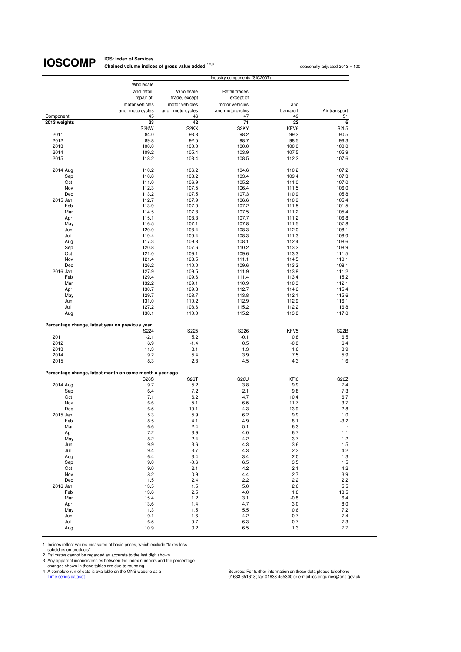## **IOSCOMP** Chained volume indice

**Chained volume indices of gross value added <sup>1,2,3</sup> seasonally adjusted 2013 = 100 seasonally adjusted 2013 = 100** 

|                                                          |                 |                   | Industry components (SIC2007) |               |                          |
|----------------------------------------------------------|-----------------|-------------------|-------------------------------|---------------|--------------------------|
|                                                          | Wholesale       |                   |                               |               |                          |
|                                                          | and retail.     | Wholesale         | Retail trades                 |               |                          |
|                                                          | repair of       | trade, except     | except of                     |               |                          |
|                                                          | motor vehicles  | motor vehicles    | motor vehicles                | Land          |                          |
|                                                          | and motorcycles | and motorcycles   | and motorcycles               | transport     | Air transport            |
| Component                                                | 45              | 46                | 47                            | 49            | 51                       |
| 2013 weights                                             | 23              | 42                | 71                            | 22            | 6                        |
|                                                          | S2KW            | S <sub>2</sub> KX | S <sub>2KY</sub>              | KFV6          | <b>S2L5</b>              |
| 2011                                                     | 84.0            | 93.8              | 98.2                          | 99.2          | 90.5                     |
| 2012                                                     | 89.8            | 92.5              | 98.7                          | 98.5          | 96.3                     |
| 2013                                                     | 100.0           | 100.0             | 100.0                         | 100.0         | 100.0                    |
| 2014                                                     | 109.2           | 105.4             | 103.9                         | 107.5         | 105.9                    |
| 2015                                                     | 118.2           | 108.4             | 108.5                         | 112.2         | 107.6                    |
|                                                          |                 |                   |                               |               |                          |
| 2014 Aug                                                 | 110.2           | 106.2             | 104.6                         | 110.2         | 107.2                    |
| Sep                                                      | 110.8           | 108.2             | 103.4                         | 109.4         | 107.3                    |
| Oct                                                      | 111.0           | 106.9             | 105.2                         | 111.0         | 107.0                    |
| Nov                                                      | 112.3           | 107.5             | 106.4                         | 111.5         | 106.0                    |
| Dec                                                      | 113.2           | 107.5             | 107.3                         | 110.9         | 105.8                    |
| 2015 Jan                                                 | 112.7           | 107.9             | 106.6                         | 110.9         | 105.4                    |
| Feb                                                      | 113.9           | 107.0             | 107.2                         | 111.5         | 101.5                    |
| Mar                                                      | 114.5           | 107.8             | 107.5                         | 111.2         | 105.4                    |
| Apr                                                      | 115.1           | 108.3             | 107.7                         | 111.2         | 106.8                    |
| May                                                      | 116.5           | 107.1             | 107.8                         | 111.5         | 107.8                    |
| Jun                                                      | 120.0           | 108.4             | 108.3                         | 112.0         | 108.1                    |
| Jul                                                      | 119.4           | 109.4             | 108.3                         | 111.3         | 108.9                    |
| Aug                                                      | 117.3           | 109.8             | 108.1                         | 112.4         | 108.6                    |
| Sep                                                      | 120.8           | 107.6             | 110.2                         | 113.2         | 108.9                    |
| Oct                                                      | 121.0           | 109.1             | 109.6                         | 113.3         | 111.5                    |
| Nov                                                      | 121.4           | 108.5             | 111.1                         | 114.5         | 110.1                    |
| Dec                                                      | 126.2           | 110.0             | 109.6                         | 113.3         | 108.1                    |
| 2016 Jan                                                 | 127.9           | 109.5             | 111.9                         | 113.8         | 111.2                    |
| Feb                                                      | 129.4           | 109.6             | 111.4                         | 113.4         | 115.2                    |
| Mar                                                      | 132.2           | 109.1             | 110.9                         | 110.3         | 112.1                    |
| Apr                                                      | 130.7           | 109.8             | 112.7                         | 114.6         | 115.4                    |
| May                                                      | 129.7           | 108.7             | 113.8                         | 112.1         | 115.6                    |
| Jun                                                      | 131.0           | 110.2             | 112.9                         | 112.9         | 116.1                    |
| Jul                                                      | 127.2           | 108.6             | 115.2                         | 112.2         | 116.8                    |
| Aug                                                      | 130.1           | 110.0             | 115.2                         | 113.8         | 117.0                    |
|                                                          |                 |                   |                               |               |                          |
| Percentage change, latest year on previous year          |                 |                   |                               |               |                          |
|                                                          | S224            | S225              | S226                          | KFV5          | <b>S22B</b>              |
| 2011                                                     | $-2.1$          | 5.2               | $-0.1$                        | 0.8           | 6.5                      |
| 2012<br>2013                                             | 6.9<br>11.3     | $-1.4$<br>8.1     | 0.5<br>1.3                    | $-0.8$<br>1.6 | 6.4<br>3.9               |
| 2014                                                     | 9.2             | 5.4               | 3.9                           | 7.5           | 5.9                      |
| 2015                                                     | 8.3             | 2.8               | 4.5                           | 4.3           | 1.6                      |
|                                                          |                 |                   |                               |               |                          |
| Percentage change, latest month on same month a year ago |                 |                   |                               |               |                          |
|                                                          | S26S            | S26T              | S26U                          | KFI6          | S26Z                     |
| 2014 Aug                                                 | 9.7             | 5.2               | 3.8                           | 9.9           | 7.4                      |
| Sep                                                      | 6.4             | 7.2               | 2.1                           | 9.8           | 7.3                      |
| Oct                                                      | 7.1             | 6.2               | 4.7                           | 10.4          | 6.7                      |
| Nov                                                      | 6.6             | 5.1               | 6.5                           | 11.7          | 3.7                      |
| Dec                                                      | 6.5             | 10.1              | 4.3                           | 13.9          | 2.8                      |
| 2015 Jan                                                 | 5.3             | 5.9               | 6.2                           | 9.9           | 1.0                      |
| Feb                                                      | 8.5             | 4.1               | 4.9                           | 8.1           | -3.2                     |
| Mar                                                      | 6.6             | 2.4               | 5.1                           | 6.3           | $\overline{\phantom{a}}$ |
| Apr                                                      | 7.2             | 3.9               | 4.0                           | 6.7           | $1.1$                    |
| May                                                      | 8.2             | 2.4               | 4.2                           | 3.7           | 1.2                      |
| Jun                                                      | 9.9             | 3.6               | 4.3                           | 3.6           | 1.5                      |
| Jul                                                      | 9.4             | 3.7               | 4.3                           | 2.3           | 4.2                      |
| Aug                                                      | 6.4             | 3.4               | 3.4                           | 2.0           | 1.3                      |
| Sep                                                      | 9.0             | $-0.6$            | 6.5                           | 3.5           | 1.5                      |
| Oct                                                      | 9.0             | 2.1               | 4.2                           | 2.1           | 4.2                      |
| Nov                                                      | 8.2             | 0.9               | 4.4                           | 2.7           | 3.9                      |
| Dec                                                      | 11.5            | 2.4               | 2.2                           | 2.2           | 2.2                      |
| 2016 Jan                                                 | 13.5            | 1.5               | 5.0                           | 2.6           | 5.5                      |
| Feb                                                      | 13.6            | 2.5               | 4.0                           | 1.8           | 13.5                     |
| Mar                                                      | 15.4            | 1.2               | 3.1                           | $-0.8$        | 6.4                      |
| Apr                                                      | 13.6            | 1.4               | 4.7                           | 3.0           | 8.0                      |
| May                                                      | 11.3            | 1.5               | 5.5                           | 0.6           | 7.2                      |
| Jun                                                      | 9.1             | 1.6               | 4.2                           | 0.7           | 7.4                      |
| Jul                                                      | 6.5             | $-0.7$            | 6.3                           | 0.7           | 7.3                      |
| Aug                                                      | 10.9            | 0.2               | 6.5                           | 1.3           | 7.7                      |

1 Indices reflect values measured at basic prices, which exclude "taxes less

subsidies on products".<br>
2 Estimates cannot be regarded as accurate to the last digit shown.<br>
3 Any apparent inconsistencies between the index numbers and the percentage<br>
2 A complete run of data is a vailable on the ONS w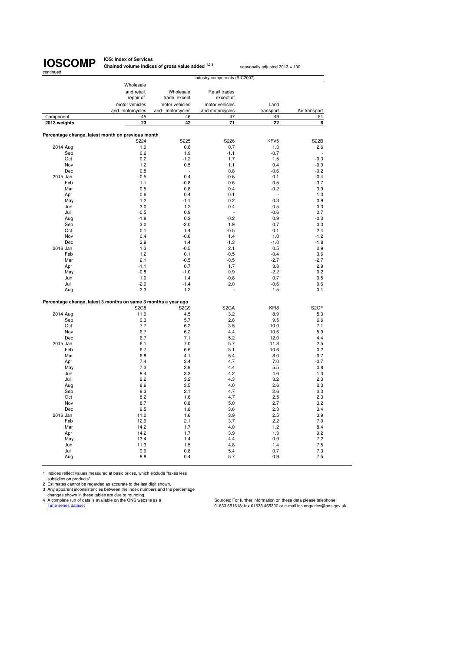

**IOS: Index of Services Chained volume indices of gross value added <sup>1,2,3</sup> seasonally adjusted 2013 = 100** 

| Wholesale<br>and retail.<br>Wholesale<br>Retail trades<br>repair of<br>except of<br>trade, except<br>motor vehicles<br>motor vehicles<br>Land<br>motor vehicles<br>and motorcycles<br>and motorcycles<br>and motorcycles<br>Air transport<br>transport<br>Component<br>45<br>46<br>47<br>49<br>51<br>23<br>42<br>71<br>22<br>2013 weights<br>6<br>Percentage change, latest month on previous month<br>S224<br>S225<br>S226<br>KFV <sub>5</sub><br><b>S22B</b><br>2014 Aug<br>1.0<br>0.6<br>0.7<br>1.3<br>2.6<br>0.6<br>$-1.1$<br>Sep<br>1.9<br>$-0.7$<br>0.2<br>$-1.2$<br>1.7<br>Oct<br>1.5<br>$-0.3$<br>Nov<br>1.2<br>0.5<br>0.4<br>$-0.9$<br>1.1<br>Dec<br>0.8<br>0.8<br>$-0.6$<br>$-0.2$<br>2015 Jan<br>$-0.5$<br>0.4<br>$-0.6$<br>0.1<br>$-0.4$<br>Feb<br>$-3.7$<br>1.1<br>$-0.8$<br>0.6<br>0.5<br>0.5<br>Mar<br>0.8<br>0.4<br>$-0.2$<br>3.9<br>Apr<br>0.6<br>0.4<br>0.1<br>1.3<br>1.2<br>0.2<br>0.3<br>May<br>$-1.1$<br>0.9<br>0.4<br>Jun<br>3.0<br>1.2<br>0.5<br>0.3<br>Jul<br>$-0.5$<br>0.9<br>$-0.6$<br>0.7<br>$-0.2$<br>$-1.8$<br>0.3<br>Aug<br>0.9<br>$-0.3$<br>3.0<br>$-2.0$<br>0.3<br>Sep<br>1.9<br>0.7<br>0.1<br>1.4<br>$-0.5$<br>2.4<br>Oct<br>0.1<br>Nov<br>0.4<br>$-0.6$<br>1.4<br>1.0<br>$-1.2$<br>Dec<br>3.9<br>1.4<br>$-1.3$<br>$-1.0$<br>$-1.8$<br>2016 Jan<br>1.3<br>$-0.5$<br>2.1<br>0.5<br>2.9<br>Feb<br>1.2<br>0.1<br>$-0.4$<br>$-0.5$<br>3.6<br>Mar<br>2.1<br>$-0.5$<br>$-0.5$<br>$-2.7$<br>$-2.7$<br>Apr<br>$-1.1$<br>0.7<br>1.7<br>3.8<br>2.9<br>$-0.8$<br>$-1.0$<br>0.9<br>$-2.2$<br>0.2<br>May<br>$-0.8$<br>Jun<br>1.0<br>1.4<br>0.7<br>0.5<br>$-2.9$<br>Jul<br>$-1.4$<br>2.0<br>$-0.6$<br>0.6<br>2.3<br>1.2<br>1.5<br>0.1<br>Aug<br>Percentage change, latest 3 months on same 3 months a year ago<br>S <sub>2</sub> GF<br><b>S2G8</b><br>S2G9<br>S <sub>2</sub> GA<br>KF18<br>2014 Aug<br>11.0<br>4.5<br>3.2<br>8.9<br>5.3<br>5.7<br>2.8<br>Sep<br>9.3<br>9.5<br>6.6<br>7.7<br>3.5<br>Oct<br>6.2<br>10.0<br>7.1<br>Nov<br>6.7<br>6.2<br>4.4<br>5.9<br>10.6<br>Dec<br>6.7<br>7.1<br>5.2<br>12.0<br>4.4<br>2015 Jan<br>7.0<br>5.7<br>6.1<br>11.8<br>2.5<br>Feb<br>6.7<br>6.6<br>5.1<br>10.6<br>0.2<br>Mar<br>6.8<br>4.1<br>5.4<br>8.0<br>$-0.7$<br>7.4<br>3.4<br>4.7<br>7.0<br>Apr<br>$-0.7$<br>7.3<br>2.9<br>4.4<br>May<br>5.5<br>0.8<br>8.4<br>4.2<br>Jun<br>3.3<br>4.6<br>1.3<br>Jul<br>9.2<br>3.2<br>4.3<br>3.2<br>2.3<br>8.6<br>3.5<br>4.0<br>2.6<br>2.3<br>Aug<br>8.3<br>2.1<br>4.7<br>2.6<br>2.3<br>Sep<br>Oct<br>8.2<br>1.6<br>4.7<br>2.5<br>2.3<br>Nov<br>8.7<br>0.8<br>5.0<br>2.7<br>3.2<br>Dec<br>9.5<br>1.8<br>3.6<br>2.3<br>3.4<br>2016 Jan<br>1.6<br>3.9<br>2.5<br>3.9<br>11.0<br>Feb<br>12.9<br>2.1<br>3.7<br>2.2<br>7.0<br>Mar<br>14.2<br>1.7<br>4.0<br>1.2<br>8.4<br>14.2<br>1.7<br>3.9<br>9.2<br>Apr<br>1.3<br>13.4<br>1.4<br>4.4<br>0.9<br>7.2<br>May<br>11.3<br>1.5<br>4.8<br>7.5<br>Jun<br>1.4<br>Jul<br>9.0<br>0.8<br>5.4<br>0.7<br>7.3<br>8.8<br>0.4<br>5.7<br>0.9<br>7.5<br>Aug |  | Industry components (SIC2007) |  |
|---------------------------------------------------------------------------------------------------------------------------------------------------------------------------------------------------------------------------------------------------------------------------------------------------------------------------------------------------------------------------------------------------------------------------------------------------------------------------------------------------------------------------------------------------------------------------------------------------------------------------------------------------------------------------------------------------------------------------------------------------------------------------------------------------------------------------------------------------------------------------------------------------------------------------------------------------------------------------------------------------------------------------------------------------------------------------------------------------------------------------------------------------------------------------------------------------------------------------------------------------------------------------------------------------------------------------------------------------------------------------------------------------------------------------------------------------------------------------------------------------------------------------------------------------------------------------------------------------------------------------------------------------------------------------------------------------------------------------------------------------------------------------------------------------------------------------------------------------------------------------------------------------------------------------------------------------------------------------------------------------------------------------------------------------------------------------------------------------------------------------------------------------------------------------------------------------------------------------------------------------------------------------------------------------------------------------------------------------------------------------------------------------------------------------------------------------------------------------------------------------------------------------------------------------------------------------------------------------------------------------------------------------------------------------------------------------------------------------------------------------------------------------------------------------------------------------------------------------------------------------------------------------------------------------------------|--|-------------------------------|--|
|                                                                                                                                                                                                                                                                                                                                                                                                                                                                                                                                                                                                                                                                                                                                                                                                                                                                                                                                                                                                                                                                                                                                                                                                                                                                                                                                                                                                                                                                                                                                                                                                                                                                                                                                                                                                                                                                                                                                                                                                                                                                                                                                                                                                                                                                                                                                                                                                                                                                                                                                                                                                                                                                                                                                                                                                                                                                                                                                       |  |                               |  |
|                                                                                                                                                                                                                                                                                                                                                                                                                                                                                                                                                                                                                                                                                                                                                                                                                                                                                                                                                                                                                                                                                                                                                                                                                                                                                                                                                                                                                                                                                                                                                                                                                                                                                                                                                                                                                                                                                                                                                                                                                                                                                                                                                                                                                                                                                                                                                                                                                                                                                                                                                                                                                                                                                                                                                                                                                                                                                                                                       |  |                               |  |
|                                                                                                                                                                                                                                                                                                                                                                                                                                                                                                                                                                                                                                                                                                                                                                                                                                                                                                                                                                                                                                                                                                                                                                                                                                                                                                                                                                                                                                                                                                                                                                                                                                                                                                                                                                                                                                                                                                                                                                                                                                                                                                                                                                                                                                                                                                                                                                                                                                                                                                                                                                                                                                                                                                                                                                                                                                                                                                                                       |  |                               |  |
|                                                                                                                                                                                                                                                                                                                                                                                                                                                                                                                                                                                                                                                                                                                                                                                                                                                                                                                                                                                                                                                                                                                                                                                                                                                                                                                                                                                                                                                                                                                                                                                                                                                                                                                                                                                                                                                                                                                                                                                                                                                                                                                                                                                                                                                                                                                                                                                                                                                                                                                                                                                                                                                                                                                                                                                                                                                                                                                                       |  |                               |  |
|                                                                                                                                                                                                                                                                                                                                                                                                                                                                                                                                                                                                                                                                                                                                                                                                                                                                                                                                                                                                                                                                                                                                                                                                                                                                                                                                                                                                                                                                                                                                                                                                                                                                                                                                                                                                                                                                                                                                                                                                                                                                                                                                                                                                                                                                                                                                                                                                                                                                                                                                                                                                                                                                                                                                                                                                                                                                                                                                       |  |                               |  |
|                                                                                                                                                                                                                                                                                                                                                                                                                                                                                                                                                                                                                                                                                                                                                                                                                                                                                                                                                                                                                                                                                                                                                                                                                                                                                                                                                                                                                                                                                                                                                                                                                                                                                                                                                                                                                                                                                                                                                                                                                                                                                                                                                                                                                                                                                                                                                                                                                                                                                                                                                                                                                                                                                                                                                                                                                                                                                                                                       |  |                               |  |
|                                                                                                                                                                                                                                                                                                                                                                                                                                                                                                                                                                                                                                                                                                                                                                                                                                                                                                                                                                                                                                                                                                                                                                                                                                                                                                                                                                                                                                                                                                                                                                                                                                                                                                                                                                                                                                                                                                                                                                                                                                                                                                                                                                                                                                                                                                                                                                                                                                                                                                                                                                                                                                                                                                                                                                                                                                                                                                                                       |  |                               |  |
|                                                                                                                                                                                                                                                                                                                                                                                                                                                                                                                                                                                                                                                                                                                                                                                                                                                                                                                                                                                                                                                                                                                                                                                                                                                                                                                                                                                                                                                                                                                                                                                                                                                                                                                                                                                                                                                                                                                                                                                                                                                                                                                                                                                                                                                                                                                                                                                                                                                                                                                                                                                                                                                                                                                                                                                                                                                                                                                                       |  |                               |  |
|                                                                                                                                                                                                                                                                                                                                                                                                                                                                                                                                                                                                                                                                                                                                                                                                                                                                                                                                                                                                                                                                                                                                                                                                                                                                                                                                                                                                                                                                                                                                                                                                                                                                                                                                                                                                                                                                                                                                                                                                                                                                                                                                                                                                                                                                                                                                                                                                                                                                                                                                                                                                                                                                                                                                                                                                                                                                                                                                       |  |                               |  |
|                                                                                                                                                                                                                                                                                                                                                                                                                                                                                                                                                                                                                                                                                                                                                                                                                                                                                                                                                                                                                                                                                                                                                                                                                                                                                                                                                                                                                                                                                                                                                                                                                                                                                                                                                                                                                                                                                                                                                                                                                                                                                                                                                                                                                                                                                                                                                                                                                                                                                                                                                                                                                                                                                                                                                                                                                                                                                                                                       |  |                               |  |
|                                                                                                                                                                                                                                                                                                                                                                                                                                                                                                                                                                                                                                                                                                                                                                                                                                                                                                                                                                                                                                                                                                                                                                                                                                                                                                                                                                                                                                                                                                                                                                                                                                                                                                                                                                                                                                                                                                                                                                                                                                                                                                                                                                                                                                                                                                                                                                                                                                                                                                                                                                                                                                                                                                                                                                                                                                                                                                                                       |  |                               |  |
|                                                                                                                                                                                                                                                                                                                                                                                                                                                                                                                                                                                                                                                                                                                                                                                                                                                                                                                                                                                                                                                                                                                                                                                                                                                                                                                                                                                                                                                                                                                                                                                                                                                                                                                                                                                                                                                                                                                                                                                                                                                                                                                                                                                                                                                                                                                                                                                                                                                                                                                                                                                                                                                                                                                                                                                                                                                                                                                                       |  |                               |  |
|                                                                                                                                                                                                                                                                                                                                                                                                                                                                                                                                                                                                                                                                                                                                                                                                                                                                                                                                                                                                                                                                                                                                                                                                                                                                                                                                                                                                                                                                                                                                                                                                                                                                                                                                                                                                                                                                                                                                                                                                                                                                                                                                                                                                                                                                                                                                                                                                                                                                                                                                                                                                                                                                                                                                                                                                                                                                                                                                       |  |                               |  |
|                                                                                                                                                                                                                                                                                                                                                                                                                                                                                                                                                                                                                                                                                                                                                                                                                                                                                                                                                                                                                                                                                                                                                                                                                                                                                                                                                                                                                                                                                                                                                                                                                                                                                                                                                                                                                                                                                                                                                                                                                                                                                                                                                                                                                                                                                                                                                                                                                                                                                                                                                                                                                                                                                                                                                                                                                                                                                                                                       |  |                               |  |
|                                                                                                                                                                                                                                                                                                                                                                                                                                                                                                                                                                                                                                                                                                                                                                                                                                                                                                                                                                                                                                                                                                                                                                                                                                                                                                                                                                                                                                                                                                                                                                                                                                                                                                                                                                                                                                                                                                                                                                                                                                                                                                                                                                                                                                                                                                                                                                                                                                                                                                                                                                                                                                                                                                                                                                                                                                                                                                                                       |  |                               |  |
|                                                                                                                                                                                                                                                                                                                                                                                                                                                                                                                                                                                                                                                                                                                                                                                                                                                                                                                                                                                                                                                                                                                                                                                                                                                                                                                                                                                                                                                                                                                                                                                                                                                                                                                                                                                                                                                                                                                                                                                                                                                                                                                                                                                                                                                                                                                                                                                                                                                                                                                                                                                                                                                                                                                                                                                                                                                                                                                                       |  |                               |  |
|                                                                                                                                                                                                                                                                                                                                                                                                                                                                                                                                                                                                                                                                                                                                                                                                                                                                                                                                                                                                                                                                                                                                                                                                                                                                                                                                                                                                                                                                                                                                                                                                                                                                                                                                                                                                                                                                                                                                                                                                                                                                                                                                                                                                                                                                                                                                                                                                                                                                                                                                                                                                                                                                                                                                                                                                                                                                                                                                       |  |                               |  |
|                                                                                                                                                                                                                                                                                                                                                                                                                                                                                                                                                                                                                                                                                                                                                                                                                                                                                                                                                                                                                                                                                                                                                                                                                                                                                                                                                                                                                                                                                                                                                                                                                                                                                                                                                                                                                                                                                                                                                                                                                                                                                                                                                                                                                                                                                                                                                                                                                                                                                                                                                                                                                                                                                                                                                                                                                                                                                                                                       |  |                               |  |
|                                                                                                                                                                                                                                                                                                                                                                                                                                                                                                                                                                                                                                                                                                                                                                                                                                                                                                                                                                                                                                                                                                                                                                                                                                                                                                                                                                                                                                                                                                                                                                                                                                                                                                                                                                                                                                                                                                                                                                                                                                                                                                                                                                                                                                                                                                                                                                                                                                                                                                                                                                                                                                                                                                                                                                                                                                                                                                                                       |  |                               |  |
|                                                                                                                                                                                                                                                                                                                                                                                                                                                                                                                                                                                                                                                                                                                                                                                                                                                                                                                                                                                                                                                                                                                                                                                                                                                                                                                                                                                                                                                                                                                                                                                                                                                                                                                                                                                                                                                                                                                                                                                                                                                                                                                                                                                                                                                                                                                                                                                                                                                                                                                                                                                                                                                                                                                                                                                                                                                                                                                                       |  |                               |  |
|                                                                                                                                                                                                                                                                                                                                                                                                                                                                                                                                                                                                                                                                                                                                                                                                                                                                                                                                                                                                                                                                                                                                                                                                                                                                                                                                                                                                                                                                                                                                                                                                                                                                                                                                                                                                                                                                                                                                                                                                                                                                                                                                                                                                                                                                                                                                                                                                                                                                                                                                                                                                                                                                                                                                                                                                                                                                                                                                       |  |                               |  |
|                                                                                                                                                                                                                                                                                                                                                                                                                                                                                                                                                                                                                                                                                                                                                                                                                                                                                                                                                                                                                                                                                                                                                                                                                                                                                                                                                                                                                                                                                                                                                                                                                                                                                                                                                                                                                                                                                                                                                                                                                                                                                                                                                                                                                                                                                                                                                                                                                                                                                                                                                                                                                                                                                                                                                                                                                                                                                                                                       |  |                               |  |
|                                                                                                                                                                                                                                                                                                                                                                                                                                                                                                                                                                                                                                                                                                                                                                                                                                                                                                                                                                                                                                                                                                                                                                                                                                                                                                                                                                                                                                                                                                                                                                                                                                                                                                                                                                                                                                                                                                                                                                                                                                                                                                                                                                                                                                                                                                                                                                                                                                                                                                                                                                                                                                                                                                                                                                                                                                                                                                                                       |  |                               |  |
|                                                                                                                                                                                                                                                                                                                                                                                                                                                                                                                                                                                                                                                                                                                                                                                                                                                                                                                                                                                                                                                                                                                                                                                                                                                                                                                                                                                                                                                                                                                                                                                                                                                                                                                                                                                                                                                                                                                                                                                                                                                                                                                                                                                                                                                                                                                                                                                                                                                                                                                                                                                                                                                                                                                                                                                                                                                                                                                                       |  |                               |  |
|                                                                                                                                                                                                                                                                                                                                                                                                                                                                                                                                                                                                                                                                                                                                                                                                                                                                                                                                                                                                                                                                                                                                                                                                                                                                                                                                                                                                                                                                                                                                                                                                                                                                                                                                                                                                                                                                                                                                                                                                                                                                                                                                                                                                                                                                                                                                                                                                                                                                                                                                                                                                                                                                                                                                                                                                                                                                                                                                       |  |                               |  |
|                                                                                                                                                                                                                                                                                                                                                                                                                                                                                                                                                                                                                                                                                                                                                                                                                                                                                                                                                                                                                                                                                                                                                                                                                                                                                                                                                                                                                                                                                                                                                                                                                                                                                                                                                                                                                                                                                                                                                                                                                                                                                                                                                                                                                                                                                                                                                                                                                                                                                                                                                                                                                                                                                                                                                                                                                                                                                                                                       |  |                               |  |
|                                                                                                                                                                                                                                                                                                                                                                                                                                                                                                                                                                                                                                                                                                                                                                                                                                                                                                                                                                                                                                                                                                                                                                                                                                                                                                                                                                                                                                                                                                                                                                                                                                                                                                                                                                                                                                                                                                                                                                                                                                                                                                                                                                                                                                                                                                                                                                                                                                                                                                                                                                                                                                                                                                                                                                                                                                                                                                                                       |  |                               |  |
|                                                                                                                                                                                                                                                                                                                                                                                                                                                                                                                                                                                                                                                                                                                                                                                                                                                                                                                                                                                                                                                                                                                                                                                                                                                                                                                                                                                                                                                                                                                                                                                                                                                                                                                                                                                                                                                                                                                                                                                                                                                                                                                                                                                                                                                                                                                                                                                                                                                                                                                                                                                                                                                                                                                                                                                                                                                                                                                                       |  |                               |  |
|                                                                                                                                                                                                                                                                                                                                                                                                                                                                                                                                                                                                                                                                                                                                                                                                                                                                                                                                                                                                                                                                                                                                                                                                                                                                                                                                                                                                                                                                                                                                                                                                                                                                                                                                                                                                                                                                                                                                                                                                                                                                                                                                                                                                                                                                                                                                                                                                                                                                                                                                                                                                                                                                                                                                                                                                                                                                                                                                       |  |                               |  |
|                                                                                                                                                                                                                                                                                                                                                                                                                                                                                                                                                                                                                                                                                                                                                                                                                                                                                                                                                                                                                                                                                                                                                                                                                                                                                                                                                                                                                                                                                                                                                                                                                                                                                                                                                                                                                                                                                                                                                                                                                                                                                                                                                                                                                                                                                                                                                                                                                                                                                                                                                                                                                                                                                                                                                                                                                                                                                                                                       |  |                               |  |
|                                                                                                                                                                                                                                                                                                                                                                                                                                                                                                                                                                                                                                                                                                                                                                                                                                                                                                                                                                                                                                                                                                                                                                                                                                                                                                                                                                                                                                                                                                                                                                                                                                                                                                                                                                                                                                                                                                                                                                                                                                                                                                                                                                                                                                                                                                                                                                                                                                                                                                                                                                                                                                                                                                                                                                                                                                                                                                                                       |  |                               |  |
|                                                                                                                                                                                                                                                                                                                                                                                                                                                                                                                                                                                                                                                                                                                                                                                                                                                                                                                                                                                                                                                                                                                                                                                                                                                                                                                                                                                                                                                                                                                                                                                                                                                                                                                                                                                                                                                                                                                                                                                                                                                                                                                                                                                                                                                                                                                                                                                                                                                                                                                                                                                                                                                                                                                                                                                                                                                                                                                                       |  |                               |  |
|                                                                                                                                                                                                                                                                                                                                                                                                                                                                                                                                                                                                                                                                                                                                                                                                                                                                                                                                                                                                                                                                                                                                                                                                                                                                                                                                                                                                                                                                                                                                                                                                                                                                                                                                                                                                                                                                                                                                                                                                                                                                                                                                                                                                                                                                                                                                                                                                                                                                                                                                                                                                                                                                                                                                                                                                                                                                                                                                       |  |                               |  |
|                                                                                                                                                                                                                                                                                                                                                                                                                                                                                                                                                                                                                                                                                                                                                                                                                                                                                                                                                                                                                                                                                                                                                                                                                                                                                                                                                                                                                                                                                                                                                                                                                                                                                                                                                                                                                                                                                                                                                                                                                                                                                                                                                                                                                                                                                                                                                                                                                                                                                                                                                                                                                                                                                                                                                                                                                                                                                                                                       |  |                               |  |
|                                                                                                                                                                                                                                                                                                                                                                                                                                                                                                                                                                                                                                                                                                                                                                                                                                                                                                                                                                                                                                                                                                                                                                                                                                                                                                                                                                                                                                                                                                                                                                                                                                                                                                                                                                                                                                                                                                                                                                                                                                                                                                                                                                                                                                                                                                                                                                                                                                                                                                                                                                                                                                                                                                                                                                                                                                                                                                                                       |  |                               |  |
|                                                                                                                                                                                                                                                                                                                                                                                                                                                                                                                                                                                                                                                                                                                                                                                                                                                                                                                                                                                                                                                                                                                                                                                                                                                                                                                                                                                                                                                                                                                                                                                                                                                                                                                                                                                                                                                                                                                                                                                                                                                                                                                                                                                                                                                                                                                                                                                                                                                                                                                                                                                                                                                                                                                                                                                                                                                                                                                                       |  |                               |  |
|                                                                                                                                                                                                                                                                                                                                                                                                                                                                                                                                                                                                                                                                                                                                                                                                                                                                                                                                                                                                                                                                                                                                                                                                                                                                                                                                                                                                                                                                                                                                                                                                                                                                                                                                                                                                                                                                                                                                                                                                                                                                                                                                                                                                                                                                                                                                                                                                                                                                                                                                                                                                                                                                                                                                                                                                                                                                                                                                       |  |                               |  |
|                                                                                                                                                                                                                                                                                                                                                                                                                                                                                                                                                                                                                                                                                                                                                                                                                                                                                                                                                                                                                                                                                                                                                                                                                                                                                                                                                                                                                                                                                                                                                                                                                                                                                                                                                                                                                                                                                                                                                                                                                                                                                                                                                                                                                                                                                                                                                                                                                                                                                                                                                                                                                                                                                                                                                                                                                                                                                                                                       |  |                               |  |
|                                                                                                                                                                                                                                                                                                                                                                                                                                                                                                                                                                                                                                                                                                                                                                                                                                                                                                                                                                                                                                                                                                                                                                                                                                                                                                                                                                                                                                                                                                                                                                                                                                                                                                                                                                                                                                                                                                                                                                                                                                                                                                                                                                                                                                                                                                                                                                                                                                                                                                                                                                                                                                                                                                                                                                                                                                                                                                                                       |  |                               |  |
|                                                                                                                                                                                                                                                                                                                                                                                                                                                                                                                                                                                                                                                                                                                                                                                                                                                                                                                                                                                                                                                                                                                                                                                                                                                                                                                                                                                                                                                                                                                                                                                                                                                                                                                                                                                                                                                                                                                                                                                                                                                                                                                                                                                                                                                                                                                                                                                                                                                                                                                                                                                                                                                                                                                                                                                                                                                                                                                                       |  |                               |  |
|                                                                                                                                                                                                                                                                                                                                                                                                                                                                                                                                                                                                                                                                                                                                                                                                                                                                                                                                                                                                                                                                                                                                                                                                                                                                                                                                                                                                                                                                                                                                                                                                                                                                                                                                                                                                                                                                                                                                                                                                                                                                                                                                                                                                                                                                                                                                                                                                                                                                                                                                                                                                                                                                                                                                                                                                                                                                                                                                       |  |                               |  |
|                                                                                                                                                                                                                                                                                                                                                                                                                                                                                                                                                                                                                                                                                                                                                                                                                                                                                                                                                                                                                                                                                                                                                                                                                                                                                                                                                                                                                                                                                                                                                                                                                                                                                                                                                                                                                                                                                                                                                                                                                                                                                                                                                                                                                                                                                                                                                                                                                                                                                                                                                                                                                                                                                                                                                                                                                                                                                                                                       |  |                               |  |
|                                                                                                                                                                                                                                                                                                                                                                                                                                                                                                                                                                                                                                                                                                                                                                                                                                                                                                                                                                                                                                                                                                                                                                                                                                                                                                                                                                                                                                                                                                                                                                                                                                                                                                                                                                                                                                                                                                                                                                                                                                                                                                                                                                                                                                                                                                                                                                                                                                                                                                                                                                                                                                                                                                                                                                                                                                                                                                                                       |  |                               |  |
|                                                                                                                                                                                                                                                                                                                                                                                                                                                                                                                                                                                                                                                                                                                                                                                                                                                                                                                                                                                                                                                                                                                                                                                                                                                                                                                                                                                                                                                                                                                                                                                                                                                                                                                                                                                                                                                                                                                                                                                                                                                                                                                                                                                                                                                                                                                                                                                                                                                                                                                                                                                                                                                                                                                                                                                                                                                                                                                                       |  |                               |  |
|                                                                                                                                                                                                                                                                                                                                                                                                                                                                                                                                                                                                                                                                                                                                                                                                                                                                                                                                                                                                                                                                                                                                                                                                                                                                                                                                                                                                                                                                                                                                                                                                                                                                                                                                                                                                                                                                                                                                                                                                                                                                                                                                                                                                                                                                                                                                                                                                                                                                                                                                                                                                                                                                                                                                                                                                                                                                                                                                       |  |                               |  |
|                                                                                                                                                                                                                                                                                                                                                                                                                                                                                                                                                                                                                                                                                                                                                                                                                                                                                                                                                                                                                                                                                                                                                                                                                                                                                                                                                                                                                                                                                                                                                                                                                                                                                                                                                                                                                                                                                                                                                                                                                                                                                                                                                                                                                                                                                                                                                                                                                                                                                                                                                                                                                                                                                                                                                                                                                                                                                                                                       |  |                               |  |
|                                                                                                                                                                                                                                                                                                                                                                                                                                                                                                                                                                                                                                                                                                                                                                                                                                                                                                                                                                                                                                                                                                                                                                                                                                                                                                                                                                                                                                                                                                                                                                                                                                                                                                                                                                                                                                                                                                                                                                                                                                                                                                                                                                                                                                                                                                                                                                                                                                                                                                                                                                                                                                                                                                                                                                                                                                                                                                                                       |  |                               |  |
|                                                                                                                                                                                                                                                                                                                                                                                                                                                                                                                                                                                                                                                                                                                                                                                                                                                                                                                                                                                                                                                                                                                                                                                                                                                                                                                                                                                                                                                                                                                                                                                                                                                                                                                                                                                                                                                                                                                                                                                                                                                                                                                                                                                                                                                                                                                                                                                                                                                                                                                                                                                                                                                                                                                                                                                                                                                                                                                                       |  |                               |  |
|                                                                                                                                                                                                                                                                                                                                                                                                                                                                                                                                                                                                                                                                                                                                                                                                                                                                                                                                                                                                                                                                                                                                                                                                                                                                                                                                                                                                                                                                                                                                                                                                                                                                                                                                                                                                                                                                                                                                                                                                                                                                                                                                                                                                                                                                                                                                                                                                                                                                                                                                                                                                                                                                                                                                                                                                                                                                                                                                       |  |                               |  |
|                                                                                                                                                                                                                                                                                                                                                                                                                                                                                                                                                                                                                                                                                                                                                                                                                                                                                                                                                                                                                                                                                                                                                                                                                                                                                                                                                                                                                                                                                                                                                                                                                                                                                                                                                                                                                                                                                                                                                                                                                                                                                                                                                                                                                                                                                                                                                                                                                                                                                                                                                                                                                                                                                                                                                                                                                                                                                                                                       |  |                               |  |
|                                                                                                                                                                                                                                                                                                                                                                                                                                                                                                                                                                                                                                                                                                                                                                                                                                                                                                                                                                                                                                                                                                                                                                                                                                                                                                                                                                                                                                                                                                                                                                                                                                                                                                                                                                                                                                                                                                                                                                                                                                                                                                                                                                                                                                                                                                                                                                                                                                                                                                                                                                                                                                                                                                                                                                                                                                                                                                                                       |  |                               |  |
|                                                                                                                                                                                                                                                                                                                                                                                                                                                                                                                                                                                                                                                                                                                                                                                                                                                                                                                                                                                                                                                                                                                                                                                                                                                                                                                                                                                                                                                                                                                                                                                                                                                                                                                                                                                                                                                                                                                                                                                                                                                                                                                                                                                                                                                                                                                                                                                                                                                                                                                                                                                                                                                                                                                                                                                                                                                                                                                                       |  |                               |  |
|                                                                                                                                                                                                                                                                                                                                                                                                                                                                                                                                                                                                                                                                                                                                                                                                                                                                                                                                                                                                                                                                                                                                                                                                                                                                                                                                                                                                                                                                                                                                                                                                                                                                                                                                                                                                                                                                                                                                                                                                                                                                                                                                                                                                                                                                                                                                                                                                                                                                                                                                                                                                                                                                                                                                                                                                                                                                                                                                       |  |                               |  |
|                                                                                                                                                                                                                                                                                                                                                                                                                                                                                                                                                                                                                                                                                                                                                                                                                                                                                                                                                                                                                                                                                                                                                                                                                                                                                                                                                                                                                                                                                                                                                                                                                                                                                                                                                                                                                                                                                                                                                                                                                                                                                                                                                                                                                                                                                                                                                                                                                                                                                                                                                                                                                                                                                                                                                                                                                                                                                                                                       |  |                               |  |
|                                                                                                                                                                                                                                                                                                                                                                                                                                                                                                                                                                                                                                                                                                                                                                                                                                                                                                                                                                                                                                                                                                                                                                                                                                                                                                                                                                                                                                                                                                                                                                                                                                                                                                                                                                                                                                                                                                                                                                                                                                                                                                                                                                                                                                                                                                                                                                                                                                                                                                                                                                                                                                                                                                                                                                                                                                                                                                                                       |  |                               |  |
|                                                                                                                                                                                                                                                                                                                                                                                                                                                                                                                                                                                                                                                                                                                                                                                                                                                                                                                                                                                                                                                                                                                                                                                                                                                                                                                                                                                                                                                                                                                                                                                                                                                                                                                                                                                                                                                                                                                                                                                                                                                                                                                                                                                                                                                                                                                                                                                                                                                                                                                                                                                                                                                                                                                                                                                                                                                                                                                                       |  |                               |  |
|                                                                                                                                                                                                                                                                                                                                                                                                                                                                                                                                                                                                                                                                                                                                                                                                                                                                                                                                                                                                                                                                                                                                                                                                                                                                                                                                                                                                                                                                                                                                                                                                                                                                                                                                                                                                                                                                                                                                                                                                                                                                                                                                                                                                                                                                                                                                                                                                                                                                                                                                                                                                                                                                                                                                                                                                                                                                                                                                       |  |                               |  |
|                                                                                                                                                                                                                                                                                                                                                                                                                                                                                                                                                                                                                                                                                                                                                                                                                                                                                                                                                                                                                                                                                                                                                                                                                                                                                                                                                                                                                                                                                                                                                                                                                                                                                                                                                                                                                                                                                                                                                                                                                                                                                                                                                                                                                                                                                                                                                                                                                                                                                                                                                                                                                                                                                                                                                                                                                                                                                                                                       |  |                               |  |
|                                                                                                                                                                                                                                                                                                                                                                                                                                                                                                                                                                                                                                                                                                                                                                                                                                                                                                                                                                                                                                                                                                                                                                                                                                                                                                                                                                                                                                                                                                                                                                                                                                                                                                                                                                                                                                                                                                                                                                                                                                                                                                                                                                                                                                                                                                                                                                                                                                                                                                                                                                                                                                                                                                                                                                                                                                                                                                                                       |  |                               |  |
|                                                                                                                                                                                                                                                                                                                                                                                                                                                                                                                                                                                                                                                                                                                                                                                                                                                                                                                                                                                                                                                                                                                                                                                                                                                                                                                                                                                                                                                                                                                                                                                                                                                                                                                                                                                                                                                                                                                                                                                                                                                                                                                                                                                                                                                                                                                                                                                                                                                                                                                                                                                                                                                                                                                                                                                                                                                                                                                                       |  |                               |  |
|                                                                                                                                                                                                                                                                                                                                                                                                                                                                                                                                                                                                                                                                                                                                                                                                                                                                                                                                                                                                                                                                                                                                                                                                                                                                                                                                                                                                                                                                                                                                                                                                                                                                                                                                                                                                                                                                                                                                                                                                                                                                                                                                                                                                                                                                                                                                                                                                                                                                                                                                                                                                                                                                                                                                                                                                                                                                                                                                       |  |                               |  |
|                                                                                                                                                                                                                                                                                                                                                                                                                                                                                                                                                                                                                                                                                                                                                                                                                                                                                                                                                                                                                                                                                                                                                                                                                                                                                                                                                                                                                                                                                                                                                                                                                                                                                                                                                                                                                                                                                                                                                                                                                                                                                                                                                                                                                                                                                                                                                                                                                                                                                                                                                                                                                                                                                                                                                                                                                                                                                                                                       |  |                               |  |
|                                                                                                                                                                                                                                                                                                                                                                                                                                                                                                                                                                                                                                                                                                                                                                                                                                                                                                                                                                                                                                                                                                                                                                                                                                                                                                                                                                                                                                                                                                                                                                                                                                                                                                                                                                                                                                                                                                                                                                                                                                                                                                                                                                                                                                                                                                                                                                                                                                                                                                                                                                                                                                                                                                                                                                                                                                                                                                                                       |  |                               |  |
|                                                                                                                                                                                                                                                                                                                                                                                                                                                                                                                                                                                                                                                                                                                                                                                                                                                                                                                                                                                                                                                                                                                                                                                                                                                                                                                                                                                                                                                                                                                                                                                                                                                                                                                                                                                                                                                                                                                                                                                                                                                                                                                                                                                                                                                                                                                                                                                                                                                                                                                                                                                                                                                                                                                                                                                                                                                                                                                                       |  |                               |  |
|                                                                                                                                                                                                                                                                                                                                                                                                                                                                                                                                                                                                                                                                                                                                                                                                                                                                                                                                                                                                                                                                                                                                                                                                                                                                                                                                                                                                                                                                                                                                                                                                                                                                                                                                                                                                                                                                                                                                                                                                                                                                                                                                                                                                                                                                                                                                                                                                                                                                                                                                                                                                                                                                                                                                                                                                                                                                                                                                       |  |                               |  |
|                                                                                                                                                                                                                                                                                                                                                                                                                                                                                                                                                                                                                                                                                                                                                                                                                                                                                                                                                                                                                                                                                                                                                                                                                                                                                                                                                                                                                                                                                                                                                                                                                                                                                                                                                                                                                                                                                                                                                                                                                                                                                                                                                                                                                                                                                                                                                                                                                                                                                                                                                                                                                                                                                                                                                                                                                                                                                                                                       |  |                               |  |
|                                                                                                                                                                                                                                                                                                                                                                                                                                                                                                                                                                                                                                                                                                                                                                                                                                                                                                                                                                                                                                                                                                                                                                                                                                                                                                                                                                                                                                                                                                                                                                                                                                                                                                                                                                                                                                                                                                                                                                                                                                                                                                                                                                                                                                                                                                                                                                                                                                                                                                                                                                                                                                                                                                                                                                                                                                                                                                                                       |  |                               |  |

1 Indices reflect values measured at basic prices, which exclude "taxes less<br>subsidies on products".<br>2 Estimates cannot be regarded as accurate to the last digit shown.<br>3 Any apparent inconsistencies between the index numb

changes snown in rese tables are que to rounding.<br>
A complete run of data is available on the ONS website as a<br>
Time series dataset dataset of dataset of the ONS website as a<br>
O1633 651618; fax 01633 455300 or e-mail ios.e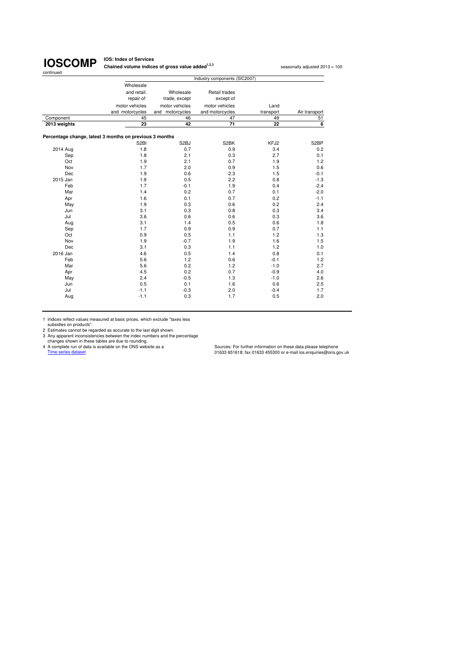**IOS: Index of Services Chained volume indices of gross value added<sup>1,2,3</sup> seasonally adjusted 2013 = 100** 

|              |                                                         |                   | Industry components (SIC2007) |           |                   |
|--------------|---------------------------------------------------------|-------------------|-------------------------------|-----------|-------------------|
|              | Wholesale                                               |                   |                               |           |                   |
|              | and retail.                                             | Wholesale         | Retail trades                 |           |                   |
|              | repair of                                               | trade, except     | except of                     |           |                   |
|              | motor vehicles                                          | motor vehicles    | motor vehicles                | Land      |                   |
|              | and motorcycles                                         | and motorcycles   | and motorcycles               | transport | Air transport     |
| Component    | 45                                                      | 46                | 47                            | 49        | 51                |
| 2013 weights | 23                                                      | 42                | 71                            | 22        | 6                 |
|              |                                                         |                   |                               |           |                   |
|              | Percentage change, latest 3 months on previous 3 months |                   |                               |           |                   |
|              | S <sub>2</sub> BI                                       | S <sub>2</sub> BJ | S2BK                          | KFJ2      | S <sub>2</sub> BP |
| 2014 Aug     | 1.8                                                     | 0.7               | 0.9                           | 3.4       | 0.2               |
| Sep          | 1.8                                                     | 2.1               | 0.3                           | 2.7       | 0.1               |
| Oct          | 1.9                                                     | 2.1               | 0.7                           | 1.9       | 1.2               |
| Nov          | 1.7                                                     | 2.0               | 0.9                           | 1.5       | 0.6               |
| Dec          | 1.9                                                     | 0.6               | 2.3                           | 1.5       | $-0.1$            |
| 2015 Jan     | 1.9                                                     | 0.5               | 2.2                           | 0.8       | $-1.3$            |
| Feb          | 1.7                                                     | $-0.1$            | 1.9                           | 0.4       | $-2.4$            |
| Mar          | 1.4                                                     | 0.2               | 0.7                           | 0.1       | $-2.0$            |
| Apr          | 1.6                                                     | 0.1               | 0.7                           | 0.2       | $-1.1$            |
| May          | 1.9                                                     | 0.3               | 0.6                           | 0.2       | 2.4               |
| Jun          | 3.1                                                     | 0.3               | 0.8                           | 0.3       | 3.4               |
| Jul          | 3.6                                                     | 0.6               | 0.6                           | 0.3       | 3.6               |
| Aug          | 3.1                                                     | 1.4               | 0.5                           | 0.6       | 1.8               |
| Sep          | 1.7                                                     | 0.9               | 0.9                           | 0.7       | 1.1               |
| Oct          | 0.9                                                     | 0.5               | 1.1                           | 1.2       | 1.3               |
| Nov          | 1.9                                                     | $-0.7$            | 1.9                           | 1.6       | 1.5               |
| Dec          | 3.1                                                     | 0.3               | 1.1                           | 1.2       | 1.0               |
| 2016 Jan     | 4.6                                                     | 0.5               | 1.4                           | 0.8       | 0.1               |
| Feb          | 5.6                                                     | 1.2               | 0.6                           | $-0.1$    | 1.2               |
| Mar          | 5.6                                                     | 0.2               | 1.2                           | $-1.0$    | 2.7               |
| Apr          | 4.5                                                     | 0.2               | 0.7                           | $-0.9$    | 4.0               |
| May          | 2.4                                                     | $-0.5$            | 1.3                           | $-1.0$    | 2.6               |
| Jun          | 0.5                                                     | 0.1               | 1.6                           | 0.6       | 2.5               |
| Jul          | $-1.1$                                                  | $-0.3$            | 2.0                           | $-0.4$    | 1.7               |
| Aug          | $-1.1$                                                  | 0.3               | 1.7                           | 0.5       | 2.0               |
|              |                                                         |                   |                               |           |                   |

1 Indices reflect values measured at basic prices, which exclude "taxes less

subsidies on products".<br>
2 Estimates cannot be regarded as accurate to the last digit shown.<br>
3 Any apparent inconsistencies between the index numbers and the percentage<br>
4 A complete run of data is available on the ONS we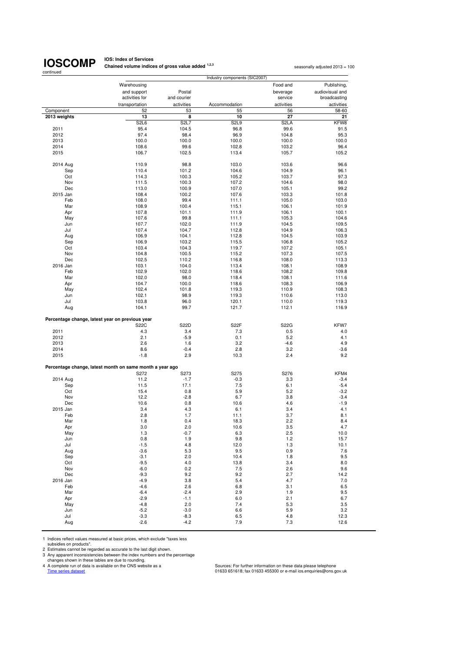## **IOSCOMP**

**IOS: Index of Services Chained volume indices of gross value added <sup>1,2,3</sup> seasonally adjusted 2013 = 100<br>
<b>Chained volume indices of gross value added** <sup>1,2,3</sup>

| continued    | Industry components (SIC2007)                                    |                               |                   |                   |                 |  |  |  |
|--------------|------------------------------------------------------------------|-------------------------------|-------------------|-------------------|-----------------|--|--|--|
|              | Warehousing                                                      |                               |                   | Food and          | Publishing,     |  |  |  |
|              | and support                                                      | Postal                        |                   | beverage          | audiovisual and |  |  |  |
|              | activities for                                                   | and courier                   |                   | service           | broadcasting    |  |  |  |
|              | transportation                                                   | activities                    | Accommodation     | activities        | activities      |  |  |  |
| Component    | 52                                                               | 53                            | 55                | 56                | 58-60           |  |  |  |
| 2013 weights | 13                                                               | 8                             | 10                | 27                | 21              |  |  |  |
|              | S <sub>2</sub> L <sub>6</sub>                                    | S <sub>2</sub> L <sub>7</sub> | S <sub>2L9</sub>  | S <sub>2</sub> LA | KFW8            |  |  |  |
| 2011         | 95.4                                                             | 104.5                         | 96.8              | 99.6              | 91.5            |  |  |  |
| 2012         | 97.4                                                             | 98.4                          | 96.9              | 104.8             | 95.3            |  |  |  |
| 2013         | 100.0                                                            | 100.0                         | 100.0             | 100.0             | 100.0           |  |  |  |
| 2014<br>2015 | 108.6<br>106.7                                                   | 99.6<br>102.5                 | 102.8<br>113.4    | 103.2<br>105.7    | 96.4<br>105.2   |  |  |  |
|              |                                                                  |                               |                   |                   |                 |  |  |  |
| 2014 Aug     | 110.9                                                            | 98.8                          | 103.0             | 103.6             | 96.6            |  |  |  |
| Sep          | 110.4                                                            | 101.2                         | 104.6             | 104.9             | 96.1            |  |  |  |
| Oct          | 114.3                                                            | 100.3                         | 105.2             | 103.7             | 97.3            |  |  |  |
| Nov          | 111.5                                                            | 100.3                         | 107.2             | 104.6             | 98.0            |  |  |  |
| Dec          | 113.0                                                            | 100.9                         | 107.0             | 105.1             | 99.2            |  |  |  |
| 2015 Jan     | 108.4                                                            | 100.2                         | 107.6             | 103.3             | 101.8           |  |  |  |
| Feb          | 108.0                                                            | 99.4                          | 111.1             | 105.0             | 103.0           |  |  |  |
| Mar          | 108.9                                                            | 100.4                         | 115.1             | 106.1             | 101.9           |  |  |  |
| Apr          | 107.8                                                            | 101.1                         | 111.9             | 106.1             | 100.1           |  |  |  |
| May          | 107.6                                                            | 99.8                          | 111.1             | 105.3             | 104.6           |  |  |  |
| Jun          | 107.7                                                            | 102.0                         | 111.9             | 104.5             | 109.5           |  |  |  |
| Jul          | 107.4                                                            | 104.7                         | 112.8             | 104.9             | 106.3           |  |  |  |
| Aug          | 106.9                                                            | 104.1                         | 112.8             | 104.5             | 103.9           |  |  |  |
| Sep          | 106.9                                                            | 103.2                         | 115.5             | 106.8             | 105.2           |  |  |  |
| Oct<br>Nov   | 103.4<br>104.8                                                   | 104.3<br>100.5                | 119.7<br>115.2    | 107.2<br>107.3    | 105.1<br>107.5  |  |  |  |
| Dec          | 102.5                                                            | 110.2                         | 116.8             | 108.0             | 113.3           |  |  |  |
| 2016 Jan     | 103.1                                                            | 104.0                         | 113.4             | 108.1             | 108.9           |  |  |  |
| Feb          | 102.9                                                            | 102.0                         | 118.6             | 108.2             | 109.8           |  |  |  |
| Mar          | 102.0                                                            | 98.0                          | 118.4             | 108.1             | 111.6           |  |  |  |
| Apr          | 104.7                                                            | 100.0                         | 118.6             | 108.3             | 106.9           |  |  |  |
| May          | 102.4                                                            | 101.8                         | 119.3             | 110.9             | 108.3           |  |  |  |
| Jun          | 102.1                                                            | 98.9                          | 119.3             | 110.6             | 113.0           |  |  |  |
| Jul          | 103.8                                                            | 96.0                          | 120.1             | 110.0             | 119.3           |  |  |  |
| Aug          | 104.1                                                            | 99.7                          | 121.7             | 112.1             | 116.9           |  |  |  |
|              | Percentage change, latest year on previous year                  |                               |                   |                   |                 |  |  |  |
|              | <b>S22C</b>                                                      | S22D                          | S <sub>2</sub> 2F | S22G              | KFW7            |  |  |  |
| 2011         | 4.3                                                              | 3.4                           | 7.3               | 0.5               | 4.0             |  |  |  |
| 2012         | 2.1                                                              | $-5.9$                        | 0.1               | 5.2               | 4.1             |  |  |  |
| 2013         | 2.6<br>8.6                                                       | 1.6                           | 3.2<br>2.8        | $-4.6$            | 4.9             |  |  |  |
| 2014<br>2015 | $-1.8$                                                           | $-0.4$<br>2.9                 | 10.3              | 3.2<br>2.4        | $-3.6$<br>9.2   |  |  |  |
|              |                                                                  |                               |                   |                   |                 |  |  |  |
|              | Percentage change, latest month on same month a year ago<br>S272 | S273                          | S275              | S276              | KFM4            |  |  |  |
| 2014 Aug     | 11.2                                                             | $-1.7$                        | $-0.3$            | 3.3               | $-3.4$          |  |  |  |
| Sep          | 11.5                                                             | 17.1                          | 7.5               | 6.1               | $-5.4$          |  |  |  |
| Oct          | 15.4                                                             | 0.8                           | 5.9               | 5.2               | $-3.2$          |  |  |  |
| Nov          | 12.2                                                             | $-2.8$                        | 6.7               | 3.8               | $-3.4$          |  |  |  |
| Dec          | 10.6                                                             | 0.8                           | 10.6              | 4.6               | $-1.9$          |  |  |  |
| 2015 Jan     | 3.4                                                              | 4.3                           | 6.1               | 3.4               | 4.1             |  |  |  |
| Feb          | 2.8                                                              | 1.7                           | 11.1              | 3.7               | 8.1             |  |  |  |
| Mar          | 1.8                                                              | 0.4                           | 18.3              | 2.2               | 8.4             |  |  |  |
| Apr          | 3.0                                                              | 2.0                           | 10.6              | 3.5               | 4.7             |  |  |  |
| May          | 1.3                                                              | $-0.7$                        | 6.3               | 2.5               | 10.0            |  |  |  |
| Jun          | 0.8                                                              | 1.9                           | 9.8               | 1.2               | 15.7            |  |  |  |
| Jul          | $-1.5$                                                           | 4.8                           | 12.0              | 1.3               | 10.1            |  |  |  |
| Aug          | $-3.6$                                                           | 5.3                           | 9.5               | 0.9               | 7.6             |  |  |  |
| Sep          | $-3.1$                                                           | 2.0                           | 10.4              | 1.8               | 9.5             |  |  |  |
| Oct          | $-9.5$                                                           | 4.0                           | 13.8              | 3.4               | 8.0             |  |  |  |
| Nov          | $-6.0$                                                           | 0.2                           | $7.5\,$           | 2.6               | 9.6             |  |  |  |
| Dec          | $-9.3$                                                           | 9.2                           | 9.2               | 2.7               | 14.2            |  |  |  |
| 2016 Jan     | $-4.9$                                                           | 3.8                           | 5.4               | 4.7               | 7.0             |  |  |  |
| Feb<br>Mar   | $-4.6$<br>$-6.4$                                                 | 2.6<br>$-2.4$                 | 6.8<br>2.9        | 3.1<br>1.9        | 6.5<br>9.5      |  |  |  |
| Apr          | $-2.9$                                                           | $-1.1$                        | 6.0               | 2.1               | 6.7             |  |  |  |
| May          | $-4.8$                                                           | 2.0                           | 7.4               | 5.3               | 3.5             |  |  |  |
| Jun          | $-5.2$                                                           | $-3.0$                        | 6.6               | 5.9               | 3.2             |  |  |  |
| Jul          | $-3.3$                                                           | $-8.3$                        | 6.5               | 4.8               | 12.3            |  |  |  |
| Aug          | $-2.6$                                                           | $-4.2$                        | 7.9               | 7.3               | 12.6            |  |  |  |

1 Indices reflect values measured at basic prices, which exclude "taxes less

subsidies on products".<br>
2 Estimates cannot be regarded as accurate to the last digit shown.<br>
3 Any apparent inconsistencies between the index numbers and the percentage<br>
2 Any apparent inconsistencies between the index nu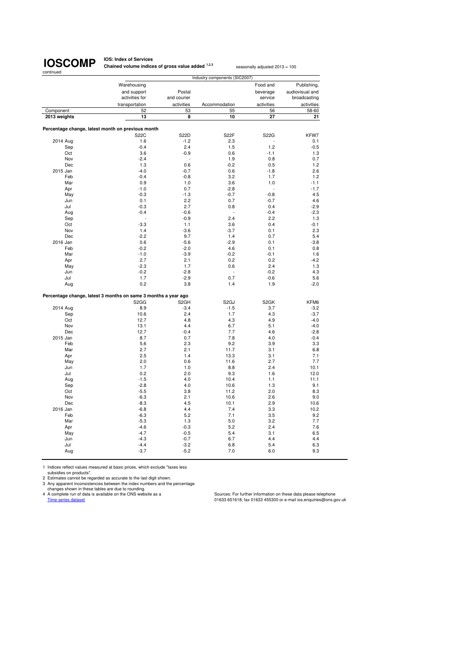**IOS: Index of Services Chained volume indices of gross value added <sup>1,2,3</sup> seasonally adjusted 2013 = 100** 

|                 |                                                                |                       | Industry components (SIC2007) |                   |                 |
|-----------------|----------------------------------------------------------------|-----------------------|-------------------------------|-------------------|-----------------|
|                 | Warehousing                                                    |                       |                               | Food and          | Publishing,     |
|                 | and support                                                    | Postal                |                               | beverage          | audiovisual and |
|                 | activities for                                                 | and courier           |                               | service           | broadcasting    |
|                 |                                                                |                       |                               |                   |                 |
|                 | transportation<br>52                                           | activities            | Accommodation<br>55           | activities        | activities      |
| Component       |                                                                | 53                    |                               | 56<br>27          | 58-60           |
| 2013 weights    | 13                                                             | 8                     | 10                            |                   | 21              |
|                 |                                                                |                       |                               |                   |                 |
|                 | Percentage change, latest month on previous month              |                       |                               |                   |                 |
|                 | <b>S22C</b><br>1.6                                             | <b>S22D</b><br>$-1.2$ | S22F<br>2.3                   | S22G              | KFW7<br>0.1     |
| 2014 Aug        |                                                                |                       |                               | 1.2               |                 |
| Sep             | $-0.4$                                                         | 2.4                   | 1.5                           |                   | $-0.5$          |
| Oct             | 3.6                                                            | $-0.9$                | 0.6                           | $-1.1$            | 1.3             |
| Nov             | $-2.4$                                                         |                       | 1.9                           | 0.8               | 0.7             |
| Dec<br>2015 Jan | 1.3<br>$-4.0$                                                  | 0.6                   | $-0.2$<br>0.6                 | 0.5               | 1.2<br>2.6      |
| Feb             | $-0.4$                                                         | $-0.7$<br>$-0.8$      | 3.2                           | $-1.8$<br>1.7     | 1.2             |
|                 |                                                                |                       |                               |                   |                 |
| Mar             | 0.9                                                            | 1.0                   | 3.6                           | 1.0<br>ä,         | $-1.1$          |
| Apr             | $-1.0$                                                         | 0.7                   | $-2.8$                        |                   | $-1.7$          |
| May             | $-0.3$<br>0.1                                                  | $-1.3$<br>2.2         | $-0.7$<br>0.7                 | $-0.8$<br>$-0.7$  | 4.5<br>4.6      |
| Jun             |                                                                |                       |                               |                   |                 |
| Jul             | $-0.3$                                                         | 2.7                   | 0.8                           | 0.4               | $-2.9$          |
| Aug             | $-0.4$                                                         | $-0.6$                | 2.4                           | $-0.4$<br>2.2     | $-2.3$          |
| Sep             | $-3.3$                                                         | $-0.9$<br>1.1         | 3.6                           | 0.4               | 1.3<br>$-0.1$   |
| Oct             | 1.4                                                            |                       | $-3.7$                        | 0.1               |                 |
| Nov<br>Dec      | $-2.2$                                                         | $-3.6$<br>9.7         | 1.4                           | 0.7               | 2.3<br>5.4      |
| 2016 Jan        | 0.6                                                            | $-5.6$                | $-2.9$                        | 0.1               | $-3.8$          |
| Feb             | $-0.2$                                                         | $-2.0$                | 4.6                           | 0.1               | 0.8             |
| Mar             | $-1.0$                                                         | $-3.9$                | $-0.2$                        | $-0.1$            | 1.6             |
| Apr             | 2.7                                                            | 2.1                   | 0.2                           | 0.2               | $-4.2$          |
| May             | $-2.3$                                                         | 1.7                   | 0.6                           | 2.4               | 1.3             |
| Jun             | $-0.2$                                                         | $-2.8$                |                               | $-0.2$            | 4.3             |
| Jul             | 1.7                                                            | $-2.9$                | 0.7                           | $-0.6$            | 5.6             |
| Aug             | 0.2                                                            | 3.8                   | 1.4                           | 1.9               | $-2.0$          |
|                 |                                                                |                       |                               |                   |                 |
|                 | Percentage change, latest 3 months on same 3 months a year ago |                       |                               |                   |                 |
|                 | S <sub>2</sub> G <sub>G</sub>                                  | S <sub>2</sub> GH     | S <sub>2</sub> GJ             | S <sub>2</sub> GK | KFM6            |
| 2014 Aug        | 8.9                                                            | $-3.4$                | $-1.5$                        | 3.7               | $-3.2$          |
| Sep             | 10.6                                                           | 2.4                   | 1.7                           | 4.3               | $-3.7$          |
| Oct             | 12.7                                                           | 4.8                   | 4.3                           | 4.9               | $-4.0$          |
| Nov             | 13.1                                                           | 4.4                   | 6.7                           | 5.1               | $-4.0$          |
| Dec             | 12.7                                                           | $-0.4$                | 7.7                           | 4.6               | $-2.8$          |
| 2015 Jan        | 8.7                                                            | 0.7                   | 7.8                           | 4.0               | $-0.4$          |
| Feb             | 5.6                                                            | 2.3                   | 9.2                           | 3.9               | 3.3             |
| Mar             | 2.7                                                            | 2.1                   | 11.7                          | 3.1               | 6.8             |
| Apr             | 2.5                                                            | 1.4                   | 13.3                          | 3.1               | 7.1             |
| May             | 2.0                                                            | 0.6                   | 11.6                          | 2.7               | 7.7             |
| Jun             | 1.7                                                            | 1.0                   | 8.8                           | 2.4               | 10.1            |
| Jul             | 0.2                                                            | 2.0                   | 9.3                           | 1.6               | 12.0            |
| Aug             | $-1.5$                                                         | 4.0                   | 10.4                          | 1.1               | 11.1            |
| Sep             | $-2.8$                                                         | 4.0                   | 10.6                          | 1.3               | 9.1             |
| Oct             | $-5.5$                                                         | 3.8                   | 11.2                          | 2.0               | 8.3             |
| Nov             | $-6.3$                                                         | 2.1                   | 10.6                          | 2.6               | 9.0             |
| Dec             | $-8.3$                                                         | 4.5                   | 10.1                          | 2.9               | 10.6            |
| 2016 Jan        | $-6.8$                                                         | 4.4                   | 7.4                           | 3.3               | 10.2            |
| Feb             | $-6.3$                                                         | 5.2                   | 7.1                           | 3.5               | 9.2             |
| Mar             | $-5.3$                                                         | 1.3                   | 5.0                           | 3.2               | 7.7             |
| Apr             | $-4.6$                                                         | $-0.3$                | 5.2                           | 2.4               | 7.6             |
| May             | $-4.7$                                                         | $-0.5$                | 5.4                           | 3.1               | 6.5             |
| Jun             | $-4.3$                                                         | $-0.7$                | 6.7                           | 4.4               | 4.4             |
| Jul             | $-4.4$                                                         | $-3.2$                | 6.8                           | 5.4               | 6.3             |
| Aug             | $-3.7$                                                         | $-5.2$                | 7.0                           | 6.0               | 9.3             |
|                 |                                                                |                       |                               |                   |                 |

1 Indices reflect values measured at basic prices, which exclude "taxes less

subsidies on products". 2 Estimates cannot be regarded as accurate to the last digit shown.

3 Any apparent inconsistencies between the index numbers and the percentage<br>changes shown in these tables are due to rounding.<br>4 A complete run of data is available on the ONS website as a Sources: For further information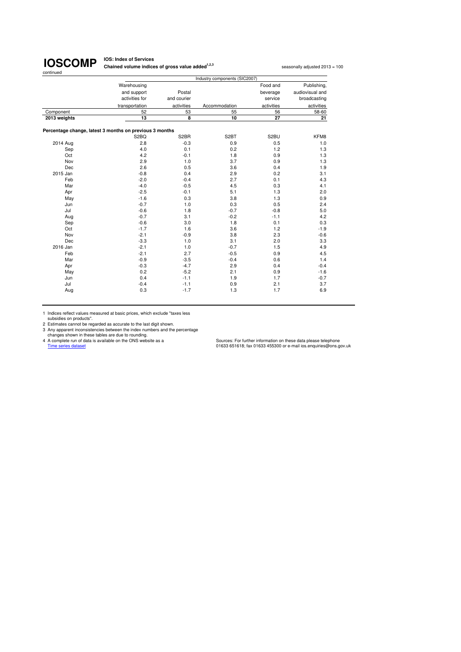**IOS: Index of Services Chained volume indices of gross value added<sup>1,2,3</sup> seasonally adjusted 2013 = 100** 

|              |                                                         |                         | Industry components (SIC2007) |            |                 |
|--------------|---------------------------------------------------------|-------------------------|-------------------------------|------------|-----------------|
|              | Warehousing                                             |                         |                               | Food and   | Publishing,     |
|              | and support                                             | Postal                  |                               | beverage   | audiovisual and |
|              | activities for                                          | and courier             |                               | service    | broadcasting    |
|              | transportation                                          | activities              | Accommodation                 | activities | activities      |
| Component    | 52                                                      | 53                      | 55                            | 56         | 58-60           |
| 2013 weights | 13                                                      | $\overline{\mathbf{8}}$ | 10                            | 27         | 21              |
|              | Percentage change, latest 3 months on previous 3 months |                         |                               |            |                 |
|              | S <sub>2</sub> BQ                                       | S <sub>2</sub> BR       | S <sub>2</sub> BT             | S2BU       | KFM8            |
| 2014 Aug     | 2.8                                                     | $-0.3$                  | 0.9                           | 0.5        | 1.0             |
| Sep          | 4.0                                                     | 0.1                     | 0.2                           | 1.2        | 1.3             |
| Oct          | 4.2                                                     | $-0.1$                  | 1.8                           | 0.9        | 1.3             |
| Nov          | 2.9                                                     | 1.0                     | 3.7                           | 0.9        | 1.3             |
| Dec          | 2.6                                                     | 0.5                     | 3.6                           | 0.4        | 1.9             |
| 2015 Jan     | $-0.8$                                                  | 0.4                     | 2.9                           | 0.2        | 3.1             |
| Feb          | $-2.0$                                                  | $-0.4$                  | 2.7                           | 0.1        | 4.3             |
| Mar          | $-4.0$                                                  | $-0.5$                  | 4.5                           | 0.3        | 4.1             |
| Apr          | $-2.5$                                                  | $-0.1$                  | 5.1                           | 1.3        | 2.0             |
| May          | $-1.6$                                                  | 0.3                     | 3.8                           | 1.3        | 0.9             |
| Jun          | $-0.7$                                                  | 1.0                     | 0.3                           | 0.5        | 2.4             |
| Jul          | $-0.6$                                                  | 1.8                     | $-0.7$                        | $-0.8$     | 5.0             |
| Aug          | $-0.7$                                                  | 3.1                     | $-0.2$                        | $-1.1$     | 4.2             |
| Sep          | $-0.6$                                                  | 3.0                     | 1.8                           | 0.1        | 0.3             |
| Oct          | $-1.7$                                                  | 1.6                     | 3.6                           | 1.2        | $-1.9$          |
| Nov          | $-2.1$                                                  | $-0.9$                  | 3.8                           | 2.3        | $-0.6$          |
| Dec          | $-3.3$                                                  | 1.0                     | 3.1                           | 2.0        | 3.3             |
| 2016 Jan     | $-2.1$                                                  | 1.0                     | $-0.7$                        | 1.5        | 4.9             |
| Feb          | $-2.1$                                                  | 2.7                     | $-0.5$                        | 0.9        | 4.5             |
| Mar          | $-0.9$                                                  | $-3.5$                  | $-0.4$                        | 0.6        | 1.4             |
| Apr          | $-0.3$                                                  | $-4.7$                  | 2.9                           | 0.4        | $-0.4$          |
| May          | 0.2                                                     | $-5.2$                  | 2.1                           | 0.9        | $-1.6$          |
| Jun          | 0.4                                                     | $-1.1$                  | 1.9                           | 1.7        | $-0.7$          |
| Jul          | $-0.4$                                                  | $-1.1$                  | 0.9                           | 2.1        | 3.7             |
| Aug          | 0.3                                                     | $-1.7$                  | 1.3                           | 1.7        | 6.9             |

1 Indices reflect values measured at basic prices, which exclude "taxes less

subsidies on products".<br>
2 Estimates cannot be regarded as accurate to the last digit shown.<br>
3 Any apparent inconsistencies between the index numbers and the percentage<br>
2 A complete run of data is a vailable on the ONS w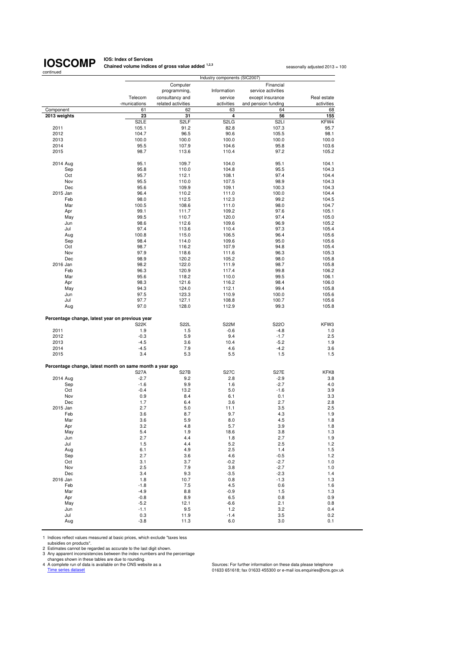**IOS: Index of Services Chained volume indices of gross value added <sup>1,2,3</sup> seasonally adjusted 2013 = 100<br>
<b>Chained volume indices of gross value added** <sup>1,2,3</sup>

| Industry components (SIC2007)                            |                   |                    |                               |                     |             |
|----------------------------------------------------------|-------------------|--------------------|-------------------------------|---------------------|-------------|
|                                                          |                   | Computer           |                               | Financial           |             |
|                                                          |                   | programming,       | Information                   | service activities  |             |
|                                                          | Telecom           | consultancy and    | service                       | except insurance    | Real estate |
|                                                          | -munications      | related activities | activities                    | and pension funding | activities  |
| Component                                                | 61                | 62                 | 63                            | 64                  | 68          |
| 2013 weights                                             | 23                | 31                 | 4                             | 56                  | 155         |
|                                                          | S <sub>2</sub> LE | S <sub>2</sub> LF  | S <sub>2</sub> L <sub>G</sub> | S <sub>2LI</sub>    | KFW4        |
| 2011                                                     | 105.1             | 91.2               | 82.8                          | 107.3               | 95.7        |
| 2012                                                     | 104.7             | 96.5               | 90.6                          | 105.5               | 98.1        |
| 2013                                                     | 100.0             | 100.0              | 100.0                         | 100.0               | 100.0       |
| 2014                                                     | 95.5              | 107.9              | 104.6                         | 95.8                | 103.6       |
| 2015                                                     | 98.7              | 113.6              | 110.4                         | 97.2                | 105.2       |
|                                                          |                   |                    |                               |                     |             |
| 2014 Aug                                                 | 95.1              | 109.7              | 104.0                         | 95.1                | 104.1       |
| Sep                                                      | 95.8              | 110.0              | 104.8                         | 95.5                | 104.3       |
| Oct                                                      | 95.7              | 112.1              | 108.1                         | 97.4                | 104.4       |
| Nov                                                      | 95.5              | 110.0              | 107.5                         | 98.9                | 104.3       |
| Dec                                                      | 95.6              | 109.9              | 109.1                         | 100.3               | 104.3       |
| 2015 Jan                                                 | 96.4              | 110.2              | 111.0                         | 100.0               | 104.4       |
| Feb                                                      | 98.0              | 112.5              | 112.3                         | 99.2                | 104.5       |
| Mar                                                      | 100.5             | 108.6              | 111.0                         | 98.0                | 104.7       |
| Apr                                                      | 99.1              | 111.7              | 109.2                         | 97.6                | 105.1       |
|                                                          | 99.5              | 110.7              | 120.0                         | 97.4                | 105.0       |
| May<br>Jun                                               | 98.6              | 112.6              | 109.6                         | 96.9                | 105.2       |
|                                                          | 97.4              |                    | 110.4                         |                     |             |
| Jul                                                      |                   | 113.6<br>115.0     |                               | 97.3                | 105.4       |
| Aug                                                      | 100.8             |                    | 106.5<br>109.6                | 96.4                | 105.6       |
| Sep                                                      | 98.4<br>98.7      | 114.0              | 107.9                         | 95.0                | 105.6       |
| Oct                                                      |                   | 116.2              |                               | 94.8                | 105.4       |
| Nov                                                      | 97.9              | 118.6              | 111.6                         | 96.3                | 105.3       |
| Dec                                                      | 98.9              | 120.2              | 105.2                         | 98.0                | 105.8       |
| 2016 Jan                                                 | 98.2              | 122.0              | 111.9                         | 98.7                | 105.8       |
| Feb                                                      | 96.3              | 120.9              | 117.4                         | 99.8                | 106.2       |
| Mar                                                      | 95.6              | 118.2              | 110.0                         | 99.5                | 106.1       |
| Apr                                                      | 98.3              | 121.6              | 116.2                         | 98.4                | 106.0       |
| May                                                      | 94.3              | 124.0              | 112.1                         | 99.4                | 105.8       |
| Jun                                                      | 97.5              | 123.3              | 110.9                         | 100.0               | 105.6       |
| Jul                                                      | 97.7              | 127.1              | 108.8                         | 100.7               | 105.6       |
| Aug                                                      | 97.0              | 128.0              | 112.9                         | 99.3                | 105.8       |
|                                                          |                   |                    |                               |                     |             |
| Percentage change, latest year on previous year          |                   |                    |                               |                     |             |
|                                                          | S <sub>2</sub> 2K | S22L               | <b>S22M</b>                   | S22O<br>$-4.8$      | KFW3<br>1.0 |
| 2011                                                     | 1.9<br>$-0.3$     | 1.5<br>5.9         | $-0.6$<br>9.4                 | $-1.7$              | 2.5         |
| 2012<br>2013                                             | $-4.5$            | 3.6                | 10.4                          | $-5.2$              | 1.9         |
| 2014                                                     | $-4.5$            | 7.9                | 4.6                           | $-4.2$              | 3.6         |
| 2015                                                     | 3.4               | 5.3                | 5.5                           | 1.5                 | 1.5         |
|                                                          |                   |                    |                               |                     |             |
| Percentage change, latest month on same month a year ago |                   |                    |                               |                     |             |
|                                                          | <b>S27A</b>       | <b>S27B</b>        | <b>S27C</b>                   | <b>S27E</b>         | KFK8        |
|                                                          | $-2.7$            | 9.2                | 2.8                           | $-2.9$              | 3.8         |
| 2014 Aug<br>Sep                                          | $-1.6$            | 9.9                | 1.6                           | $-2.7$              | 4.0         |
| Oct                                                      | $-0.4$            | 13.2               | 5.0                           | $-1.6$              | 3.9         |
| Nov                                                      | 0.9               | 8.4                | 6.1                           | 0.1                 | 3.3         |
| Dec                                                      | 1.7               | 6.4                | 3.6                           | 2.7                 | 2.8         |
| 2015 Jan                                                 | 2.7               | 5.0                | 11.1                          | 3.5                 | 2.5         |
| Feb                                                      | 3.6               | 8.7                | 9.7                           | 4.3                 | 1.9         |
| Mar                                                      | 3.6               | 5.9                | 8.0                           | 4.5                 | 1.8         |
| Apr                                                      | 3.2               | 4.8                | 5.7                           | 3.9                 | 1.8         |
| May                                                      | 5.4               | 1.9                | 18.6                          | 3.8                 | 1.3         |
| Jun                                                      | 2.7               | 4.4                | 1.8                           | 2.7                 | 1.9         |
| Jul                                                      | 1.5               | 4.4                | 5.2                           | 2.5                 | 1.2         |
| Aug                                                      | 6.1               | 4.9                | 2.5                           | 1.4                 | 1.5         |
| Sep                                                      | 2.7               | 3.6                | 4.6                           | $-0.5$              | 1.2         |
| Oct                                                      | 3.1               | 3.7                | $-0.2$                        | $-2.7$              | 1.0         |
| Nov                                                      | 2.5               | 7.9                | 3.8                           | $-2.7$              | 1.0         |
| Dec                                                      | 3.4               | 9.3                | $-3.5$                        | $-2.3$              | 1.4         |
| 2016 Jan                                                 | 1.8               | 10.7               | 0.8                           | $-1.3$              | 1.3         |
| Feb                                                      | $-1.8$            | 7.5                | 4.5                           | 0.6                 | 1.6         |
| Mar                                                      | $-4.9$            | 8.8                | $-0.9$                        | 1.5                 | 1.3         |
| Apr                                                      | $-0.8$            | 8.9                | 6.5                           | 0.8                 | 0.9         |
| May                                                      | $-5.2$            | 12.1               | $-6.6$                        | 2.1                 | 0.8         |
| Jun                                                      | $-1.1$            | 9.5                | 1.2                           | 3.2                 | 0.4         |
| Jul                                                      | 0.3               | 11.9               | $-1.4$                        | 3.5                 | 0.2         |
| Aug                                                      | $-3.8$            | 11.3               | 6.0                           | 3.0                 | 0.1         |
|                                                          |                   |                    |                               |                     |             |

1 Indices reflect values measured at basic prices, which exclude "taxes less

subsidies on products".<br>2 Estimates cannot be regarded as accurate to the last digit shown.<br>3 Any apparent inconsistencies between the index numbers and the percentage<br>4 A complete run of data is available on the ONS websi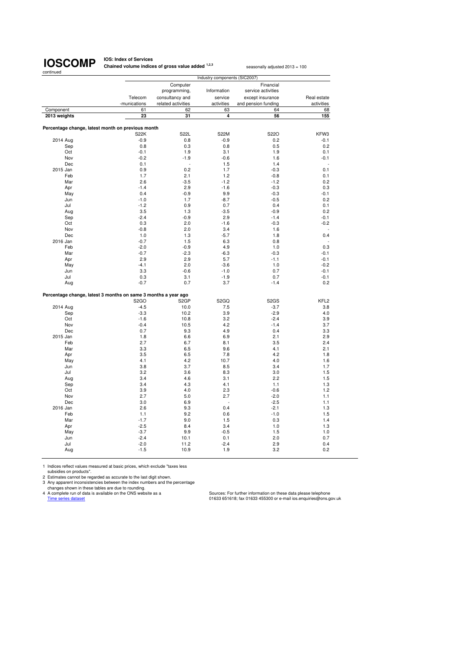**IOS: Index of Services Chained volume indices of gross value added <sup>1,2,3</sup> seasonally adjusted 2013 = 100** 

|              |            |                                                                  |                    | Industry components (SIC2007) |                     |                  |
|--------------|------------|------------------------------------------------------------------|--------------------|-------------------------------|---------------------|------------------|
|              |            |                                                                  | Computer           |                               | Financial           |                  |
|              |            |                                                                  | programming,       | Information                   | service activities  |                  |
|              |            | Telecom                                                          | consultancy and    | service                       | except insurance    | Real estate      |
|              |            | -munications                                                     | related activities | activities                    | and pension funding | activities       |
| Component    |            | 61                                                               | 62                 | 63                            | 64                  | 68               |
| 2013 weights |            | 23                                                               | 31                 | 4                             | 56                  | 155              |
|              |            |                                                                  |                    |                               |                     |                  |
|              |            | Percentage change, latest month on previous month<br><b>S22K</b> | <b>S22L</b>        | <b>S22M</b>                   | S22O                | KFW3             |
| 2014 Aug     |            | $-0.9$                                                           | 0.8                | $-0.9$                        | 0.2                 | $-0.1$           |
|              | Sep        | 0.8                                                              | 0.3                | 0.8                           | 0.5                 | 0.2              |
|              | Oct        | $-0.1$                                                           | 1.9                | 3.1                           | 1.9                 | 0.1              |
|              | Nov        | $-0.2$                                                           | $-1.9$             | $-0.6$                        | 1.6                 | $-0.1$           |
|              | Dec        | 0.1                                                              |                    | 1.5                           | 1.4                 |                  |
| 2015 Jan     |            | 0.9                                                              | 0.2                | 1.7                           | $-0.3$              | 0.1              |
|              | Feb        | 1.7                                                              | 2.1                | 1.2                           | $-0.8$              | 0.1              |
|              | Mar        | 2.6                                                              | $-3.5$             | $-1.2$                        | $-1.2$              | 0.2              |
|              | Apr        | $-1.4$                                                           | 2.9                | $-1.6$                        | $-0.3$              | 0.3              |
|              | May        | 0.4                                                              | $-0.9$             | 9.9                           | $-0.3$              | $-0.1$           |
|              | Jun        | $-1.0$                                                           | 1.7                | $-8.7$                        | $-0.5$              | 0.2              |
|              | Jul        | $-1.2$                                                           | 0.9                | 0.7                           | 0.4                 | 0.1              |
|              | Aug        | 3.5                                                              | 1.3                | $-3.5$                        | $-0.9$              | 0.2              |
|              | Sep        | $-2.4$                                                           | $-0.9$             | 2.9                           | $-1.4$              | $-0.1$           |
|              | Oct        | 0.3                                                              | 2.0                | $-1.6$                        | $-0.3$              | $-0.2$           |
|              | Nov        | $-0.8$                                                           | 2.0                | 3.4                           | 1.6                 |                  |
|              | Dec        | 1.0                                                              | 1.3                | $-5.7$                        | 1.8                 | 0.4              |
| 2016 Jan     | Feb        | $-0.7$<br>$-2.0$                                                 | 1.5<br>$-0.9$      | 6.3<br>4.9                    | 0.8<br>1.0          | 0.3              |
|              | Mar        | $-0.7$                                                           | $-2.3$             | $-6.3$                        | $-0.3$              | $-0.1$           |
|              | Apr        | 2.9                                                              | 2.9                | 5.7                           | $-1.1$              | $-0.1$           |
|              | May        | $-4.1$                                                           | 2.0                | $-3.6$                        | 1.0                 | $-0.2$           |
|              | Jun        | 3.3                                                              | $-0.6$             | $-1.0$                        | 0.7                 | $-0.1$           |
|              | Jul        | 0.3                                                              | 3.1                | $-1.9$                        | 0.7                 | $-0.1$           |
|              | Aug        | $-0.7$                                                           | 0.7                | 3.7                           | $-1.4$              | 0.2              |
|              |            |                                                                  |                    |                               |                     |                  |
|              |            | Percentage change, latest 3 months on same 3 months a year ago   |                    |                               |                     |                  |
|              |            | S <sub>2</sub> GO                                                | S <sub>2</sub> GP  | S <sub>2</sub> GQ             | S <sub>2</sub> GS   | KFL <sub>2</sub> |
| 2014 Aug     |            | $-4.5$                                                           | 10.0               | 7.5                           | $-3.7$              | 3.8              |
|              | Sep        | $-3.3$                                                           | 10.2               | 3.9                           | $-2.9$              | 4.0              |
|              | Oct        | $-1.6$                                                           | 10.8               | 3.2                           | $-2.4$              | 3.9              |
|              | Nov        | $-0.4$                                                           | 10.5               | 4.2                           | $-1.4$              | 3.7              |
|              | Dec        | 0.7                                                              | 9.3                | 4.9                           | 0.4                 | 3.3              |
| 2015 Jan     |            | 1.8                                                              | 6.6                | 6.9                           | 2.1                 | 2.9              |
|              | Feb        | 2.7                                                              | 6.7                | 8.1                           | 3.5                 | 2.4              |
|              | Mar        | 3.3                                                              | 6.5                | 9.6                           | 4.1                 | 2.1              |
|              | Apr        | 3.5                                                              | 6.5                | 7.8                           | 4.2                 | 1.8              |
|              | May        | 4.1                                                              | 4.2                | 10.7                          | 4.0                 | 1.6              |
|              | Jun        | 3.8                                                              | 3.7                | 8.5                           | 3.4                 | 1.7              |
|              | Jul        | 3.2                                                              | 3.6                | 8.3                           | 3.0                 | 1.5              |
|              | Aug<br>Sep | 3.4<br>3.4                                                       | 4.6<br>4.3         | 3.1<br>4.1                    | 2.2<br>1.1          | 1.5<br>1.3       |
|              | Oct        | 3.9                                                              | 4.0                | 2.3                           | $-0.6$              | 1.2              |
|              | Nov        | 2.7                                                              | 5.0                | 2.7                           | $-2.0$              | 1.1              |
|              | Dec        | 3.0                                                              | 6.9                | L.                            | $-2.5$              | 1.1              |
| 2016 Jan     |            | 2.6                                                              | 9.3                | 0.4                           | $-2.1$              | 1.3              |
|              | Feb        | 1.1                                                              | 9.2                | 0.6                           | $-1.0$              | 1.5              |
|              | Mar        | $-1.7$                                                           | 9.0                | 1.5                           | 0.3                 | 1.4              |
|              | Apr        | $-2.5$                                                           | 8.4                | 3.4                           | 1.0                 | 1.3              |
|              | May        | $-3.7$                                                           | 9.9                | $-0.5$                        | 1.5                 | 1.0              |
|              | Jun        | $-2.4$                                                           | 10.1               | 0.1                           | 2.0                 | 0.7              |
|              | Jul        | $-2.0$                                                           | 11.2               | $-2.4$                        | 2.9                 | 0.4              |
|              | Aug        | $-1.5$                                                           | 10.9               | 1.9                           | 3.2                 | 0.2              |
|              |            |                                                                  |                    |                               |                     |                  |

1 Indices reflect values measured at basic prices, which exclude "taxes less<br>subsidies on products".<br>2 Estimates cannot be regarded as accurate to the last digit shown.<br>3 Any apparent inconsistencies between the index numb

Cources: For further information on these data please telephone<br>A complete run of data is available on the ONS website as a<br>Time series dataset elephone<br>01633 651618; fax 01633 455300 or e-mail ios.enquiries@ons.gov.uk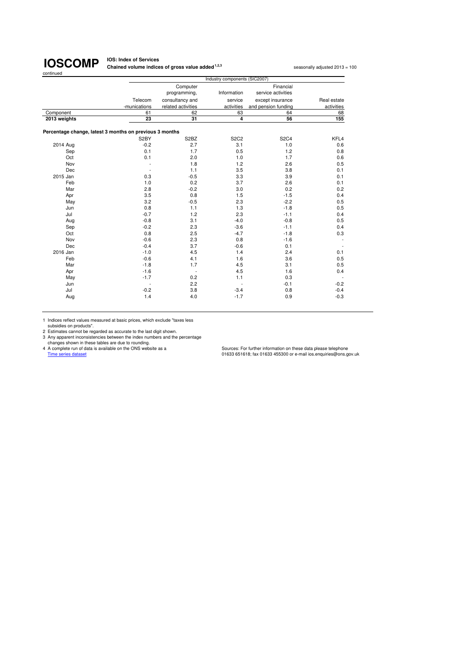**IOS: Index of Services Chained volume indices of gross value added <sup>1,2,3</sup> seasonally adjusted 2013 = 100** 

|                                                         |                          |                               | Industry components (SIC2007) |                     |                          |
|---------------------------------------------------------|--------------------------|-------------------------------|-------------------------------|---------------------|--------------------------|
|                                                         |                          | Computer                      |                               | Financial           |                          |
|                                                         |                          | programming,                  | Information                   | service activities  |                          |
|                                                         | Telecom                  | consultancy and               | service                       | except insurance    | Real estate              |
|                                                         | -munications             | related activities            | activities                    | and pension funding | activities               |
| Component                                               | 61                       | 62                            | 63                            | 64                  | 68                       |
| 2013 weights                                            | 23                       | 31                            | 4                             | 56                  | 155                      |
| Percentage change, latest 3 months on previous 3 months |                          |                               |                               |                     |                          |
|                                                         | S2BY                     | S <sub>2</sub> B <sub>Z</sub> | <b>S2C2</b>                   | <b>S2C4</b>         | KFL4                     |
| 2014 Aug                                                | $-0.2$                   | 2.7                           | 3.1                           | 1.0                 | 0.6                      |
| Sep                                                     | 0.1                      | 1.7                           | 0.5                           | 1.2                 | 0.8                      |
| Oct                                                     | 0.1                      | 2.0                           | 1.0                           | 1.7                 | 0.6                      |
| Nov                                                     |                          | 1.8                           | 1.2                           | 2.6                 | 0.5                      |
| Dec                                                     |                          | 1.1                           | 3.5                           | 3.8                 | 0.1                      |
| 2015 Jan                                                | 0.3                      | $-0.5$                        | 3.3                           | 3.9                 | 0.1                      |
| Feb                                                     | 1.0                      | 0.2                           | 3.7                           | 2.6                 | 0.1                      |
| Mar                                                     | 2.8                      | $-0.2$                        | 3.0                           | 0.2                 | 0.2                      |
| Apr                                                     | 3.5                      | 0.8                           | 1.5                           | $-1.5$              | 0.4                      |
| May                                                     | 3.2                      | $-0.5$                        | 2.3                           | $-2.2$              | 0.5                      |
| Jun                                                     | 0.8                      | 1.1                           | 1.3                           | $-1.8$              | 0.5                      |
| Jul                                                     | $-0.7$                   | 1.2                           | 2.3                           | $-1.1$              | 0.4                      |
| Aug                                                     | $-0.8$                   | 3.1                           | $-4.0$                        | $-0.8$              | 0.5                      |
| Sep                                                     | $-0.2$                   | 2.3                           | $-3.6$                        | $-1.1$              | 0.4                      |
| Oct                                                     | 0.8                      | 2.5                           | $-4.7$                        | $-1.8$              | 0.3                      |
| Nov                                                     | $-0.6$                   | 2.3                           | 0.8                           | $-1.6$              |                          |
| Dec                                                     | $-0.4$                   | 3.7                           | $-0.6$                        | 0.1                 |                          |
| 2016 Jan                                                | $-1.0$                   | 4.5                           | 1.4                           | 2.4                 | 0.1                      |
| Feb                                                     | $-0.6$                   | 4.1                           | 1.6                           | 3.6                 | 0.5                      |
| Mar                                                     | $-1.8$                   | 1.7                           | 4.5                           | 3.1                 | 0.5                      |
| Apr                                                     | $-1.6$                   | $\overline{\phantom{a}}$      | 4.5                           | 1.6                 | 0.4                      |
| May                                                     | $-1.7$                   | 0.2                           | 1.1                           | 0.3                 | $\overline{\phantom{a}}$ |
| Jun                                                     | $\overline{\phantom{a}}$ | 2.2                           | $\overline{a}$                | $-0.1$              | $-0.2$                   |
| Jul                                                     | $-0.2$                   | 3.8                           | $-3.4$                        | 0.8                 | $-0.4$                   |
| Aug                                                     | 1.4                      | 4.0                           | $-1.7$                        | 0.9                 | $-0.3$                   |

1 Indices reflect values measured at basic prices, which exclude "taxes less subsidies on products".

2 Estimates cannot be regarded as accurate to the last digit shown.<br>
2 Any apparent inconsistencies between the index numbers and the percentage<br>
changes shown in these tables are due to rounding.<br>
4 A complete run of data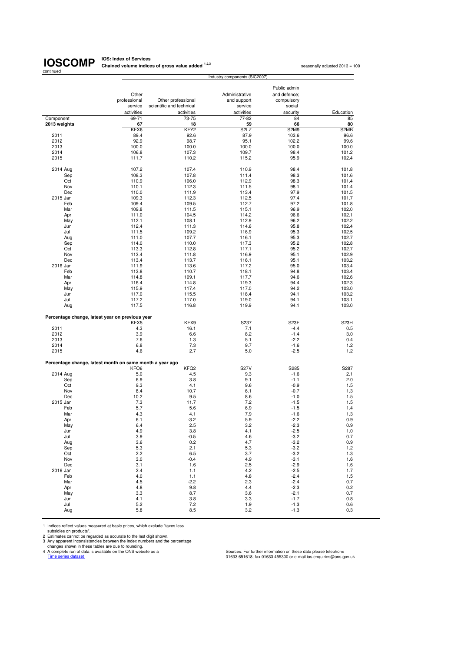## continued

**IOSCOMP** Chained volume indices of gross value added <sup>1,2,3</sup> seasonally adjusted 2013 = 100<br> **IOSCOMP** Chained volume indices of gross value added <sup>1,2,3</sup>

|                                                          |                     |                                                | Industry components (SIC2007) |                   |                   |
|----------------------------------------------------------|---------------------|------------------------------------------------|-------------------------------|-------------------|-------------------|
|                                                          |                     |                                                |                               |                   |                   |
|                                                          |                     |                                                |                               | Public admin      |                   |
|                                                          | Other               |                                                | Administrative                | and defence:      |                   |
|                                                          | professional        | Other professional<br>scientific and technical | and support                   | compulsory        |                   |
|                                                          | service             |                                                | service                       | social            |                   |
| Component                                                | activities<br>69-71 | activities<br>73-75                            | activities<br>77-82           | security<br>84    | Education<br>85   |
| 2013 weights                                             | 67                  | 18                                             | 59                            | 66                | 80                |
|                                                          | KFX6                | KFY <sub>2</sub>                               | S <sub>2</sub> L <sub>Z</sub> | S2M9              | S2MB              |
| 2011                                                     | 89.4                | 92.6                                           | 87.9                          | 103.6             | 96.6              |
| 2012                                                     | 92.9                | 98.7                                           | 95.1                          | 102.2             | 99.6              |
| 2013                                                     | 100.0               | 100.0                                          | 100.0                         | 100.0             | 100.0             |
| 2014                                                     | 106.8               | 107.3                                          | 109.7                         | 98.4              | 101.2             |
| 2015                                                     | 111.7               | 110.2                                          | 115.2                         | 95.9              | 102.4             |
| 2014 Aug                                                 | 107.2               | 107.4                                          | 110.9                         | 98.4              | 101.8             |
| Sep                                                      | 108.3               | 107.8                                          | 111.4                         | 98.3              | 101.6             |
| Oct                                                      | 110.9               | 106.0                                          | 112.9                         | 98.3              | 101.4             |
| Nov                                                      | 110.1               | 112.3                                          | 111.5                         | 98.1              | 101.4             |
| Dec                                                      | 110.0               | 111.9                                          | 113.4                         | 97.9              | 101.5             |
| 2015 Jan                                                 | 109.3               | 112.3                                          | 112.5                         | 97.4              | 101.7             |
| Feb                                                      | 109.4               | 109.5                                          | 112.7                         | 97.2              | 101.8             |
| Mar                                                      | 109.8               | 111.5                                          | 115.1                         | 96.9              | 102.0             |
| Apr                                                      | 111.0               | 104.5                                          | 114.2                         | 96.6              | 102.1             |
| May                                                      | 112.1               | 108.1<br>111.3                                 | 112.9                         | 96.2              | 102.2             |
| Jun<br>Jul                                               | 112.4<br>111.5      | 109.2                                          | 114.6<br>116.9                | 95.8<br>95.3      | 102.4<br>102.5    |
| Aug                                                      | 111.0               | 107.7                                          | 116.1                         | 95.3              | 102.7             |
| Sep                                                      | 114.0               | 110.0                                          | 117.3                         | 95.2              | 102.8             |
| Oct                                                      | 113.3               | 112.8                                          | 117.1                         | 95.2              | 102.7             |
| Nov                                                      | 113.4               | 111.8                                          | 116.9                         | 95.1              | 102.9             |
| Dec                                                      | 113.4               | 113.7                                          | 116.1                         | 95.1              | 103.2             |
| 2016 Jan                                                 | 111.9               | 113.6                                          | 117.2                         | 95.0              | 103.4             |
| Feb                                                      | 113.8               | 110.7                                          | 118.1                         | 94.8              | 103.4             |
| Mar                                                      | 114.8               | 109.1                                          | 117.7                         | 94.6              | 102.6             |
| Apr                                                      | 116.4               | 114.8                                          | 119.3                         | 94.4              | 102.3             |
| May                                                      | 115.9               | 117.4                                          | 117.0                         | 94.2              | 103.0             |
| Jun                                                      | 117.0               | 115.5                                          | 118.4                         | 94.1              | 103.2             |
| Jul                                                      | 117.2               | 117.0                                          | 119.0                         | 94.1              | 103.1             |
| Aug                                                      | 117.5               | 116.8                                          | 119.9                         | 94.1              | 103.0             |
| Percentage change, latest year on previous year          |                     |                                                |                               |                   |                   |
|                                                          | KFX5                | KFX9                                           | S237                          | S <sub>23</sub> F | S <sub>23</sub> H |
| 2011<br>2012                                             | 4.3<br>3.9          | 16.1<br>6.6                                    | 7.1<br>8.2                    | $-4.4$<br>$-1.4$  | 0.5<br>3.0        |
| 2013                                                     | 7.6                 | 1.3                                            | 5.1                           | $-2.2$            | 0.4               |
| 2014                                                     | 6.8                 | 7.3                                            | 9.7                           | $-1.6$            | 1.2               |
| 2015                                                     | 4.6                 | 2.7                                            | 5.0                           | $-2.5$            | 1.2               |
|                                                          |                     |                                                |                               |                   |                   |
| Percentage change, latest month on same month a year ago | KFO <sub>6</sub>    | KFQ <sub>2</sub>                               | <b>S27V</b>                   | S285              | S287              |
| 2014 Aug                                                 | 5.0                 | 4.5                                            | 9.3                           | $-1.6$            | 2.1               |
| Sep                                                      | 6.9                 | 3.8                                            | 9.1                           | $-1.1$            | 2.0               |
| Oct                                                      | 9.3                 | 4.1                                            | 9.6                           | $-0.9$            | 1.5               |
| Nov                                                      | 8.4                 | 10.7                                           | 6.1                           | $-0.7$            | 1.3               |
| Dec                                                      | 10.2                | 9.5                                            | 8.6                           | $-1.0$            | 1.5               |
| 2015 Jan                                                 | 7.3                 | 11.7                                           | 7.2                           | $-1.5$            | 1.5               |
| Feb                                                      | 5.7                 | 5.6                                            | 6.9                           | $-1.5$            | 1.4               |
| Mar                                                      | 4.3                 | 4.1                                            | 7.9                           | $-1.6$            | 1.3               |
| Apr                                                      | 6.1                 | $-3.2$                                         | 5.9                           | $-2.2$            | 0.9               |
| May                                                      | 6.4                 | 2.5                                            | 3.2                           | $-2.3$            | 0.9               |
| Jun                                                      | 4.9                 | 3.8                                            | 4.1                           | $-2.5$            | 1.0               |
| Jul                                                      | 3.9                 | $-0.5$                                         | 4.6                           | $-3.2$            | 0.7               |
| Aug                                                      | 3.6                 | 0.2                                            | 4.7                           | $-3.2$            | 0.9               |
| Sep<br>Oct                                               | 5.3<br>2.2          | 2.1<br>6.5                                     | 5.3<br>3.7                    | $-3.2$<br>$-3.2$  | 1.2<br>1.3        |
| Nov                                                      | 3.0                 | $-0.4$                                         | 4.9                           | $-3.1$            | 1.6               |
| Dec                                                      | 3.1                 | 1.6                                            | 2.5                           | $-2.9$            | 1.6               |
| 2016 Jan                                                 | 2.4                 | 1.1                                            | 4.2                           | $-2.5$            | 1.7               |
| Feb                                                      | 4.0                 | 1.1                                            | 4.8                           | $-2.4$            | 1.5               |
| Mar                                                      | 4.5                 | $-2.2$                                         | 2.3                           | $-2.4$            | 0.7               |
| Apr                                                      | 4.8                 | 9.8                                            | 4.4                           | $-2.3$            | 0.2               |
| May                                                      | 3.3                 | 8.7                                            | 3.6                           | $-2.1$            | 0.7               |
| Jun                                                      | 4.1                 | 3.8                                            | 3.3                           | $-1.7$            | 0.8               |
| Jul                                                      | 5.2                 | 7.2                                            | 1.9                           | $-1.3$            | 0.6               |
| Aug                                                      | 5.8                 | 8.5                                            | 3.2                           | $-1.3$            | 0.3               |

1 Indices reflect values measured at basic prices, which exclude "taxes less<br>
2 Estimates cannot be regarded as accurate to the last digit shown.<br>
2 Estimates cannot be regarded as accurate to the last digit shown.<br>
2 A co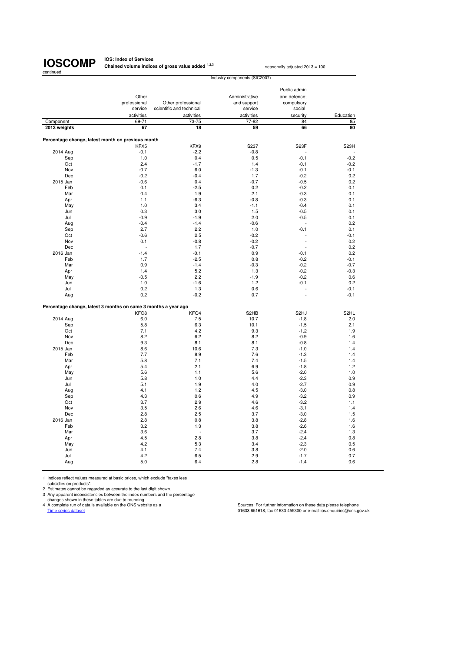**IOS: Index of Services Chained volume indices of gross value added <sup>1,2,3</sup> seasonally adjusted 2013 = 100** 

|                                                                |                  |                          | Industry components (SIC2007) |                          |                   |
|----------------------------------------------------------------|------------------|--------------------------|-------------------------------|--------------------------|-------------------|
|                                                                |                  |                          |                               |                          |                   |
|                                                                |                  |                          |                               | Public admin             |                   |
|                                                                | Other            |                          | Administrative                | and defence:             |                   |
|                                                                | professional     | Other professional       | and support                   | compulsory               |                   |
|                                                                | service          | scientific and technical | service                       | social                   |                   |
|                                                                | activities       | activities               | activities                    | security                 | Education         |
| Component                                                      | 69-71            | 73-75                    | 77-82                         | 84                       | 85                |
| 2013 weights                                                   | 67               | 18                       | 59                            | 66                       | 80                |
|                                                                |                  |                          |                               |                          |                   |
| Percentage change, latest month on previous month              |                  |                          |                               |                          |                   |
|                                                                | KFX5             | KFX9                     | S237                          | S23F                     | S <sub>23</sub> H |
| 2014 Aug                                                       | $-0.1$           | $-2.2$                   | $-0.8$                        |                          |                   |
| Sep                                                            | 1.0              | 0.4                      | 0.5                           | $-0.1$                   | $-0.2$            |
| Oct                                                            | 2.4              | $-1.7$                   | 1.4                           | $-0.1$                   | $-0.2$            |
| Nov                                                            | $-0.7$           | 6.0                      | $-1.3$                        | $-0.1$                   | $-0.1$            |
| Dec                                                            | $-0.2$           | $-0.4$                   | 1.7                           | $-0.2$                   | 0.2               |
| 2015 Jan                                                       | $-0.6$           | 0.4                      | $-0.7$                        | $-0.5$                   | 0.2               |
| Feb                                                            | 0.1              | $-2.5$                   | 0.2                           | $-0.2$                   | 0.1               |
| Mar                                                            | 0.4              | 1.9                      | 2.1                           | $-0.3$                   | 0.1               |
| Apr                                                            | 1.1              | $-6.3$                   | $-0.8$                        | $-0.3$                   | 0.1               |
| May                                                            | 1.0              | 3.4                      | $-1.1$                        | $-0.4$                   | 0.1               |
| Jun                                                            | 0.3              | 3.0                      | 1.5                           | $-0.5$                   | 0.1               |
| Jul                                                            | $-0.9$           | $-1.9$                   | 2.0                           | $-0.5$                   | 0.1               |
| Aug                                                            | $-0.4$           | $-1.4$                   | $-0.6$                        |                          | 0.2               |
| Sep                                                            | 2.7              | 2.2                      | 1.0                           | $-0.1$                   | 0.1               |
| Oct                                                            | $-0.6$           | 2.5                      | $-0.2$                        |                          | $-0.1$            |
| Nov                                                            | 0.1              | $-0.8$                   | $-0.2$                        | L.                       | 0.2               |
| Dec                                                            | $\overline{a}$   | 1.7                      | $-0.7$                        | $\overline{\phantom{a}}$ | 0.2               |
| 2016 Jan                                                       | $-1.4$           | $-0.1$                   | 0.9                           | $-0.1$                   | 0.2               |
| Feb                                                            | 1.7              | $-2.5$                   | 0.8                           | $-0.2$                   | $-0.1$            |
| Mar                                                            | 0.9              | $-1.4$                   | $-0.3$                        | $-0.2$                   | $-0.7$            |
| Apr                                                            | 1.4              | 5.2                      | 1.3                           | $-0.2$                   | $-0.3$            |
| May                                                            | $-0.5$           | 2.2                      | $-1.9$                        | $-0.2$                   | 0.6               |
| Jun                                                            | 1.0              | $-1.6$                   | 1.2                           | $-0.1$                   | 0.2               |
| Jul                                                            | 0.2              | 1.3                      | 0.6                           |                          | $-0.1$            |
| Aug                                                            | 0.2              | $-0.2$                   | 0.7                           | L.                       | $-0.1$            |
|                                                                |                  |                          |                               |                          |                   |
| Percentage change, latest 3 months on same 3 months a year ago | KFO <sub>8</sub> | KFQ4                     | S <sub>2</sub> HB             | S <sub>2</sub> HJ        | S <sub>2HL</sub>  |
|                                                                | 6.0              | 7.5                      | 10.7                          | $-1.8$                   | 2.0               |
| 2014 Aug<br>Sep                                                | 5.8              | 6.3                      | 10.1                          | $-1.5$                   | 2.1               |
| Oct                                                            | 7.1              | 4.2                      | 9.3                           | $-1.2$                   | 1.9               |
| Nov                                                            | 8.2              | 6.2                      | 8.2                           | $-0.9$                   | 1.6               |
| Dec                                                            | 9.3              | 8.1                      | 8.1                           | $-0.8$                   | 1.4               |
| 2015 Jan                                                       | 8.6              | 10.6                     | 7.3                           | $-1.0$                   | 1.4               |
| Feb                                                            | 7.7              | 8.9                      | 7.6                           | $-1.3$                   | 1.4               |
| Mar                                                            | 5.8              | 7.1                      | 7.4                           | $-1.5$                   | 1.4               |
| Apr                                                            | 5.4              | 2.1                      | 6.9                           | $-1.8$                   | 1.2               |
| May                                                            | 5.6              | 1.1                      | 5.6                           | $-2.0$                   | 1.0               |
| Jun                                                            | 5.8              | 1.0                      | 4.4                           | $-2.3$                   | 0.9               |
| Jul                                                            | 5.1              | 1.9                      | 4.0                           | $-2.7$                   | 0.9               |
| Aug                                                            | 4.1              | 1.2                      | 4.5                           | $-3.0$                   | 0.8               |
| Sep                                                            | 4.3              | 0.6                      | 4.9                           | $-3.2$                   | 0.9               |
| Oct                                                            | 3.7              | 2.9                      | 4.6                           | $-3.2$                   | 1.1               |
| Nov                                                            | 3.5              | 2.6                      | 4.6                           | $-3.1$                   | 1.4               |
| Dec                                                            | 2.8              | 2.5                      | 3.7                           | $-3.0$                   | 1.5               |
| 2016 Jan                                                       | 2.8              | 0.8                      | 3.8                           | $-2.8$                   | 1.6               |
| Feb                                                            | 3.2              | 1.3                      | 3.8                           | $-2.6$                   | 1.6               |
| Mar                                                            | 3.6              |                          | 3.7                           | $-2.4$                   | 1.3               |
| Apr                                                            | 4.5              | 2.8                      | 3.8                           | $-2.4$                   | 0.8               |
| May                                                            | 4.2              | 5.3                      | 3.4                           | $-2.3$                   | 0.5               |
| Jun                                                            | 4.1              | 7.4                      | 3.8                           | $-2.0$                   | 0.6               |
| Jul                                                            | 4.2              | 6.5                      | 2.9                           | $-1.7$                   | 0.7               |
| Aug                                                            | 5.0              | 6.4                      | 2.8                           | $-1.4$                   | 0.6               |
|                                                                |                  |                          |                               |                          |                   |

1 Indices reflect values measured at basic prices, which exclude "taxes less

subsidies on products".<br>
2 Estimates cannot be regarded as accurate to the last digit shown.<br>
3 Any apparent inconsistencies between the index numbers and the percentage<br>
changes shown in these tables are due to rounding.<br>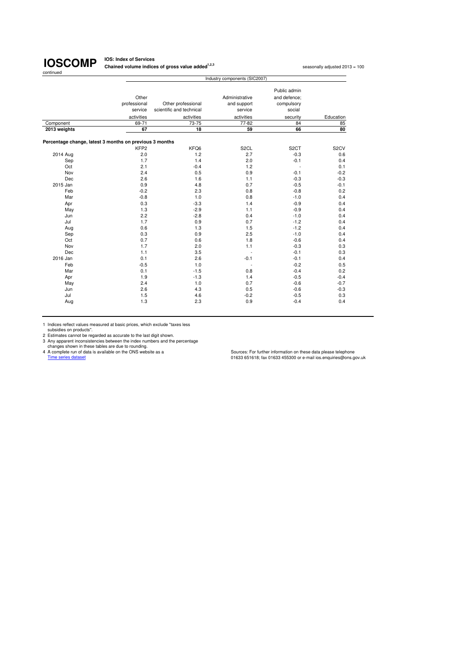**IOS: Index of Services Chained volume indices of gross value added<sup>1,2,3</sup> seasonally adjusted 2013 = 100<br>
<b>Chained volume indices of gross value added**<sup>1,2,3</sup>

|                                                         |                  |                          | Industry components (SIC2007) |                   |                   |
|---------------------------------------------------------|------------------|--------------------------|-------------------------------|-------------------|-------------------|
|                                                         |                  |                          |                               | Public admin      |                   |
|                                                         |                  |                          |                               |                   |                   |
|                                                         | Other            |                          | Administrative                | and defence:      |                   |
|                                                         | professional     | Other professional       | and support                   | compulsory        |                   |
|                                                         | service          | scientific and technical | service                       | social            |                   |
|                                                         | activities       | activities               | activities                    | security          | Education         |
| Component                                               | 69-71            | 73-75                    | 77-82                         | 84                | 85                |
| 2013 weights                                            | 67               | 18                       | 59                            | 66                | 80                |
| Percentage change, latest 3 months on previous 3 months |                  |                          |                               |                   |                   |
|                                                         | KFP <sub>2</sub> | KFQ6                     | S <sub>2</sub> CL             | S <sub>2</sub> CT | S <sub>2</sub> CV |
| 2014 Aug                                                | 2.0              | 1.2                      | 2.7                           | $-0.3$            | 0.6               |
| Sep                                                     | 1.7              | 1.4                      | 2.0                           | $-0.1$            | 0.4               |
| Oct                                                     | 2.1              | $-0.4$                   | 1.2                           |                   | 0.1               |
| Nov                                                     | 2.4              | 0.5                      | 0.9                           | $-0.1$            | $-0.2$            |
| Dec                                                     | 2.6              | 1.6                      | 1.1                           | $-0.3$            | $-0.3$            |
| 2015 Jan                                                | 0.9              | 4.8                      | 0.7                           | $-0.5$            | $-0.1$            |
| Feb                                                     | $-0.2$           | 2.3                      | 0.8                           | $-0.8$            | 0.2               |
| Mar                                                     | $-0.8$           | 1.0                      | 0.8                           | $-1.0$            | 0.4               |
| Apr                                                     | 0.3              | $-3.3$                   | 1.4                           | $-0.9$            | 0.4               |
| May                                                     | 1.3              | $-2.9$                   | 1.1                           | $-0.9$            | 0.4               |
| Jun                                                     | 2.2              | $-2.8$                   | 0.4                           | $-1.0$            | 0.4               |
| Jul                                                     | 1.7              | 0.9                      | 0.7                           | $-1.2$            | 0.4               |
| Aug                                                     | 0.6              | 1.3                      | 1.5                           | $-1.2$            | 0.4               |
| Sep                                                     | 0.3              | 0.9                      | 2.5                           | $-1.0$            | 0.4               |
| Oct                                                     | 0.7              | 0.6                      | 1.8                           | $-0.6$            | 0.4               |
| Nov                                                     | 1.7              | 2.0                      | 1.1                           | $-0.3$            | 0.3               |
| Dec                                                     | 1.1              | 3.5                      | ÷,                            | $-0.1$            | 0.3               |
| 2016 Jan                                                | 0.1              | 2.6                      | $-0.1$                        | $-0.1$            | 0.4               |
| Feb                                                     | $-0.5$           | 1.0                      |                               | $-0.2$            | 0.5               |
| Mar                                                     | 0.1              | $-1.5$                   | 0.8                           | $-0.4$            | 0.2               |
| Apr                                                     | 1.9              | $-1.3$                   | 1.4                           | $-0.5$            | $-0.4$            |
| May                                                     | 2.4              | 1.0                      | 0.7                           | $-0.6$            | $-0.7$            |
| Jun                                                     | 2.6              | 4.3                      | 0.5                           | $-0.6$            | $-0.3$            |
| Jul                                                     | 1.5              | 4.6                      | $-0.2$                        | $-0.5$            | 0.3               |
| Aug                                                     | 1.3              | 2.3                      | 0.9                           | $-0.4$            | 0.4               |

1 Indices reflect values measured at basic prices, which exclude "taxes less<br>
2 Estimates cannot be regarded as accurate to the last digit shown.<br>
2 Any apparent inconsistencies between the index numbers and the percentage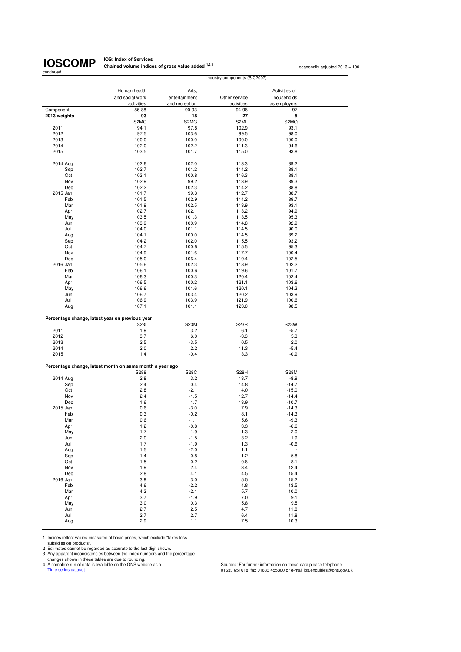**IOS: Index of Services Chained volume indices of gross value added <sup>1,2,3</sup> seasonally adjusted 2013 = 100<br>
<b>Chained volume indices of gross value added** <sup>1,2,3</sup>

|                 |                                                          | Industry components (SIC2007) |                     |                    |  |  |
|-----------------|----------------------------------------------------------|-------------------------------|---------------------|--------------------|--|--|
|                 |                                                          |                               |                     |                    |  |  |
|                 | Human health                                             | Arts,                         |                     | Activities of      |  |  |
|                 | and social work                                          | entertainment                 | Other service       | households         |  |  |
|                 | activities<br>86-88                                      | and recreation<br>90-93       | activities<br>94-96 | as employers<br>97 |  |  |
| Component       | 93                                                       | 18                            | 27                  | 5                  |  |  |
| 2013 weights    | S <sub>2</sub> M <sub>C</sub>                            | S2MG                          | S2ML                | S2MQ               |  |  |
| 2011            | 94.1                                                     | 97.8                          | 102.9               | 93.1               |  |  |
| 2012            | 97.5                                                     | 103.6                         | 99.5                | 98.0               |  |  |
| 2013            | 100.0                                                    | 100.0                         | 100.0               | 100.0              |  |  |
| 2014            | 102.0                                                    | 102.2                         | 111.3               | 94.6               |  |  |
| 2015            | 103.5                                                    | 101.7                         | 115.0               | 93.8               |  |  |
|                 |                                                          |                               |                     |                    |  |  |
| 2014 Aug        | 102.6                                                    | 102.0                         | 113.3               | 89.2               |  |  |
| Sep             | 102.7                                                    | 101.2                         | 114.2               | 88.1               |  |  |
| Oct             | 103.1                                                    | 100.8                         | 116.3               | 88.1               |  |  |
| Nov             | 102.9                                                    | 99.2                          | 113.9               | 89.3               |  |  |
| Dec             | 102.2                                                    | 102.3<br>99.3                 | 114.2               | 88.8<br>88.7       |  |  |
| 2015 Jan<br>Feb | 101.7<br>101.5                                           | 102.9                         | 112.7<br>114.2      | 89.7               |  |  |
| Mar             | 101.9                                                    | 102.5                         | 113.9               | 93.1               |  |  |
| Apr             | 102.7                                                    | 102.1                         | 113.2               | 94.9               |  |  |
| May             | 103.5                                                    | 101.3                         | 113.5               | 95.3               |  |  |
| Jun             | 103.9                                                    | 100.9                         | 114.8               | 92.9               |  |  |
| Jul             | 104.0                                                    | 101.1                         | 114.5               | 90.0               |  |  |
| Aug             | 104.1                                                    | 100.0                         | 114.5               | 89.2               |  |  |
| Sep             | 104.2                                                    | 102.0                         | 115.5               | 93.2               |  |  |
| Oct             | 104.7                                                    | 100.6                         | 115.5               | 95.3               |  |  |
| Nov             | 104.9                                                    | 101.6                         | 117.7               | 100.4              |  |  |
| Dec             | 105.0                                                    | 106.4                         | 119.4               | 102.5              |  |  |
| 2016 Jan        | 105.6                                                    | 102.3                         | 118.9               | 102.2              |  |  |
| Feb             | 106.1                                                    | 100.6                         | 119.6               | 101.7              |  |  |
| Mar             | 106.3                                                    | 100.3                         | 120.4               | 102.4              |  |  |
| Apr             | 106.5                                                    | 100.2                         | 121.1               | 103.6              |  |  |
| May<br>Jun      | 106.6<br>106.7                                           | 101.6<br>103.4                | 120.1<br>120.2      | 104.3<br>103.9     |  |  |
| Jul             | 106.9                                                    | 103.9                         | 121.9               | 100.6              |  |  |
| Aug             | 107.1                                                    | 101.1                         | 123.0               | 98.5               |  |  |
|                 |                                                          |                               |                     |                    |  |  |
|                 | Percentage change, latest year on previous year          |                               |                     |                    |  |  |
|                 | S231                                                     | S23M                          | S <sub>23</sub> R   | S23W               |  |  |
| 2011            | 1.9                                                      | 3.2                           | 6.1                 | $-5.7$             |  |  |
| 2012            | 3.7                                                      | 6.0                           | $-3.3$              | 5.3                |  |  |
| 2013            | 2.5                                                      | $-3.5$                        | 0.5                 | 2.0                |  |  |
| 2014            | 2.0                                                      | 2.2                           | 11.3                | $-5.4$             |  |  |
| 2015            | 1.4                                                      | $-0.4$                        | 3.3                 | $-0.9$             |  |  |
|                 | Percentage change, latest month on same month a year ago |                               |                     |                    |  |  |
|                 | S288                                                     | <b>S28C</b>                   | S <sub>28</sub> H   | <b>S28M</b>        |  |  |
| 2014 Aug        | 2.8                                                      | 3.2                           | 13.7                | $-8.9$             |  |  |
| Sep             | 2.4                                                      | 0.4                           | 14.8                | $-14.7$            |  |  |
| Oct             | 2.8                                                      | $-2.1$                        | 14.0                | $-15.0$            |  |  |
| Nov             | 2.4                                                      | $-1.5$                        | 12.7                | $-14.4$            |  |  |
| Dec             | 1.6                                                      | 1.7                           | 13.9                | $-10.7$            |  |  |
| 2015 Jan        | 0.6                                                      | $-3.0$                        | 7.9                 | $-14.3$            |  |  |
| Feb             | 0.3                                                      | $-0.2$                        | 8.1                 | $-14.3$            |  |  |
| Mar             | 0.6                                                      | $-1.1$                        | 5.6                 | $-9.3$             |  |  |
| Apr             | 1.2                                                      | -0.8                          | 3.3                 | -6.6               |  |  |
| May             | 1.7<br>2.0                                               | $-1.9$<br>$-1.5$              | 1.3                 | $-2.0$<br>1.9      |  |  |
| Jun<br>Jul      | 1.7                                                      | $-1.9$                        | 3.2<br>$1.3$        | $-0.6$             |  |  |
| Aug             | 1.5                                                      | $-2.0$                        | 1.1                 | $\sim$             |  |  |
| Sep             | 1.4                                                      | 0.8                           | 1.2                 | 5.8                |  |  |
| Oct             | 1.5                                                      | $-0.2$                        | $-0.6$              | 8.1                |  |  |
| Nov             | 1.9                                                      | 2.4                           | 3.4                 | 12.4               |  |  |
| Dec             | 2.8                                                      | 4.1                           | 4.5                 | 15.4               |  |  |
| 2016 Jan        | 3.9                                                      | 3.0                           | 5.5                 | 15.2               |  |  |
| Feb             | 4.6                                                      | $-2.2$                        | 4.8                 | 13.5               |  |  |
| Mar             | 4.3                                                      | $-2.1$                        | 5.7                 | 10.0               |  |  |
| Apr             | 3.7                                                      | $-1.9$                        | 7.0                 | 9.1                |  |  |
| May             | 3.0                                                      | 0.3                           | 5.8                 | 9.5                |  |  |
| Jun             | 2.7                                                      | 2.5                           | 4.7                 | 11.8               |  |  |
| Jul             | 2.7                                                      | 2.7                           | 6.4                 | 11.8               |  |  |
| Aug             | 2.9                                                      | 1.1                           | $7.5$               | 10.3               |  |  |

1 Indices reflect values measured at basic prices, which exclude "taxes less

subsidies on products".<br>2 Estimates cannot be regarded as accurate to the last digit shown.<br>3 Any apparent inconsistencies between the index numbers and the percentage<br>4 A complete run of data is a vailable on the ONS webs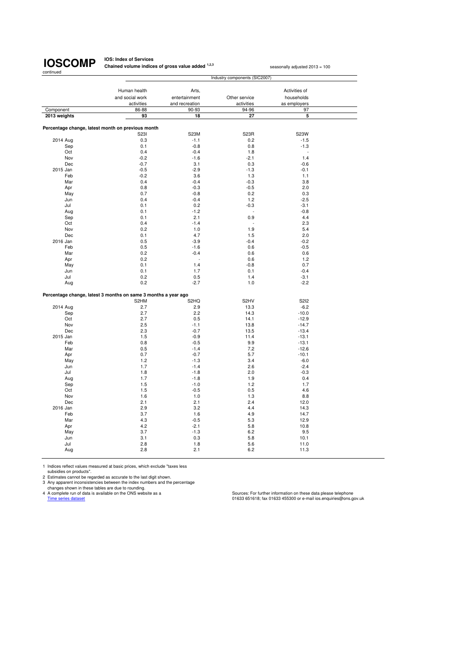**IOS: Index of Services Chained volume indices of gross value added <sup>1,2,3</sup> seasonally adjusted 2013 = 100** 

|              | Industry components (SIC2007)                                  |                               |                     |                    |  |  |
|--------------|----------------------------------------------------------------|-------------------------------|---------------------|--------------------|--|--|
|              |                                                                |                               |                     |                    |  |  |
|              | Human health                                                   | Arts,                         |                     | Activities of      |  |  |
|              | and social work                                                | entertainment                 | Other service       | households         |  |  |
| Component    | activities<br>86-88                                            | and recreation<br>90-93       | activities<br>94-96 | as employers<br>97 |  |  |
|              | 93                                                             | 18                            | 27                  | 5                  |  |  |
| 2013 weights |                                                                |                               |                     |                    |  |  |
|              | Percentage change, latest month on previous month              |                               |                     |                    |  |  |
|              | S23I                                                           | S23M                          | S23R                | S23W               |  |  |
| 2014 Aug     | 0.3                                                            | $-1.1$                        | 0.2                 | $-1.5$             |  |  |
| Sep          | 0.1                                                            | $-0.8$                        | 0.8                 | $-1.3$             |  |  |
| Oct          | 0.4                                                            | $-0.4$                        | 1.8                 |                    |  |  |
| Nov          | $-0.2$                                                         | $-1.6$                        | $-2.1$              | 1.4                |  |  |
| Dec          | $-0.7$                                                         | 3.1                           | 0.3                 | $-0.6$             |  |  |
| 2015 Jan     | $-0.5$                                                         | $-2.9$                        | $-1.3$              | $-0.1$             |  |  |
| Feb          | $-0.2$                                                         | 3.6                           | 1.3                 | 1.1                |  |  |
| Mar          | 0.4                                                            | $-0.4$                        | $-0.3$              | 3.8                |  |  |
| Apr          | 0.8                                                            | $-0.3$                        | $-0.5$              | 2.0                |  |  |
| May          | 0.7                                                            | $-0.8$                        | 0.2                 | 0.3                |  |  |
| Jun          | 0.4                                                            | $-0.4$                        | 1.2                 | $-2.5$             |  |  |
| Jul          | 0.1                                                            | 0.2                           | $-0.3$              | $-3.1$             |  |  |
| Aug          | 0.1                                                            | $-1.2$                        |                     | $-0.8$             |  |  |
| Sep          | 0.1                                                            | 2.1                           | 0.9                 | 4.4                |  |  |
| Oct          | 0.4                                                            | $-1.4$                        |                     | 2.3                |  |  |
| Nov          | 0.2                                                            | 1.0                           | 1.9                 | 5.4                |  |  |
| Dec          | 0.1                                                            | 4.7                           | 1.5                 | 2.0                |  |  |
| 2016 Jan     | 0.5                                                            | $-3.9$                        | $-0.4$              | $-0.2$             |  |  |
| Feb          | 0.5                                                            | $-1.6$                        | 0.6                 | $-0.5$             |  |  |
| Mar          | 0.2                                                            | $-0.4$                        | 0.6                 | 0.6                |  |  |
| Apr          | 0.2                                                            |                               | 0.6                 | 1.2                |  |  |
| May          | 0.1                                                            | 1.4                           | $-0.8$              | 0.7                |  |  |
| Jun          | 0.1                                                            | 1.7                           | 0.1                 | $-0.4$             |  |  |
| Jul          | 0.2                                                            | 0.5                           | 1.4                 | $-3.1$             |  |  |
| Aug          | 0.2                                                            | $-2.7$                        | 1.0                 | $-2.2$             |  |  |
|              |                                                                |                               |                     |                    |  |  |
|              | Percentage change, latest 3 months on same 3 months a year ago |                               |                     |                    |  |  |
|              | S2HM                                                           | S <sub>2</sub> H <sub>Q</sub> | S <sub>2</sub> HV   | <b>S2I2</b>        |  |  |
| 2014 Aug     | 2.7                                                            | 2.9                           | 13.3                | $-6.2$             |  |  |
| Sep          | 2.7                                                            | 2.2                           | 14.3                | $-10.0$            |  |  |
| Oct          | 2.7                                                            | 0.5                           | 14.1                | $-12.9$            |  |  |
| Nov          | 2.5                                                            | $-1.1$                        | 13.8                | $-14.7$            |  |  |
| Dec          | 2.3                                                            | $-0.7$                        | 13.5                | $-13.4$            |  |  |
| 2015 Jan     | 1.5                                                            | $-0.9$                        | 11.4                | $-13.1$            |  |  |
| Feb          | 0.8                                                            | $-0.5$                        | 9.9                 | $-13.1$            |  |  |
| Mar          | 0.5                                                            | $-1.4$                        | 7.2                 | $-12.6$            |  |  |
| Apr          | 0.7                                                            | $-0.7$                        | 5.7                 | $-10.1$            |  |  |
| May          | 1.2                                                            | $-1.3$                        | 3.4                 | $-6.0$             |  |  |
| Jun          | 1.7                                                            | $-1.4$                        | 2.6                 | $-2.4$             |  |  |
| Jul          | 1.8                                                            | $-1.8$                        | 2.0                 | $-0.3$             |  |  |
| Aug          | 1.7                                                            | $-1.8$                        | 1.9                 | 0.4                |  |  |
| Sep          | 1.5                                                            | $-1.0$                        | 1.2                 | 1.7                |  |  |
| Oct          | 1.5                                                            | $-0.5$                        | 0.5                 | 4.6                |  |  |
| Nov          | 1.6                                                            | 1.0                           | 1.3                 | 8.8                |  |  |
| Dec          | 2.1                                                            | 2.1                           | 2.4                 | 12.0               |  |  |
| 2016 Jan     | 2.9                                                            | 3.2                           | 4.4                 | 14.3               |  |  |
| Feb          | 3.7                                                            | 1.6                           | 4.9                 | 14.7               |  |  |
| Mar          | 4.3                                                            | $-0.5$                        | 5.3                 | 12.9               |  |  |
| Apr          | 4.2                                                            | $-2.1$                        | 5.8                 | 10.8               |  |  |
| May          | 3.7                                                            | $-1.3$                        | 6.2                 | 9.5                |  |  |
| Jun          | 3.1                                                            | 0.3                           | 5.8                 | 10.1               |  |  |
| Jul          | 2.8                                                            | 1.8                           | 5.6                 | 11.0               |  |  |
| Aug          | 2.8                                                            | 2.1                           | 6.2                 | 11.3               |  |  |
|              |                                                                |                               |                     |                    |  |  |

1 Indices reflect values measured at basic prices, which exclude "taxes less<br>subsidies on products".<br>2 Estimates cannot be regarded as accurate to the last digit shown.<br>3 Any apparent inconsistencies between the index numb

Courges sure on the series and the University of Accepts of Accepts of Accepts of Accepts of Accepts of Accept<br>Time series dataset 01633 455300 or e-mail ios.enquiries@ons.gov.uk<br>Time series dataset